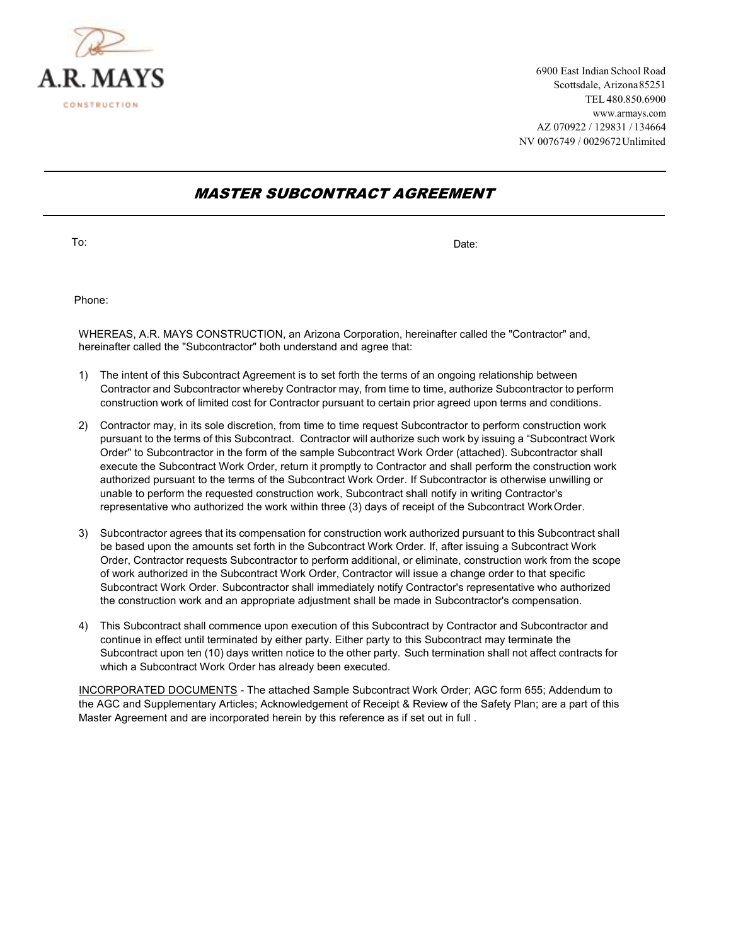

6900 East Indian School Road Scottsdale, Arizona 85251 TEL 480.850.6900 www.armays.com AZ 070922 / 129831 / 134664 NV 0076749 / 0029672 Unlimited

# MASTER SUBCONTRACT AGREEMENT

To: Date:

Phone:

WHEREAS, A.R. MAYS CONSTRUCTION, an Arizona Corporation, hereinafter called the "Contractor" and, hereinafter called the "Subcontractor" both understand and agree that:

- 1) The intent of this Subcontract Agreement is to set forth the terms of an ongoing relationship between Contractor and Subcontractor whereby Contractor may, from time to time, authorize Subcontractor to perform construction work of limited cost for Contractor pursuant to certain prior agreed upon terms and conditions.
- 2) Contractor may, in its sole discretion, from time to time request Subcontractor to perform construction work pursuant to the terms of this Subcontract. Contractor will authorize such work by issuing a "Subcontract Work Order" to Subcontractor in the form of the sample Subcontract Work Order (attached). Subcontractor shall execute the Subcontract Work Order, return it promptly to Contractor and shall perform the construction work authorized pursuant to the terms of the Subcontract Work Order. If Subcontractor is otherwise unwilling or unable to perform the requested construction work, Subcontract shall notify in writing Contractor's representative who authorized the work within three (3) days of receipt of the Subcontract Work Order.
- 3) Subcontractor agrees that its compensation for construction work authorized pursuant to this Subcontract shall be based upon the amounts set forth in the Subcontract Work Order. If, after issuing a Subcontract Work Order, Contractor requests Subcontractor to perform additional, or eliminate, construction work from the scope of work authorized in the Subcontract Work Order, Contractor will issue a change order to that specific Subcontract Work Order. Subcontractor shall immediately notify Contractor's representative who authorized the construction work and an appropriate adjustment shall be made in Subcontractor's compensation.
- 4) This Subcontract shall commence upon execution of this Subcontract by Contractor and Subcontractor and continue in effect until terminated by either party. Either party to this Subcontract may terminate the Subcontract upon ten (10) days written notice to the other party. Such termination shall not affect contracts for which a Subcontract Work Order has already been executed.

INCORPORATED DOCUMENTS - The attached Sample Subcontract Work Order; AGC form 655; Addendum to the AGC and Supplementary Articles; Acknowledgement of Receipt & Review of the Safety Plan; are a part of this Master Agreement and are incorporated herein by this reference as if set out in full .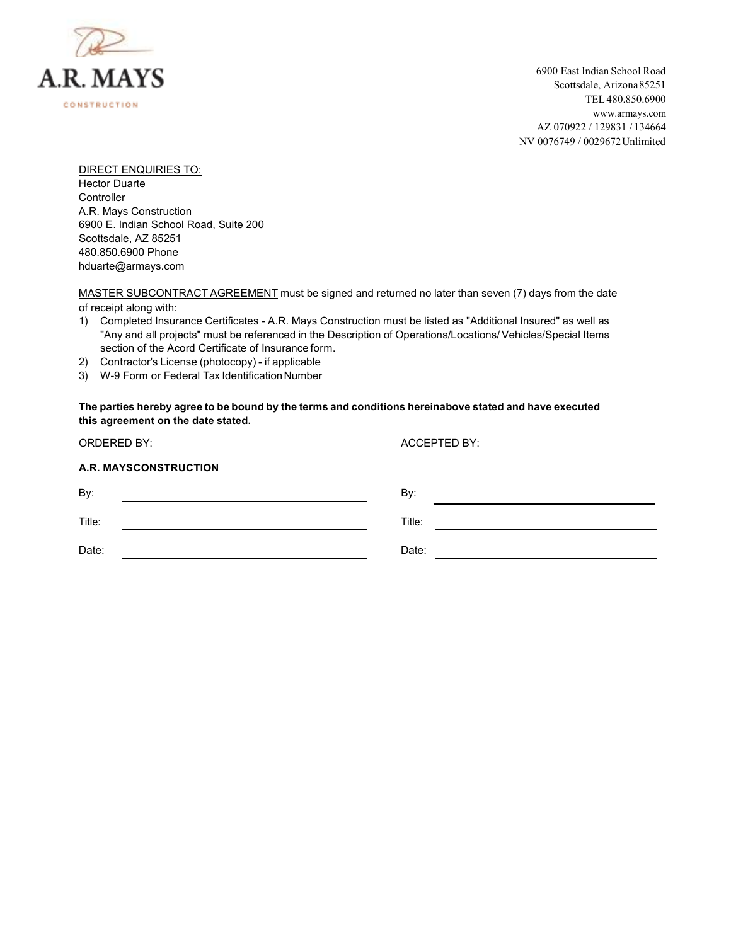

6900 East Indian School Road Scottsdale, Arizona 85251 TEL 480.850.6900 www.armays.com AZ 070922 / 129831 / 134664 NV 0076749 / 0029672 Unlimited

DIRECT ENQUIRIES TO: Hector Duarte Controller A.R. Mays Construction 6900 E. Indian School Road, Suite 200 Scottsdale, AZ 85251 480.850.6900 Phone hduarte@armays.com

MASTER SUBCONTRACT AGREEMENT must be signed and returned no later than seven (7) days from the date of receipt along with:

- 1) Completed Insurance Certificates A.R. Mays Construction must be listed as "Additional Insured" as well as "Any and all projects" must be referenced in the Description of Operations/Locations/ Vehicles/Special Items section of the Acord Certificate of Insurance form.
- 2) Contractor's License (photocopy) if applicable
- 3) W-9 Form or Federal Tax Identification Number

**The parties hereby agree to be bound by the terms and conditions hereinabove stated and have executed this agreement on the date stated.**

| ORDERED BY:           | ACCEPTED BY: |
|-----------------------|--------------|
| A.R. MAYSCONSTRUCTION |              |
| By:                   | By:          |
| Title:                | Title:       |
| Date:                 | Date:        |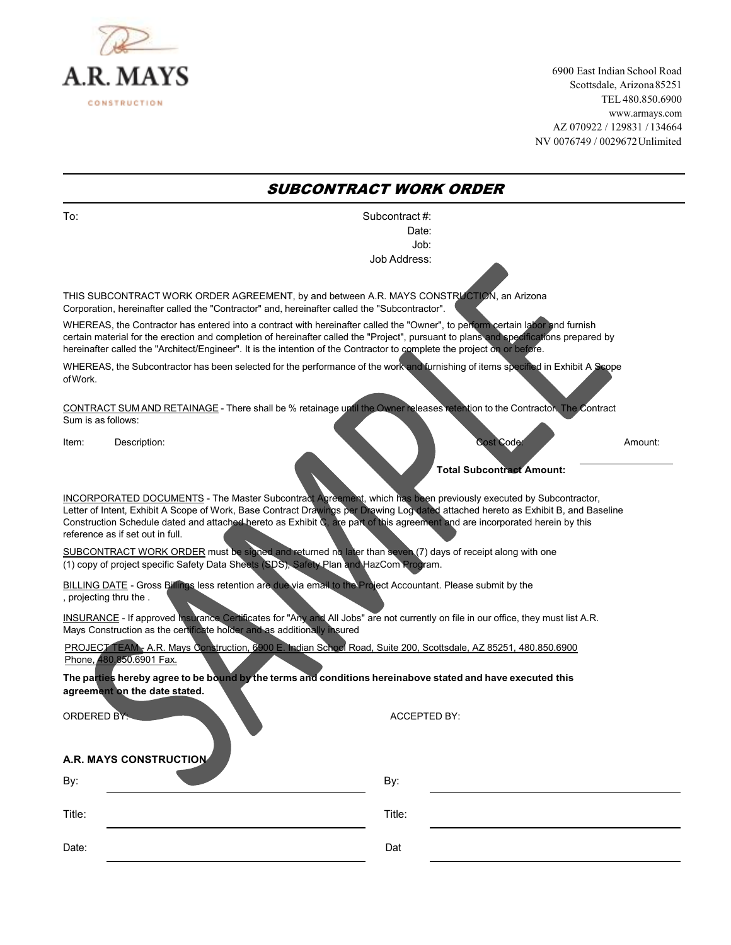

6900 East Indian School Road Scottsdale, Arizona 85251 TEL 480.850.6900 www.armays.com AZ 070922 / 129831 / 134664 NV 0076749 / 0029672 Unlimited

| Subcontract#:<br>To:<br>Date:<br>Job:<br>Job Address:<br>THIS SUBCONTRACT WORK ORDER AGREEMENT, by and between A.R. MAYS CONSTRUCTION, an Arizona<br>Corporation, hereinafter called the "Contractor" and, hereinafter called the "Subcontractor".<br>WHEREAS, the Contractor has entered into a contract with hereinafter called the "Owner", to perform certain labor and furnish<br>certain material for the erection and completion of hereinafter called the "Project", pursuant to plans and specifications prepared by<br>hereinafter called the "Architect/Engineer". It is the intention of the Contractor to complete the project on or before.<br>WHEREAS, the Subcontractor has been selected for the performance of the work and furnishing of items specified in Exhibit A Scope<br>of Work.<br>CONTRACT SUM AND RETAINAGE - There shall be % retainage until the Owner releases retention to the Contractor. The Contract<br>Sum is as follows:<br><b>Cost Code:</b><br>Description:<br>Item:<br>Amount:<br><b>Total Subcontract Amount:</b><br><b>INCORPORATED DOCUMENTS</b> - The Master Subcontract Agreement, which has been previously executed by Subcontractor,<br>Letter of Intent, Exhibit A Scope of Work, Base Contract Drawings per Drawing Log dated attached hereto as Exhibit B, and Baseline<br>Construction Schedule dated and attached hereto as Exhibit C, are part of this agreement and are incorporated herein by this<br>reference as if set out in full.<br>SUBCONTRACT WORK ORDER must be signed and returned no later than seven (7) days of receipt along with one<br>(1) copy of project specific Safety Data Sheets (SDS), Safety Plan and HazCom Program.<br>BILLING DATE - Gross Billings less retention are due via email to the Project Accountant. Please submit by the<br>, projecting thru the.<br>INSURANCE - If approved Insurance Certificates for "Any and All Jobs" are not currently on file in our office, they must list A.R.<br>Mays Construction as the certificate holder and as additionally insured<br>PROJECT TEAM - A.R. Mays Construction, 6000 E. Indian School Road, Suite 200, Scottsdale, AZ 85251, 480.850.6900<br>Phone, 480, 850.6901 Fax.<br>The parties hereby agree to be bound by the terms and conditions hereinabove stated and have executed this<br>agreement on the date stated.<br>ORDERED BY:<br>ACCEPTED BY:<br>A.R. MAYS CONSTRUCTION<br>By:<br>By:<br>Title:<br>Title:<br>Dat<br>Date: | <b>SUBCONTRACT WORK ORDER</b> |
|--------------------------------------------------------------------------------------------------------------------------------------------------------------------------------------------------------------------------------------------------------------------------------------------------------------------------------------------------------------------------------------------------------------------------------------------------------------------------------------------------------------------------------------------------------------------------------------------------------------------------------------------------------------------------------------------------------------------------------------------------------------------------------------------------------------------------------------------------------------------------------------------------------------------------------------------------------------------------------------------------------------------------------------------------------------------------------------------------------------------------------------------------------------------------------------------------------------------------------------------------------------------------------------------------------------------------------------------------------------------------------------------------------------------------------------------------------------------------------------------------------------------------------------------------------------------------------------------------------------------------------------------------------------------------------------------------------------------------------------------------------------------------------------------------------------------------------------------------------------------------------------------------------------------------------------------------------------------------------------------------------------------------------------------------------------------------------------------------------------------------------------------------------------------------------------------------------------------------------------------------------------------------------------------------------------------------------------------------------------------------------------------------------------------------------------------------------------------------------|-------------------------------|
|                                                                                                                                                                                                                                                                                                                                                                                                                                                                                                                                                                                                                                                                                                                                                                                                                                                                                                                                                                                                                                                                                                                                                                                                                                                                                                                                                                                                                                                                                                                                                                                                                                                                                                                                                                                                                                                                                                                                                                                                                                                                                                                                                                                                                                                                                                                                                                                                                                                                                |                               |
|                                                                                                                                                                                                                                                                                                                                                                                                                                                                                                                                                                                                                                                                                                                                                                                                                                                                                                                                                                                                                                                                                                                                                                                                                                                                                                                                                                                                                                                                                                                                                                                                                                                                                                                                                                                                                                                                                                                                                                                                                                                                                                                                                                                                                                                                                                                                                                                                                                                                                |                               |
|                                                                                                                                                                                                                                                                                                                                                                                                                                                                                                                                                                                                                                                                                                                                                                                                                                                                                                                                                                                                                                                                                                                                                                                                                                                                                                                                                                                                                                                                                                                                                                                                                                                                                                                                                                                                                                                                                                                                                                                                                                                                                                                                                                                                                                                                                                                                                                                                                                                                                |                               |
|                                                                                                                                                                                                                                                                                                                                                                                                                                                                                                                                                                                                                                                                                                                                                                                                                                                                                                                                                                                                                                                                                                                                                                                                                                                                                                                                                                                                                                                                                                                                                                                                                                                                                                                                                                                                                                                                                                                                                                                                                                                                                                                                                                                                                                                                                                                                                                                                                                                                                |                               |
|                                                                                                                                                                                                                                                                                                                                                                                                                                                                                                                                                                                                                                                                                                                                                                                                                                                                                                                                                                                                                                                                                                                                                                                                                                                                                                                                                                                                                                                                                                                                                                                                                                                                                                                                                                                                                                                                                                                                                                                                                                                                                                                                                                                                                                                                                                                                                                                                                                                                                |                               |
|                                                                                                                                                                                                                                                                                                                                                                                                                                                                                                                                                                                                                                                                                                                                                                                                                                                                                                                                                                                                                                                                                                                                                                                                                                                                                                                                                                                                                                                                                                                                                                                                                                                                                                                                                                                                                                                                                                                                                                                                                                                                                                                                                                                                                                                                                                                                                                                                                                                                                |                               |
|                                                                                                                                                                                                                                                                                                                                                                                                                                                                                                                                                                                                                                                                                                                                                                                                                                                                                                                                                                                                                                                                                                                                                                                                                                                                                                                                                                                                                                                                                                                                                                                                                                                                                                                                                                                                                                                                                                                                                                                                                                                                                                                                                                                                                                                                                                                                                                                                                                                                                |                               |
|                                                                                                                                                                                                                                                                                                                                                                                                                                                                                                                                                                                                                                                                                                                                                                                                                                                                                                                                                                                                                                                                                                                                                                                                                                                                                                                                                                                                                                                                                                                                                                                                                                                                                                                                                                                                                                                                                                                                                                                                                                                                                                                                                                                                                                                                                                                                                                                                                                                                                |                               |
|                                                                                                                                                                                                                                                                                                                                                                                                                                                                                                                                                                                                                                                                                                                                                                                                                                                                                                                                                                                                                                                                                                                                                                                                                                                                                                                                                                                                                                                                                                                                                                                                                                                                                                                                                                                                                                                                                                                                                                                                                                                                                                                                                                                                                                                                                                                                                                                                                                                                                |                               |
|                                                                                                                                                                                                                                                                                                                                                                                                                                                                                                                                                                                                                                                                                                                                                                                                                                                                                                                                                                                                                                                                                                                                                                                                                                                                                                                                                                                                                                                                                                                                                                                                                                                                                                                                                                                                                                                                                                                                                                                                                                                                                                                                                                                                                                                                                                                                                                                                                                                                                |                               |
|                                                                                                                                                                                                                                                                                                                                                                                                                                                                                                                                                                                                                                                                                                                                                                                                                                                                                                                                                                                                                                                                                                                                                                                                                                                                                                                                                                                                                                                                                                                                                                                                                                                                                                                                                                                                                                                                                                                                                                                                                                                                                                                                                                                                                                                                                                                                                                                                                                                                                |                               |
|                                                                                                                                                                                                                                                                                                                                                                                                                                                                                                                                                                                                                                                                                                                                                                                                                                                                                                                                                                                                                                                                                                                                                                                                                                                                                                                                                                                                                                                                                                                                                                                                                                                                                                                                                                                                                                                                                                                                                                                                                                                                                                                                                                                                                                                                                                                                                                                                                                                                                |                               |
|                                                                                                                                                                                                                                                                                                                                                                                                                                                                                                                                                                                                                                                                                                                                                                                                                                                                                                                                                                                                                                                                                                                                                                                                                                                                                                                                                                                                                                                                                                                                                                                                                                                                                                                                                                                                                                                                                                                                                                                                                                                                                                                                                                                                                                                                                                                                                                                                                                                                                |                               |
|                                                                                                                                                                                                                                                                                                                                                                                                                                                                                                                                                                                                                                                                                                                                                                                                                                                                                                                                                                                                                                                                                                                                                                                                                                                                                                                                                                                                                                                                                                                                                                                                                                                                                                                                                                                                                                                                                                                                                                                                                                                                                                                                                                                                                                                                                                                                                                                                                                                                                |                               |
|                                                                                                                                                                                                                                                                                                                                                                                                                                                                                                                                                                                                                                                                                                                                                                                                                                                                                                                                                                                                                                                                                                                                                                                                                                                                                                                                                                                                                                                                                                                                                                                                                                                                                                                                                                                                                                                                                                                                                                                                                                                                                                                                                                                                                                                                                                                                                                                                                                                                                |                               |
|                                                                                                                                                                                                                                                                                                                                                                                                                                                                                                                                                                                                                                                                                                                                                                                                                                                                                                                                                                                                                                                                                                                                                                                                                                                                                                                                                                                                                                                                                                                                                                                                                                                                                                                                                                                                                                                                                                                                                                                                                                                                                                                                                                                                                                                                                                                                                                                                                                                                                |                               |
|                                                                                                                                                                                                                                                                                                                                                                                                                                                                                                                                                                                                                                                                                                                                                                                                                                                                                                                                                                                                                                                                                                                                                                                                                                                                                                                                                                                                                                                                                                                                                                                                                                                                                                                                                                                                                                                                                                                                                                                                                                                                                                                                                                                                                                                                                                                                                                                                                                                                                |                               |
|                                                                                                                                                                                                                                                                                                                                                                                                                                                                                                                                                                                                                                                                                                                                                                                                                                                                                                                                                                                                                                                                                                                                                                                                                                                                                                                                                                                                                                                                                                                                                                                                                                                                                                                                                                                                                                                                                                                                                                                                                                                                                                                                                                                                                                                                                                                                                                                                                                                                                |                               |
|                                                                                                                                                                                                                                                                                                                                                                                                                                                                                                                                                                                                                                                                                                                                                                                                                                                                                                                                                                                                                                                                                                                                                                                                                                                                                                                                                                                                                                                                                                                                                                                                                                                                                                                                                                                                                                                                                                                                                                                                                                                                                                                                                                                                                                                                                                                                                                                                                                                                                |                               |
|                                                                                                                                                                                                                                                                                                                                                                                                                                                                                                                                                                                                                                                                                                                                                                                                                                                                                                                                                                                                                                                                                                                                                                                                                                                                                                                                                                                                                                                                                                                                                                                                                                                                                                                                                                                                                                                                                                                                                                                                                                                                                                                                                                                                                                                                                                                                                                                                                                                                                |                               |
|                                                                                                                                                                                                                                                                                                                                                                                                                                                                                                                                                                                                                                                                                                                                                                                                                                                                                                                                                                                                                                                                                                                                                                                                                                                                                                                                                                                                                                                                                                                                                                                                                                                                                                                                                                                                                                                                                                                                                                                                                                                                                                                                                                                                                                                                                                                                                                                                                                                                                |                               |
|                                                                                                                                                                                                                                                                                                                                                                                                                                                                                                                                                                                                                                                                                                                                                                                                                                                                                                                                                                                                                                                                                                                                                                                                                                                                                                                                                                                                                                                                                                                                                                                                                                                                                                                                                                                                                                                                                                                                                                                                                                                                                                                                                                                                                                                                                                                                                                                                                                                                                |                               |
|                                                                                                                                                                                                                                                                                                                                                                                                                                                                                                                                                                                                                                                                                                                                                                                                                                                                                                                                                                                                                                                                                                                                                                                                                                                                                                                                                                                                                                                                                                                                                                                                                                                                                                                                                                                                                                                                                                                                                                                                                                                                                                                                                                                                                                                                                                                                                                                                                                                                                |                               |
|                                                                                                                                                                                                                                                                                                                                                                                                                                                                                                                                                                                                                                                                                                                                                                                                                                                                                                                                                                                                                                                                                                                                                                                                                                                                                                                                                                                                                                                                                                                                                                                                                                                                                                                                                                                                                                                                                                                                                                                                                                                                                                                                                                                                                                                                                                                                                                                                                                                                                |                               |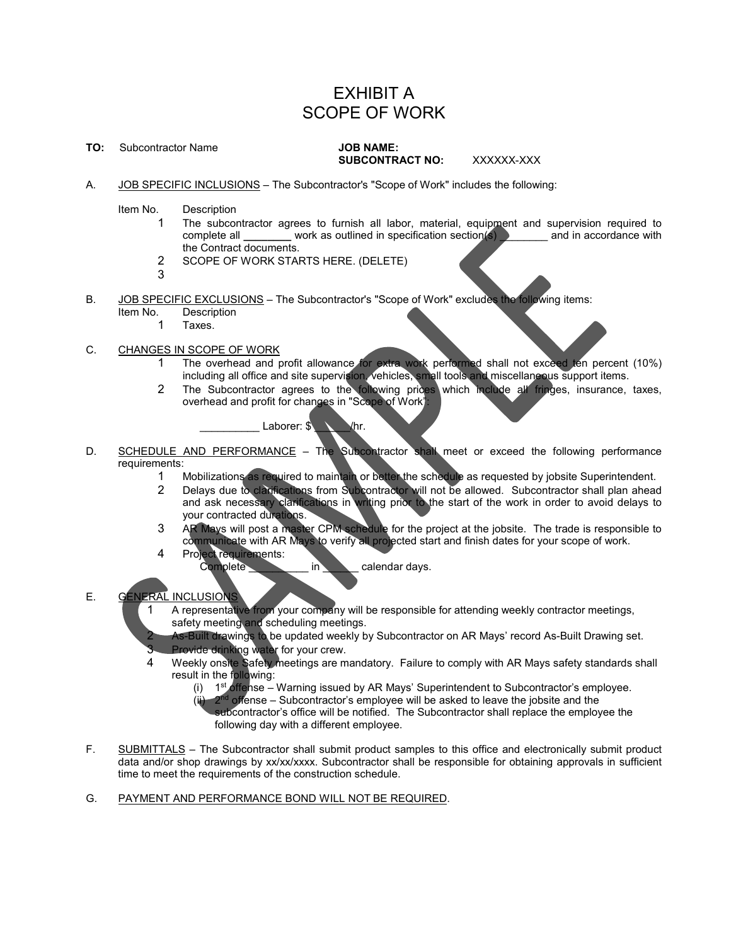# EXHIBIT A SCOPE OF WORK

**TO:** Subcontractor Name **JOB NAME:**

# **SUBCONTRACT NO:** XXXXXX-XXX

- A. JOB SPECIFIC INCLUSIONS The Subcontractor's "Scope of Work" includes the following:
	- Item No. Description
		- 1 The subcontractor agrees to furnish all labor, material, equipment and supervision required to complete all work as outlined in specification section(s) and in accordance with complete all **\_\_\_\_\_\_\_** work as outlined in specification section(s) the Contract documents.
		- 2 SCOPE OF WORK STARTS HERE. (DELETE)
		- 3
- B. JOB SPECIFIC EXCLUSIONS The Subcontractor's "Scope of Work" excludes the following items: Item No. Description
	- 1 Taxes.
- C. CHANGES IN SCOPE OF WORK
	- The overhead and profit allowance for extra work performed shall not exceed ten percent (10%) including all office and site supervision, vehicles, small tools and miscellaneous support items.
	- 2 The Subcontractor agrees to the following prices which include all fringes, insurance, taxes, overhead and profit for changes in "Scope of Work":
		- Laborer:  $\sqrt{\frac{2}{n}}$  /hr.
- D. SCHEDULE AND PERFORMANCE The Subcontractor shall meet or exceed the following performance requirements:
	- 1 Mobilizations as required to maintain or better the schedule as requested by jobsite Superintendent.
	- 2 Delays due to clarifications from Subcontractor will not be allowed. Subcontractor shall plan ahead and ask necessary clarifications in writing prior to the start of the work in order to avoid delays to your contracted durations.
	- 3 AR Mays will post a master CPM schedule for the project at the jobsite. The trade is responsible to communicate with AR Mays to verify all projected start and finish dates for your scope of work.
	- 4 Project requirements:
		- Complete **and in** calendar days.
- E. GENERAL INCLUSIONS
	- 1 A representative from your company will be responsible for attending weekly contractor meetings, safety meeting and scheduling meetings.
		- As-Built drawings to be updated weekly by Subcontractor on AR Mays' record As-Built Drawing set. Provide drinking water for your crew.
	- 4 Weekly onsite Safety meetings are mandatory. Failure to comply with AR Mays safety standards shall result in the following:
		- (i)  $1<sup>st</sup>$  offense Warning issued by AR Mays' Superintendent to Subcontractor's employee.
			- $d$  offense Subcontractor's employee will be asked to leave the jobsite and the subcontractor's office will be notified. The Subcontractor shall replace the employee the
				- following day with a different employee.
- F. SUBMITTALS The Subcontractor shall submit product samples to this office and electronically submit product data and/or shop drawings by xx/xx/xxxx. Subcontractor shall be responsible for obtaining approvals in sufficient time to meet the requirements of the construction schedule.
- G. PAYMENT AND PERFORMANCE BOND WILL NOT BE REQUIRED.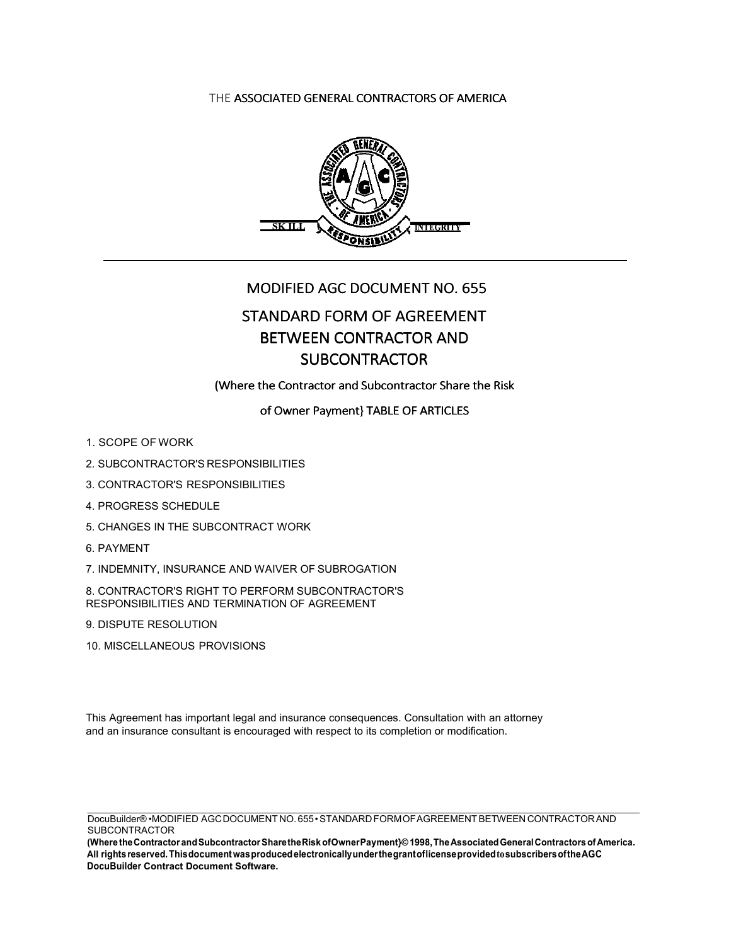## THE ASSOCIATED GENERAL CONTRACTORS OF AMERICA



# MODIFIED AGC DOCUMENT NO. 655

# STANDARD FORM OF AGREEMENT BETWEEN CONTRACTOR AND **SUBCONTRACTOR**

## (Where the Contractor and Subcontractor Share the Risk

## of Owner Payment} TABLE OF ARTICLES

- 1. SCOPE OF WORK
- 2. SUBCONTRACTOR'S RESPONSIBILITIES
- 3. CONTRACTOR'S RESPONSIBILITIES
- 4. PROGRESS SCHEDULE
- 5. CHANGES IN THE SUBCONTRACT WORK
- 6. PAYMENT
- 7. INDEMNITY, INSURANCE AND WAIVER OF SUBROGATION

8. CONTRACTOR'S RIGHT TO PERFORM SUBCONTRACTOR'S RESPONSIBILITIES AND TERMINATION OF AGREEMENT

- 9. DISPUTE RESOLUTION
- 10. MISCELLANEOUS PROVISIONS

This Agreement has important legal and insurance consequences. Consultation with an attorney and an insurance consultant is encouraged with respect to its completion or modification.

 $\_$  , and the state of the state of the state of the state of the state of the state of the state of the state of the state of the state of the state of the state of the state of the state of the state of the state of the DocuBuilder® •MODIFIED AGC DOCUMENT NO. 655 • STANDARD FORM OF AGREEMENT BETWEEN CONTRACTOR AND **SUBCONTRACTOR**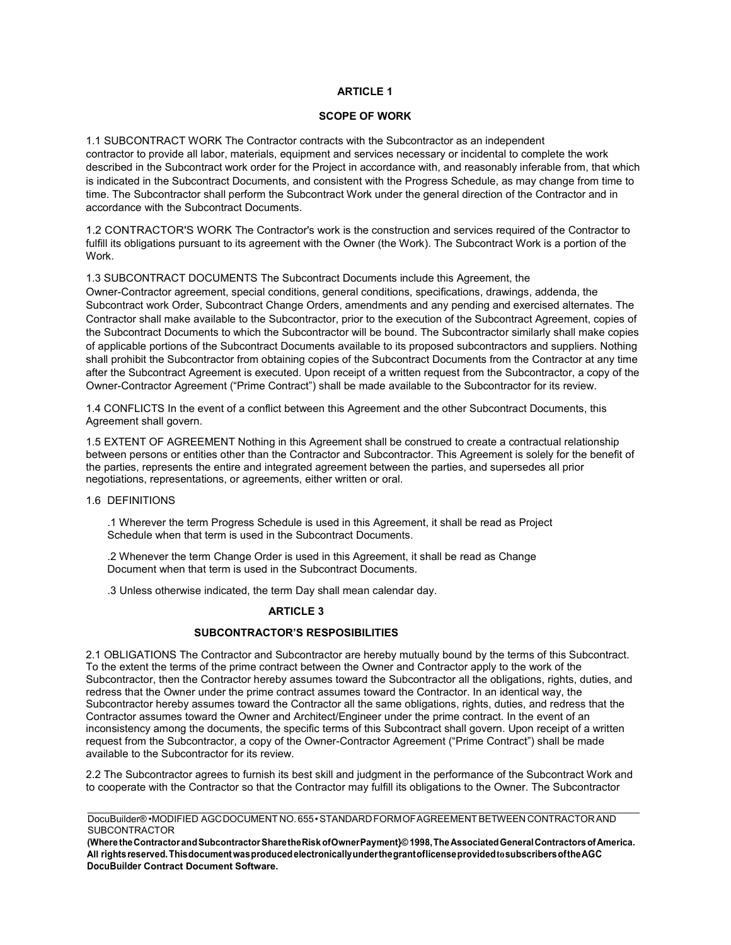## **ARTICLE 1**

#### **SCOPE OF WORK**

1.1 SUBCONTRACT WORK The Contractor contracts with the Subcontractor as an independent contractor to provide all labor, materials, equipment and services necessary or incidental to complete the work described in the Subcontract work order for the Project in accordance with, and reasonably inferable from, that which is indicated in the Subcontract Documents, and consistent with the Progress Schedule, as may change from time to time. The Subcontractor shall perform the Subcontract Work under the general direction of the Contractor and in accordance with the Subcontract Documents.

1.2 CONTRACTOR'S WORK The Contractor's work is the construction and services required of the Contractor to fulfill its obligations pursuant to its agreement with the Owner (the Work). The Subcontract Work is a portion of the Work.

### 1.3 SUBCONTRACT DOCUMENTS The Subcontract Documents include this Agreement, the

Owner-Contractor agreement, special conditions, general conditions, specifications, drawings, addenda, the Subcontract work Order, Subcontract Change Orders, amendments and any pending and exercised alternates. The Contractor shall make available to the Subcontractor, prior to the execution of the Subcontract Agreement, copies of the Subcontract Documents to which the Subcontractor will be bound. The Subcontractor similarly shall make copies of applicable portions of the Subcontract Documents available to its proposed subcontractors and suppliers. Nothing shall prohibit the Subcontractor from obtaining copies of the Subcontract Documents from the Contractor at any time after the Subcontract Agreement is executed. Upon receipt of a written request from the Subcontractor, a copy of the Owner-Contractor Agreement ("Prime Contract") shall be made available to the Subcontractor for its review.

1.4 CONFLICTS In the event of a conflict between this Agreement and the other Subcontract Documents, this Agreement shall govern.

1.5 EXTENT OF AGREEMENT Nothing in this Agreement shall be construed to create a contractual relationship between persons or entities other than the Contractor and Subcontractor. This Agreement is solely for the benefit of the parties, represents the entire and integrated agreement between the parties, and supersedes all prior negotiations, representations, or agreements, either written or oral.

1.6 DEFINITIONS

.1 Wherever the term Progress Schedule is used in this Agreement, it shall be read as Project Schedule when that term is used in the Subcontract Documents.

.2 Whenever the term Change Order is used in this Agreement, it shall be read as Change Document when that term is used in the Subcontract Documents.

.3 Unless otherwise indicated, the term Day shall mean calendar day.

## **ARTICLE 3**

#### **SUBCONTRACTOR'S RESPOSIBILITIES**

2.1 OBLIGATIONS The Contractor and Subcontractor are hereby mutually bound by the terms of this Subcontract. To the extent the terms of the prime contract between the Owner and Contractor apply to the work of the Subcontractor, then the Contractor hereby assumes toward the Subcontractor all the obligations, rights, duties, and redress that the Owner under the prime contract assumes toward the Contractor. In an identical way, the Subcontractor hereby assumes toward the Contractor all the same obligations, rights, duties, and redress that the Contractor assumes toward the Owner and Architect/Engineer under the prime contract. In the event of an inconsistency among the documents, the specific terms of this Subcontract shall govern. Upon receipt of a written request from the Subcontractor, a copy of the Owner-Contractor Agreement ("Prime Contract") shall be made available to the Subcontractor for its review.

2.2 The Subcontractor agrees to furnish its best skill and judgment in the performance of the Subcontract Work and to cooperate with the Contractor so that the Contractor may fulfill its obligations to the Owner. The Subcontractor

 $\_$  , and the state of the state of the state of the state of the state of the state of the state of the state of the state of the state of the state of the state of the state of the state of the state of the state of the DocuBuilder® •MODIFIED AGC DOCUMENT NO. 655 • STANDARD FORM OF AGREEMENT BETWEEN CONTRACTOR AND **SUBCONTRACTOR**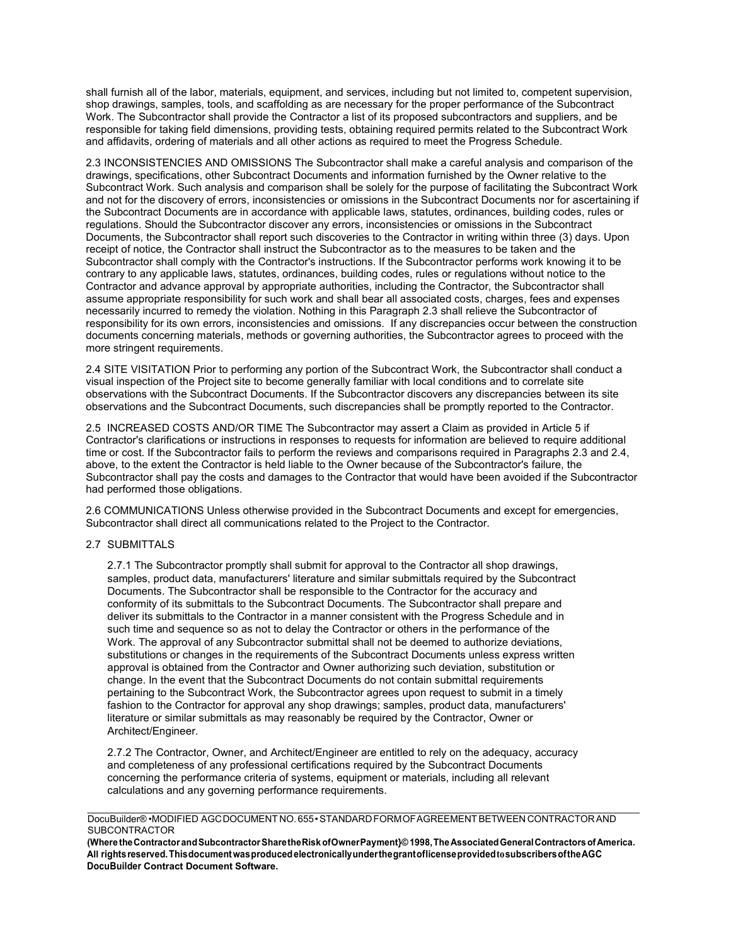shall furnish all of the labor, materials, equipment, and services, including but not limited to, competent supervision, shop drawings, samples, tools, and scaffolding as are necessary for the proper performance of the Subcontract Work. The Subcontractor shall provide the Contractor a list of its proposed subcontractors and suppliers, and be responsible for taking field dimensions, providing tests, obtaining required permits related to the Subcontract Work and affidavits, ordering of materials and all other actions as required to meet the Progress Schedule.

2.3 INCONSISTENCIES AND OMISSIONS The Subcontractor shall make a careful analysis and comparison of the drawings, specifications, other Subcontract Documents and information furnished by the Owner relative to the Subcontract Work. Such analysis and comparison shall be solely for the purpose of facilitating the Subcontract Work and not for the discovery of errors, inconsistencies or omissions in the Subcontract Documents nor for ascertaining if the Subcontract Documents are in accordance with applicable laws, statutes, ordinances, building codes, rules or regulations. Should the Subcontractor discover any errors, inconsistencies or omissions in the Subcontract Documents, the Subcontractor shall report such discoveries to the Contractor in writing within three (3) days. Upon receipt of notice, the Contractor shall instruct the Subcontractor as to the measures to be taken and the Subcontractor shall comply with the Contractor's instructions. If the Subcontractor performs work knowing it to be contrary to any applicable laws, statutes, ordinances, building codes, rules or regulations without notice to the Contractor and advance approval by appropriate authorities, including the Contractor, the Subcontractor shall assume appropriate responsibility for such work and shall bear all associated costs, charges, fees and expenses necessarily incurred to remedy the violation. Nothing in this Paragraph 2.3 shall relieve the Subcontractor of responsibility for its own errors, inconsistencies and omissions. If any discrepancies occur between the construction documents concerning materials, methods or governing authorities, the Subcontractor agrees to proceed with the more stringent requirements.

2.4 SITE VISITATION Prior to performing any portion of the Subcontract Work, the Subcontractor shall conduct a visual inspection of the Project site to become generally familiar with local conditions and to correlate site observations with the Subcontract Documents. If the Subcontractor discovers any discrepancies between its site observations and the Subcontract Documents, such discrepancies shall be promptly reported to the Contractor.

2.5 INCREASED COSTS AND/OR TIME The Subcontractor may assert a Claim as provided in Article 5 if Contractor's clarifications or instructions in responses to requests for information are believed to require additional time or cost. If the Subcontractor fails to perform the reviews and comparisons required in Paragraphs 2.3 and 2.4, above, to the extent the Contractor is held liable to the Owner because of the Subcontractor's failure, the Subcontractor shall pay the costs and damages to the Contractor that would have been avoided if the Subcontractor had performed those obligations.

2.6 COMMUNICATIONS Unless otherwise provided in the Subcontract Documents and except for emergencies, Subcontractor shall direct all communications related to the Project to the Contractor.

#### 2.7 SUBMITTALS

2.7.1 The Subcontractor promptly shall submit for approval to the Contractor all shop drawings, samples, product data, manufacturers' literature and similar submittals required by the Subcontract Documents. The Subcontractor shall be responsible to the Contractor for the accuracy and conformity of its submittals to the Subcontract Documents. The Subcontractor shall prepare and deliver its submittals to the Contractor in a manner consistent with the Progress Schedule and in such time and sequence so as not to delay the Contractor or others in the performance of the Work. The approval of any Subcontractor submittal shall not be deemed to authorize deviations, substitutions or changes in the requirements of the Subcontract Documents unless express written approval is obtained from the Contractor and Owner authorizing such deviation, substitution or change. In the event that the Subcontract Documents do not contain submittal requirements pertaining to the Subcontract Work, the Subcontractor agrees upon request to submit in a timely fashion to the Contractor for approval any shop drawings; samples, product data, manufacturers' literature or similar submittals as may reasonably be required by the Contractor, Owner or Architect/Engineer.

2.7.2 The Contractor, Owner, and Architect/Engineer are entitled to rely on the adequacy, accuracy and completeness of any professional certifications required by the Subcontract Documents concerning the performance criteria of systems, equipment or materials, including all relevant calculations and any governing performance requirements.

 $\_$  , and the state of the state of the state of the state of the state of the state of the state of the state of the state of the state of the state of the state of the state of the state of the state of the state of the DocuBuilder® •MODIFIED AGC DOCUMENT NO. 655 • STANDARD FORM OF AGREEMENT BETWEEN CONTRACTOR AND **SUBCONTRACTOR**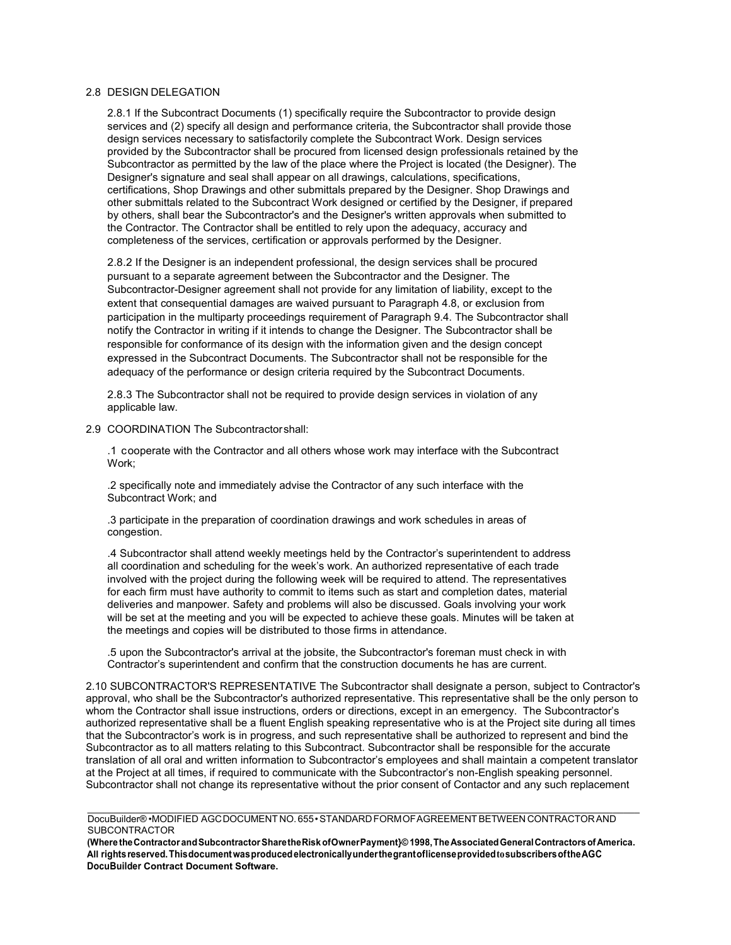### 2.8 DESIGN DELEGATION

2.8.1 If the Subcontract Documents (1) specifically require the Subcontractor to provide design services and (2) specify all design and performance criteria, the Subcontractor shall provide those design services necessary to satisfactorily complete the Subcontract Work. Design services provided by the Subcontractor shall be procured from licensed design professionals retained by the Subcontractor as permitted by the law of the place where the Project is located (the Designer). The Designer's signature and seal shall appear on all drawings, calculations, specifications, certifications, Shop Drawings and other submittals prepared by the Designer. Shop Drawings and other submittals related to the Subcontract Work designed or certified by the Designer, if prepared by others, shall bear the Subcontractor's and the Designer's written approvals when submitted to the Contractor. The Contractor shall be entitled to rely upon the adequacy, accuracy and completeness of the services, certification or approvals performed by the Designer.

2.8.2 If the Designer is an independent professional, the design services shall be procured pursuant to a separate agreement between the Subcontractor and the Designer. The Subcontractor-Designer agreement shall not provide for any limitation of liability, except to the extent that consequential damages are waived pursuant to Paragraph 4.8, or exclusion from participation in the multiparty proceedings requirement of Paragraph 9.4. The Subcontractor shall notify the Contractor in writing if it intends to change the Designer. The Subcontractor shall be responsible for conformance of its design with the information given and the design concept expressed in the Subcontract Documents. The Subcontractor shall not be responsible for the adequacy of the performance or design criteria required by the Subcontract Documents.

2.8.3 The Subcontractor shall not be required to provide design services in violation of any applicable law.

2.9 COORDINATION The Subcontractor shall:

.1 cooperate with the Contractor and all others whose work may interface with the Subcontract Work;

.2 specifically note and immediately advise the Contractor of any such interface with the Subcontract Work; and

.3 participate in the preparation of coordination drawings and work schedules in areas of congestion.

.4 Subcontractor shall attend weekly meetings held by the Contractor's superintendent to address all coordination and scheduling for the week's work. An authorized representative of each trade involved with the project during the following week will be required to attend. The representatives for each firm must have authority to commit to items such as start and completion dates, material deliveries and manpower. Safety and problems will also be discussed. Goals involving your work will be set at the meeting and you will be expected to achieve these goals. Minutes will be taken at the meetings and copies will be distributed to those firms in attendance.

.5 upon the Subcontractor's arrival at the jobsite, the Subcontractor's foreman must check in with Contractor's superintendent and confirm that the construction documents he has are current.

2.10 SUBCONTRACTOR'S REPRESENTATIVE The Subcontractor shall designate a person, subject to Contractor's approval, who shall be the Subcontractor's authorized representative. This representative shall be the only person to whom the Contractor shall issue instructions, orders or directions, except in an emergency. The Subcontractor's authorized representative shall be a fluent English speaking representative who is at the Project site during all times that the Subcontractor's work is in progress, and such representative shall be authorized to represent and bind the Subcontractor as to all matters relating to this Subcontract. Subcontractor shall be responsible for the accurate translation of all oral and written information to Subcontractor's employees and shall maintain a competent translator at the Project at all times, if required to communicate with the Subcontractor's non-English speaking personnel. Subcontractor shall not change its representative without the prior consent of Contactor and any such replacement

#### DocuBuilder® •MODIFIED AGC DOCUMENT NO. 655 • STANDARD FORM OF AGREEMENT BETWEEN CONTRACTOR AND **SUBCONTRACTOR**

**(Where the Contractor and Subcontractor Share the Risk of Owner Payment}© 1998, The Associated General Contractors of America. All rights reserved. This document was produced electronically under the grant of license provided to subscribers of the AGC DocuBuilder Contract Document Software.** 

 $\_$  , and the state of the state of the state of the state of the state of the state of the state of the state of the state of the state of the state of the state of the state of the state of the state of the state of the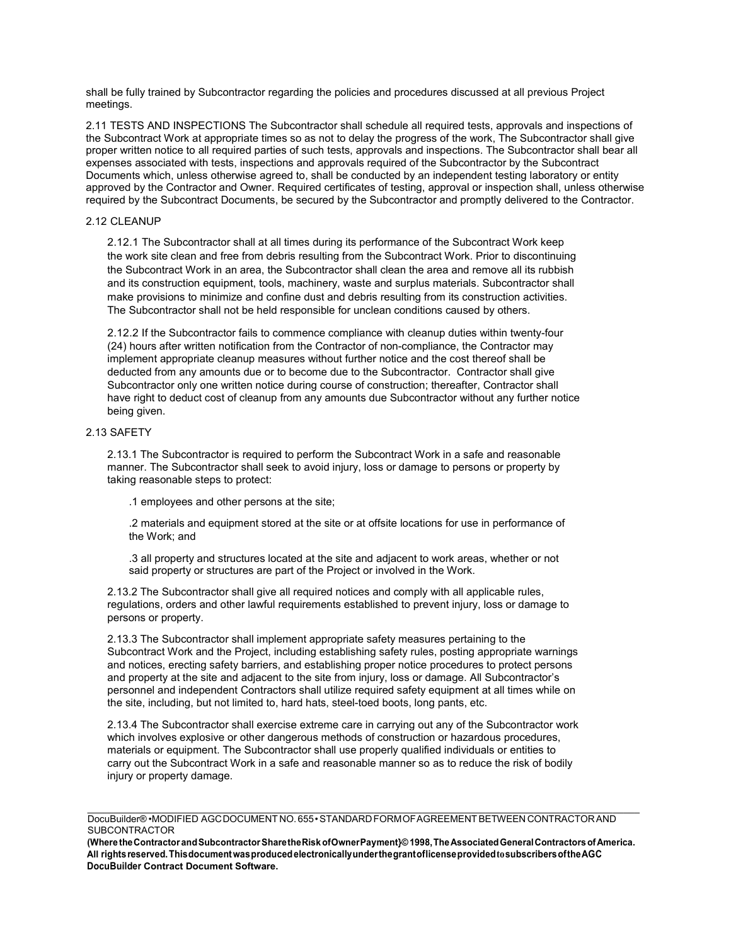shall be fully trained by Subcontractor regarding the policies and procedures discussed at all previous Project meetings.

2.11 TESTS AND INSPECTIONS The Subcontractor shall schedule all required tests, approvals and inspections of the Subcontract Work at appropriate times so as not to delay the progress of the work, The Subcontractor shall give proper written notice to all required parties of such tests, approvals and inspections. The Subcontractor shall bear all expenses associated with tests, inspections and approvals required of the Subcontractor by the Subcontract Documents which, unless otherwise agreed to, shall be conducted by an independent testing laboratory or entity approved by the Contractor and Owner. Required certificates of testing, approval or inspection shall, unless otherwise required by the Subcontract Documents, be secured by the Subcontractor and promptly delivered to the Contractor.

#### 2.12 CLEANUP

2.12.1 The Subcontractor shall at all times during its performance of the Subcontract Work keep the work site clean and free from debris resulting from the Subcontract Work. Prior to discontinuing the Subcontract Work in an area, the Subcontractor shall clean the area and remove all its rubbish and its construction equipment, tools, machinery, waste and surplus materials. Subcontractor shall make provisions to minimize and confine dust and debris resulting from its construction activities. The Subcontractor shall not be held responsible for unclean conditions caused by others.

2.12.2 If the Subcontractor fails to commence compliance with cleanup duties within twenty-four (24) hours after written notification from the Contractor of non-compliance, the Contractor may implement appropriate cleanup measures without further notice and the cost thereof shall be deducted from any amounts due or to become due to the Subcontractor. Contractor shall give Subcontractor only one written notice during course of construction; thereafter, Contractor shall have right to deduct cost of cleanup from any amounts due Subcontractor without any further notice being given.

#### 2.13 SAFETY

2.13.1 The Subcontractor is required to perform the Subcontract Work in a safe and reasonable manner. The Subcontractor shall seek to avoid injury, loss or damage to persons or property by taking reasonable steps to protect:

.1 employees and other persons at the site;

.2 materials and equipment stored at the site or at offsite locations for use in performance of the Work; and

.3 all property and structures located at the site and adjacent to work areas, whether or not said property or structures are part of the Project or involved in the Work.

2.13.2 The Subcontractor shall give all required notices and comply with all applicable rules, regulations, orders and other lawful requirements established to prevent injury, loss or damage to persons or property.

2.13.3 The Subcontractor shall implement appropriate safety measures pertaining to the Subcontract Work and the Project, including establishing safety rules, posting appropriate warnings and notices, erecting safety barriers, and establishing proper notice procedures to protect persons and property at the site and adjacent to the site from injury, loss or damage. All Subcontractor's personnel and independent Contractors shall utilize required safety equipment at all times while on the site, including, but not limited to, hard hats, steel-toed boots, long pants, etc.

2.13.4 The Subcontractor shall exercise extreme care in carrying out any of the Subcontractor work which involves explosive or other dangerous methods of construction or hazardous procedures, materials or equipment. The Subcontractor shall use properly qualified individuals or entities to carry out the Subcontract Work in a safe and reasonable manner so as to reduce the risk of bodily injury or property damage.

#### $\_$  , and the state of the state of the state of the state of the state of the state of the state of the state of the state of the state of the state of the state of the state of the state of the state of the state of the DocuBuilder® •MODIFIED AGC DOCUMENT NO. 655 • STANDARD FORM OF AGREEMENT BETWEEN CONTRACTOR AND **SUBCONTRACTOR**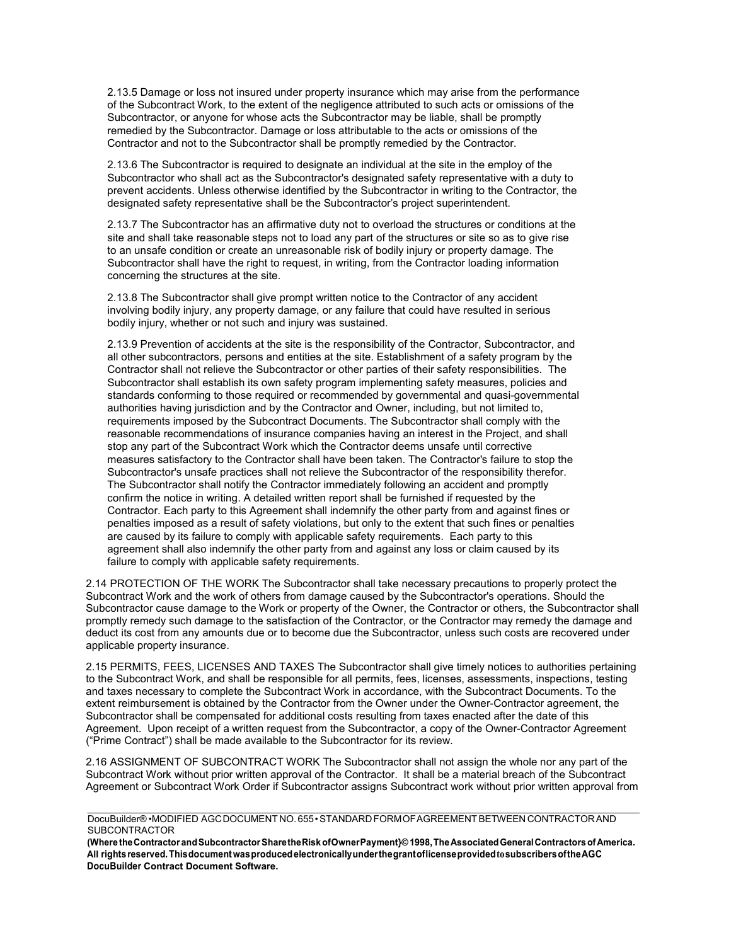2.13.5 Damage or loss not insured under property insurance which may arise from the performance of the Subcontract Work, to the extent of the negligence attributed to such acts or omissions of the Subcontractor, or anyone for whose acts the Subcontractor may be liable, shall be promptly remedied by the Subcontractor. Damage or loss attributable to the acts or omissions of the Contractor and not to the Subcontractor shall be promptly remedied by the Contractor.

2.13.6 The Subcontractor is required to designate an individual at the site in the employ of the Subcontractor who shall act as the Subcontractor's designated safety representative with a duty to prevent accidents. Unless otherwise identified by the Subcontractor in writing to the Contractor, the designated safety representative shall be the Subcontractor's project superintendent.

2.13.7 The Subcontractor has an affirmative duty not to overload the structures or conditions at the site and shall take reasonable steps not to load any part of the structures or site so as to give rise to an unsafe condition or create an unreasonable risk of bodily injury or property damage. The Subcontractor shall have the right to request, in writing, from the Contractor loading information concerning the structures at the site.

2.13.8 The Subcontractor shall give prompt written notice to the Contractor of any accident involving bodily injury, any property damage, or any failure that could have resulted in serious bodily injury, whether or not such and injury was sustained.

2.13.9 Prevention of accidents at the site is the responsibility of the Contractor, Subcontractor, and all other subcontractors, persons and entities at the site. Establishment of a safety program by the Contractor shall not relieve the Subcontractor or other parties of their safety responsibilities. The Subcontractor shall establish its own safety program implementing safety measures, policies and standards conforming to those required or recommended by governmental and quasi-governmental authorities having jurisdiction and by the Contractor and Owner, including, but not limited to, requirements imposed by the Subcontract Documents. The Subcontractor shall comply with the reasonable recommendations of insurance companies having an interest in the Project, and shall stop any part of the Subcontract Work which the Contractor deems unsafe until corrective measures satisfactory to the Contractor shall have been taken. The Contractor's failure to stop the Subcontractor's unsafe practices shall not relieve the Subcontractor of the responsibility therefor. The Subcontractor shall notify the Contractor immediately following an accident and promptly confirm the notice in writing. A detailed written report shall be furnished if requested by the Contractor. Each party to this Agreement shall indemnify the other party from and against fines or penalties imposed as a result of safety violations, but only to the extent that such fines or penalties are caused by its failure to comply with applicable safety requirements. Each party to this agreement shall also indemnify the other party from and against any loss or claim caused by its failure to comply with applicable safety requirements.

2.14 PROTECTION OF THE WORK The Subcontractor shall take necessary precautions to properly protect the Subcontract Work and the work of others from damage caused by the Subcontractor's operations. Should the Subcontractor cause damage to the Work or property of the Owner, the Contractor or others, the Subcontractor shall promptly remedy such damage to the satisfaction of the Contractor, or the Contractor may remedy the damage and deduct its cost from any amounts due or to become due the Subcontractor, unless such costs are recovered under applicable property insurance.

2.15 PERMITS, FEES, LICENSES AND TAXES The Subcontractor shall give timely notices to authorities pertaining to the Subcontract Work, and shall be responsible for all permits, fees, licenses, assessments, inspections, testing and taxes necessary to complete the Subcontract Work in accordance, with the Subcontract Documents. To the extent reimbursement is obtained by the Contractor from the Owner under the Owner-Contractor agreement, the Subcontractor shall be compensated for additional costs resulting from taxes enacted after the date of this Agreement. Upon receipt of a written request from the Subcontractor, a copy of the Owner-Contractor Agreement ("Prime Contract") shall be made available to the Subcontractor for its review.

2.16 ASSIGNMENT OF SUBCONTRACT WORK The Subcontractor shall not assign the whole nor any part of the Subcontract Work without prior written approval of the Contractor. It shall be a material breach of the Subcontract Agreement or Subcontract Work Order if Subcontractor assigns Subcontract work without prior written approval from

 $\_$  , and the state of the state of the state of the state of the state of the state of the state of the state of the state of the state of the state of the state of the state of the state of the state of the state of the

#### DocuBuilder® •MODIFIED AGC DOCUMENT NO. 655 • STANDARD FORM OF AGREEMENT BETWEEN CONTRACTOR AND **SUBCONTRACTOR**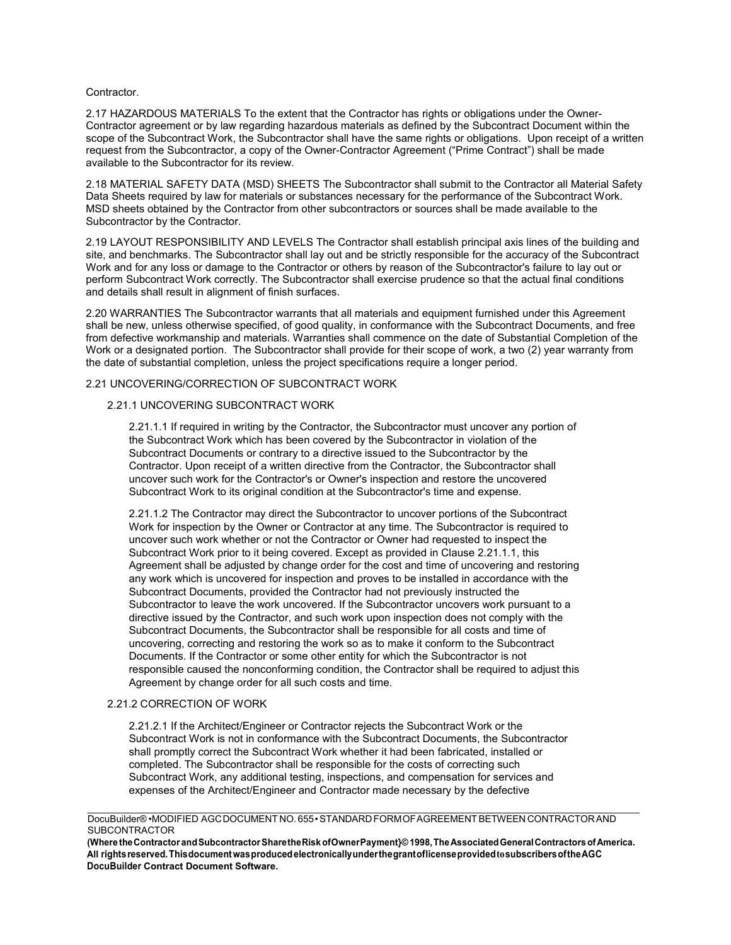#### Contractor.

2.17 HAZARDOUS MATERIALS To the extent that the Contractor has rights or obligations under the Owner-Contractor agreement or by law regarding hazardous materials as defined by the Subcontract Document within the scope of the Subcontract Work, the Subcontractor shall have the same rights or obligations. Upon receipt of a written request from the Subcontractor, a copy of the Owner-Contractor Agreement ("Prime Contract") shall be made available to the Subcontractor for its review.

2.18 MATERIAL SAFETY DATA (MSD) SHEETS The Subcontractor shall submit to the Contractor all Material Safety Data Sheets required by law for materials or substances necessary for the performance of the Subcontract Work. MSD sheets obtained by the Contractor from other subcontractors or sources shall be made available to the Subcontractor by the Contractor.

2.19 LAYOUT RESPONSIBILITY AND LEVELS The Contractor shall establish principal axis lines of the building and site, and benchmarks. The Subcontractor shall lay out and be strictly responsible for the accuracy of the Subcontract Work and for any loss or damage to the Contractor or others by reason of the Subcontractor's failure to lay out or perform Subcontract Work correctly. The Subcontractor shall exercise prudence so that the actual final conditions and details shall result in alignment of finish surfaces.

2.20 WARRANTIES The Subcontractor warrants that all materials and equipment furnished under this Agreement shall be new, unless otherwise specified, of good quality, in conformance with the Subcontract Documents, and free from defective workmanship and materials. Warranties shall commence on the date of Substantial Completion of the Work or a designated portion. The Subcontractor shall provide for their scope of work, a two (2) year warranty from the date of substantial completion, unless the project specifications require a longer period.

#### 2.21 UNCOVERING/CORRECTION OF SUBCONTRACT WORK

#### 2.21.1 UNCOVERING SUBCONTRACT WORK

2.21.1.1 If required in writing by the Contractor, the Subcontractor must uncover any portion of the Subcontract Work which has been covered by the Subcontractor in violation of the Subcontract Documents or contrary to a directive issued to the Subcontractor by the Contractor. Upon receipt of a written directive from the Contractor, the Subcontractor shall uncover such work for the Contractor's or Owner's inspection and restore the uncovered Subcontract Work to its original condition at the Subcontractor's time and expense.

2.21.1.2 The Contractor may direct the Subcontractor to uncover portions of the Subcontract Work for inspection by the Owner or Contractor at any time. The Subcontractor is required to uncover such work whether or not the Contractor or Owner had requested to inspect the Subcontract Work prior to it being covered. Except as provided in Clause 2.21.1.1, this Agreement shall be adjusted by change order for the cost and time of uncovering and restoring any work which is uncovered for inspection and proves to be installed in accordance with the Subcontract Documents, provided the Contractor had not previously instructed the Subcontractor to leave the work uncovered. If the Subcontractor uncovers work pursuant to a directive issued by the Contractor, and such work upon inspection does not comply with the Subcontract Documents, the Subcontractor shall be responsible for all costs and time of uncovering, correcting and restoring the work so as to make it conform to the Subcontract Documents. If the Contractor or some other entity for which the Subcontractor is not responsible caused the nonconforming condition, the Contractor shall be required to adjust this Agreement by change order for all such costs and time.

#### 2.21.2 CORRECTION OF WORK

2.21.2.1 If the Architect/Engineer or Contractor rejects the Subcontract Work or the Subcontract Work is not in conformance with the Subcontract Documents, the Subcontractor shall promptly correct the Subcontract Work whether it had been fabricated, installed or completed. The Subcontractor shall be responsible for the costs of correcting such Subcontract Work, any additional testing, inspections, and compensation for services and expenses of the Architect/Engineer and Contractor made necessary by the defective

 $\_$  , and the state of the state of the state of the state of the state of the state of the state of the state of the state of the state of the state of the state of the state of the state of the state of the state of the DocuBuilder® •MODIFIED AGC DOCUMENT NO. 655 • STANDARD FORM OF AGREEMENT BETWEEN CONTRACTOR AND **SUBCONTRACTOR**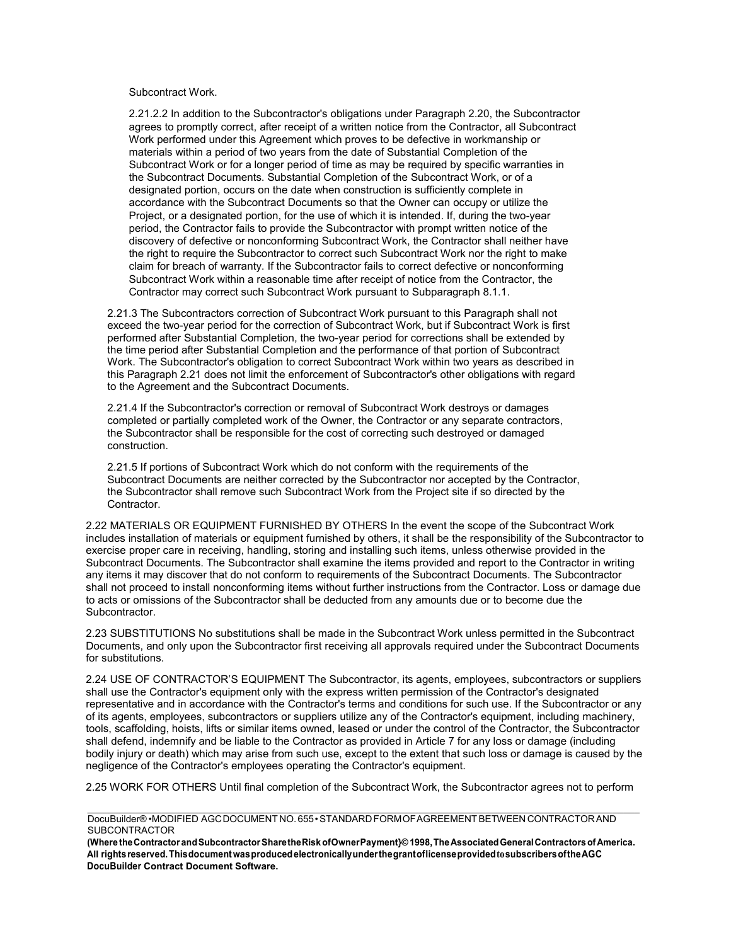Subcontract Work.

2.21.2.2 In addition to the Subcontractor's obligations under Paragraph 2.20, the Subcontractor agrees to promptly correct, after receipt of a written notice from the Contractor, all Subcontract Work performed under this Agreement which proves to be defective in workmanship or materials within a period of two years from the date of Substantial Completion of the Subcontract Work or for a longer period of time as may be required by specific warranties in the Subcontract Documents. Substantial Completion of the Subcontract Work, or of a designated portion, occurs on the date when construction is sufficiently complete in accordance with the Subcontract Documents so that the Owner can occupy or utilize the Project, or a designated portion, for the use of which it is intended. If, during the two-year period, the Contractor fails to provide the Subcontractor with prompt written notice of the discovery of defective or nonconforming Subcontract Work, the Contractor shall neither have the right to require the Subcontractor to correct such Subcontract Work nor the right to make claim for breach of warranty. If the Subcontractor fails to correct defective or nonconforming Subcontract Work within a reasonable time after receipt of notice from the Contractor, the Contractor may correct such Subcontract Work pursuant to Subparagraph 8.1.1.

2.21.3 The Subcontractors correction of Subcontract Work pursuant to this Paragraph shall not exceed the two-year period for the correction of Subcontract Work, but if Subcontract Work is first performed after Substantial Completion, the two-year period for corrections shall be extended by the time period after Substantial Completion and the performance of that portion of Subcontract Work. The Subcontractor's obligation to correct Subcontract Work within two years as described in this Paragraph 2.21 does not limit the enforcement of Subcontractor's other obligations with regard to the Agreement and the Subcontract Documents.

2.21.4 If the Subcontractor's correction or removal of Subcontract Work destroys or damages completed or partially completed work of the Owner, the Contractor or any separate contractors, the Subcontractor shall be responsible for the cost of correcting such destroyed or damaged construction.

2.21.5 If portions of Subcontract Work which do not conform with the requirements of the Subcontract Documents are neither corrected by the Subcontractor nor accepted by the Contractor, the Subcontractor shall remove such Subcontract Work from the Project site if so directed by the Contractor.

2.22 MATERIALS OR EQUIPMENT FURNISHED BY OTHERS In the event the scope of the Subcontract Work includes installation of materials or equipment furnished by others, it shall be the responsibility of the Subcontractor to exercise proper care in receiving, handling, storing and installing such items, unless otherwise provided in the Subcontract Documents. The Subcontractor shall examine the items provided and report to the Contractor in writing any items it may discover that do not conform to requirements of the Subcontract Documents. The Subcontractor shall not proceed to install nonconforming items without further instructions from the Contractor. Loss or damage due to acts or omissions of the Subcontractor shall be deducted from any amounts due or to become due the Subcontractor.

2.23 SUBSTITUTIONS No substitutions shall be made in the Subcontract Work unless permitted in the Subcontract Documents, and only upon the Subcontractor first receiving all approvals required under the Subcontract Documents for substitutions.

2.24 USE OF CONTRACTOR'S EQUIPMENT The Subcontractor, its agents, employees, subcontractors or suppliers shall use the Contractor's equipment only with the express written permission of the Contractor's designated representative and in accordance with the Contractor's terms and conditions for such use. If the Subcontractor or any of its agents, employees, subcontractors or suppliers utilize any of the Contractor's equipment, including machinery, tools, scaffolding, hoists, lifts or similar items owned, leased or under the control of the Contractor, the Subcontractor shall defend, indemnify and be liable to the Contractor as provided in Article 7 for any loss or damage (including bodily injury or death) which may arise from such use, except to the extent that such loss or damage is caused by the negligence of the Contractor's employees operating the Contractor's equipment.

2.25 WORK FOR OTHERS Until final completion of the Subcontract Work, the Subcontractor agrees not to perform

 $\_$  , and the state of the state of the state of the state of the state of the state of the state of the state of the state of the state of the state of the state of the state of the state of the state of the state of the DocuBuilder® •MODIFIED AGC DOCUMENT NO. 655 • STANDARD FORM OF AGREEMENT BETWEEN CONTRACTOR AND **SUBCONTRACTOR**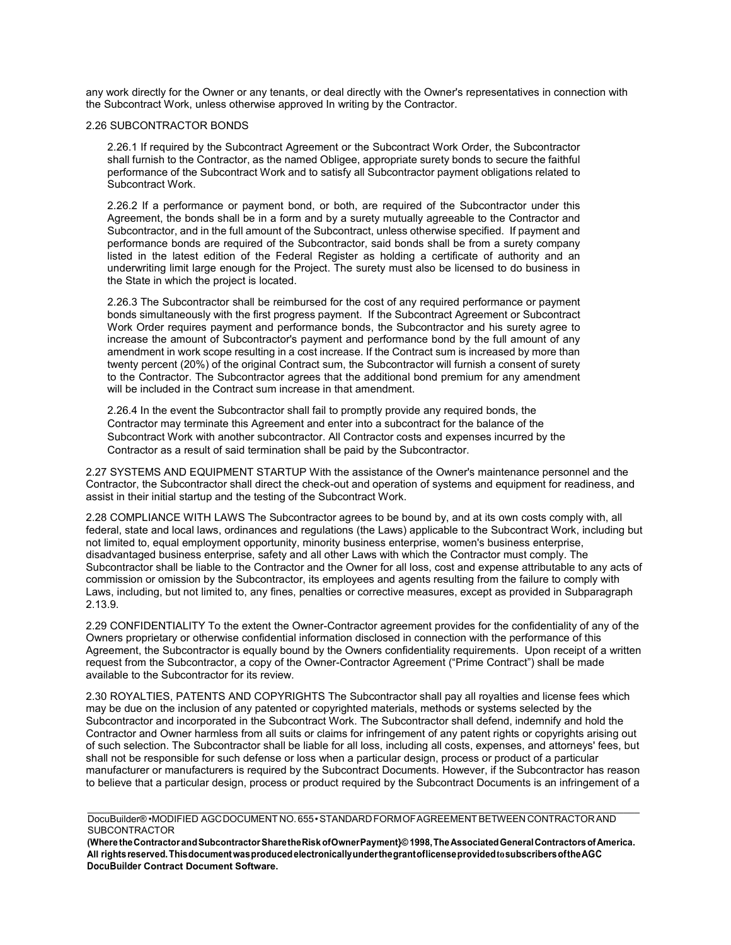any work directly for the Owner or any tenants, or deal directly with the Owner's representatives in connection with the Subcontract Work, unless otherwise approved In writing by the Contractor.

#### 2.26 SUBCONTRACTOR BONDS

2.26.1 If required by the Subcontract Agreement or the Subcontract Work Order, the Subcontractor shall furnish to the Contractor, as the named Obligee, appropriate surety bonds to secure the faithful performance of the Subcontract Work and to satisfy all Subcontractor payment obligations related to Subcontract Work.

2.26.2 If a performance or payment bond, or both, are required of the Subcontractor under this Agreement, the bonds shall be in a form and by a surety mutually agreeable to the Contractor and Subcontractor, and in the full amount of the Subcontract, unless otherwise specified. If payment and performance bonds are required of the Subcontractor, said bonds shall be from a surety company listed in the latest edition of the Federal Register as holding a certificate of authority and an underwriting limit large enough for the Project. The surety must also be licensed to do business in the State in which the project is located.

2.26.3 The Subcontractor shall be reimbursed for the cost of any required performance or payment bonds simultaneously with the first progress payment. If the Subcontract Agreement or Subcontract Work Order requires payment and performance bonds, the Subcontractor and his surety agree to increase the amount of Subcontractor's payment and performance bond by the full amount of any amendment in work scope resulting in a cost increase. If the Contract sum is increased by more than twenty percent (20%) of the original Contract sum, the Subcontractor will furnish a consent of surety to the Contractor. The Subcontractor agrees that the additional bond premium for any amendment will be included in the Contract sum increase in that amendment.

2.26.4 In the event the Subcontractor shall fail to promptly provide any required bonds, the Contractor may terminate this Agreement and enter into a subcontract for the balance of the Subcontract Work with another subcontractor. All Contractor costs and expenses incurred by the Contractor as a result of said termination shall be paid by the Subcontractor.

2.27 SYSTEMS AND EQUIPMENT STARTUP With the assistance of the Owner's maintenance personnel and the Contractor, the Subcontractor shall direct the check-out and operation of systems and equipment for readiness, and assist in their initial startup and the testing of the Subcontract Work.

2.28 COMPLIANCE WITH LAWS The Subcontractor agrees to be bound by, and at its own costs comply with, all federal, state and local laws, ordinances and regulations (the Laws) applicable to the Subcontract Work, including but not limited to, equal employment opportunity, minority business enterprise, women's business enterprise, disadvantaged business enterprise, safety and all other Laws with which the Contractor must comply. The Subcontractor shall be liable to the Contractor and the Owner for all loss, cost and expense attributable to any acts of commission or omission by the Subcontractor, its employees and agents resulting from the failure to comply with Laws, including, but not limited to, any fines, penalties or corrective measures, except as provided in Subparagraph 2.13.9.

2.29 CONFIDENTIALITY To the extent the Owner-Contractor agreement provides for the confidentiality of any of the Owners proprietary or otherwise confidential information disclosed in connection with the performance of this Agreement, the Subcontractor is equally bound by the Owners confidentiality requirements. Upon receipt of a written request from the Subcontractor, a copy of the Owner-Contractor Agreement ("Prime Contract") shall be made available to the Subcontractor for its review.

2.30 ROYALTIES, PATENTS AND COPYRIGHTS The Subcontractor shall pay all royalties and license fees which may be due on the inclusion of any patented or copyrighted materials, methods or systems selected by the Subcontractor and incorporated in the Subcontract Work. The Subcontractor shall defend, indemnify and hold the Contractor and Owner harmless from all suits or claims for infringement of any patent rights or copyrights arising out of such selection. The Subcontractor shall be liable for all loss, including all costs, expenses, and attorneys' fees, but shall not be responsible for such defense or loss when a particular design, process or product of a particular manufacturer or manufacturers is required by the Subcontract Documents. However, if the Subcontractor has reason to believe that a particular design, process or product required by the Subcontract Documents is an infringement of a

#### DocuBuilder® •MODIFIED AGC DOCUMENT NO. 655 • STANDARD FORM OF AGREEMENT BETWEEN CONTRACTOR AND **SUBCONTRACTOR**

**(Where the Contractor and Subcontractor Share the Risk of Owner Payment}© 1998, The Associated General Contractors of America. All rights reserved. This document was produced electronically under the grant of license provided to subscribers of the AGC DocuBuilder Contract Document Software.** 

 $\_$  , and the state of the state of the state of the state of the state of the state of the state of the state of the state of the state of the state of the state of the state of the state of the state of the state of the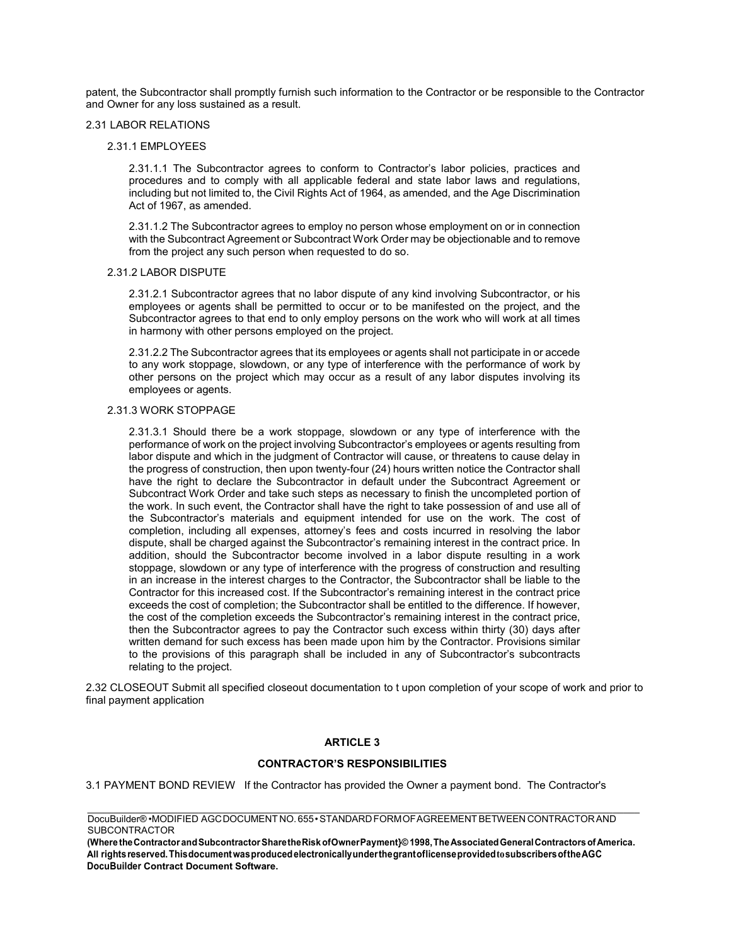patent, the Subcontractor shall promptly furnish such information to the Contractor or be responsible to the Contractor and Owner for any loss sustained as a result.

#### 2.31 LABOR RELATIONS

#### 2.31.1 EMPLOYEES

2.31.1.1 The Subcontractor agrees to conform to Contractor's labor policies, practices and procedures and to comply with all applicable federal and state labor laws and regulations, including but not limited to, the Civil Rights Act of 1964, as amended, and the Age Discrimination Act of 1967, as amended.

2.31.1.2 The Subcontractor agrees to employ no person whose employment on or in connection with the Subcontract Agreement or Subcontract Work Order may be objectionable and to remove from the project any such person when requested to do so.

## 2.31.2 LABOR DISPUTE

2.31.2.1 Subcontractor agrees that no labor dispute of any kind involving Subcontractor, or his employees or agents shall be permitted to occur or to be manifested on the project, and the Subcontractor agrees to that end to only employ persons on the work who will work at all times in harmony with other persons employed on the project.

2.31.2.2 The Subcontractor agrees that its employees or agents shall not participate in or accede to any work stoppage, slowdown, or any type of interference with the performance of work by other persons on the project which may occur as a result of any labor disputes involving its employees or agents.

#### 2.31.3 WORK STOPPAGE

2.31.3.1 Should there be a work stoppage, slowdown or any type of interference with the performance of work on the project involving Subcontractor's employees or agents resulting from labor dispute and which in the judgment of Contractor will cause, or threatens to cause delay in the progress of construction, then upon twenty-four (24) hours written notice the Contractor shall have the right to declare the Subcontractor in default under the Subcontract Agreement or Subcontract Work Order and take such steps as necessary to finish the uncompleted portion of the work. In such event, the Contractor shall have the right to take possession of and use all of the Subcontractor's materials and equipment intended for use on the work. The cost of completion, including all expenses, attorney's fees and costs incurred in resolving the labor dispute, shall be charged against the Subcontractor's remaining interest in the contract price. In addition, should the Subcontractor become involved in a labor dispute resulting in a work stoppage, slowdown or any type of interference with the progress of construction and resulting in an increase in the interest charges to the Contractor, the Subcontractor shall be liable to the Contractor for this increased cost. If the Subcontractor's remaining interest in the contract price exceeds the cost of completion; the Subcontractor shall be entitled to the difference. If however, the cost of the completion exceeds the Subcontractor's remaining interest in the contract price, then the Subcontractor agrees to pay the Contractor such excess within thirty (30) days after written demand for such excess has been made upon him by the Contractor. Provisions similar to the provisions of this paragraph shall be included in any of Subcontractor's subcontracts relating to the project.

2.32 CLOSEOUT Submit all specified closeout documentation to t upon completion of your scope of work and prior to final payment application

## **ARTICLE 3**

#### **CONTRACTOR'S RESPONSIBILITIES**

3.1 PAYMENT BOND REVIEW If the Contractor has provided the Owner a payment bond. The Contractor's

 $\_$  , and the state of the state of the state of the state of the state of the state of the state of the state of the state of the state of the state of the state of the state of the state of the state of the state of the DocuBuilder® •MODIFIED AGC DOCUMENT NO. 655 • STANDARD FORM OF AGREEMENT BETWEEN CONTRACTOR AND **SUBCONTRACTOR**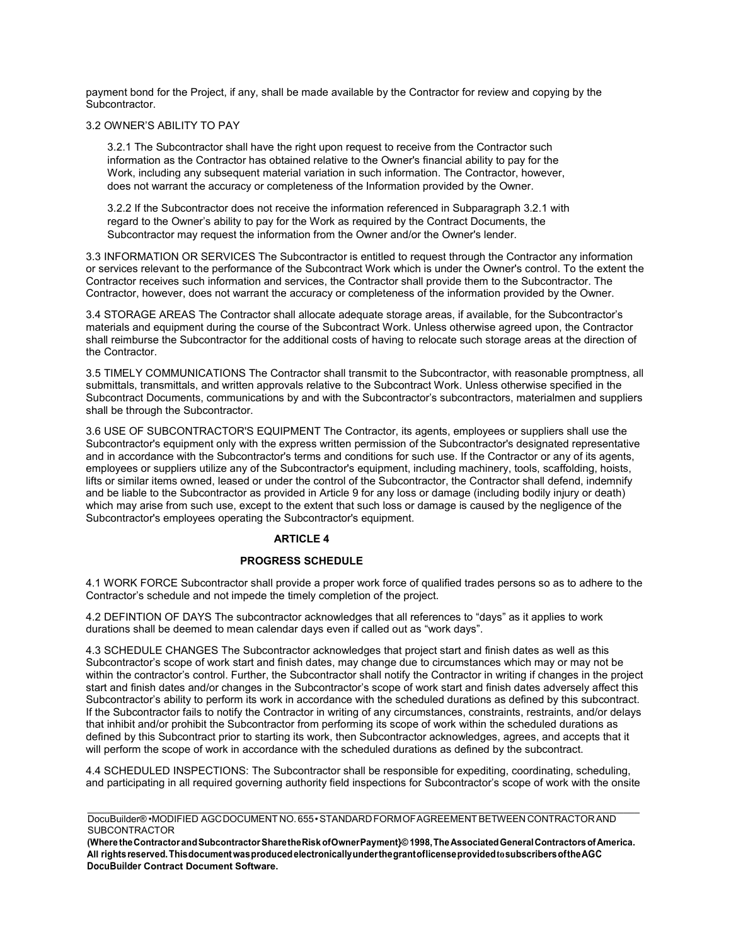payment bond for the Project, if any, shall be made available by the Contractor for review and copying by the Subcontractor.

#### 3.2 OWNER'S ABILITY TO PAY

3.2.1 The Subcontractor shall have the right upon request to receive from the Contractor such information as the Contractor has obtained relative to the Owner's financial ability to pay for the Work, including any subsequent material variation in such information. The Contractor, however, does not warrant the accuracy or completeness of the Information provided by the Owner.

3.2.2 If the Subcontractor does not receive the information referenced in Subparagraph 3.2.1 with regard to the Owner's ability to pay for the Work as required by the Contract Documents, the Subcontractor may request the information from the Owner and/or the Owner's lender.

3.3 INFORMATION OR SERVICES The Subcontractor is entitled to request through the Contractor any information or services relevant to the performance of the Subcontract Work which is under the Owner's control. To the extent the Contractor receives such information and services, the Contractor shall provide them to the Subcontractor. The Contractor, however, does not warrant the accuracy or completeness of the information provided by the Owner.

3.4 STORAGE AREAS The Contractor shall allocate adequate storage areas, if available, for the Subcontractor's materials and equipment during the course of the Subcontract Work. Unless otherwise agreed upon, the Contractor shall reimburse the Subcontractor for the additional costs of having to relocate such storage areas at the direction of the Contractor.

3.5 TIMELY COMMUNICATIONS The Contractor shall transmit to the Subcontractor, with reasonable promptness, all submittals, transmittals, and written approvals relative to the Subcontract Work. Unless otherwise specified in the Subcontract Documents, communications by and with the Subcontractor's subcontractors, materialmen and suppliers shall be through the Subcontractor.

3.6 USE OF SUBCONTRACTOR'S EQUIPMENT The Contractor, its agents, employees or suppliers shall use the Subcontractor's equipment only with the express written permission of the Subcontractor's designated representative and in accordance with the Subcontractor's terms and conditions for such use. If the Contractor or any of its agents, employees or suppliers utilize any of the Subcontractor's equipment, including machinery, tools, scaffolding, hoists, lifts or similar items owned, leased or under the control of the Subcontractor, the Contractor shall defend, indemnify and be liable to the Subcontractor as provided in Article 9 for any loss or damage (including bodily injury or death) which may arise from such use, except to the extent that such loss or damage is caused by the negligence of the Subcontractor's employees operating the Subcontractor's equipment.

#### **ARTICLE 4**

#### **PROGRESS SCHEDULE**

4.1 WORK FORCE Subcontractor shall provide a proper work force of qualified trades persons so as to adhere to the Contractor's schedule and not impede the timely completion of the project.

4.2 DEFINTION OF DAYS The subcontractor acknowledges that all references to "days" as it applies to work durations shall be deemed to mean calendar days even if called out as "work days".

4.3 SCHEDULE CHANGES The Subcontractor acknowledges that project start and finish dates as well as this Subcontractor's scope of work start and finish dates, may change due to circumstances which may or may not be within the contractor's control. Further, the Subcontractor shall notify the Contractor in writing if changes in the project start and finish dates and/or changes in the Subcontractor's scope of work start and finish dates adversely affect this Subcontractor's ability to perform its work in accordance with the scheduled durations as defined by this subcontract. If the Subcontractor fails to notify the Contractor in writing of any circumstances, constraints, restraints, and/or delays that inhibit and/or prohibit the Subcontractor from performing its scope of work within the scheduled durations as defined by this Subcontract prior to starting its work, then Subcontractor acknowledges, agrees, and accepts that it will perform the scope of work in accordance with the scheduled durations as defined by the subcontract.

4.4 SCHEDULED INSPECTIONS: The Subcontractor shall be responsible for expediting, coordinating, scheduling, and participating in all required governing authority field inspections for Subcontractor's scope of work with the onsite

#### $\_$  , and the state of the state of the state of the state of the state of the state of the state of the state of the state of the state of the state of the state of the state of the state of the state of the state of the DocuBuilder® •MODIFIED AGC DOCUMENT NO. 655 • STANDARD FORM OF AGREEMENT BETWEEN CONTRACTOR AND **SUBCONTRACTOR**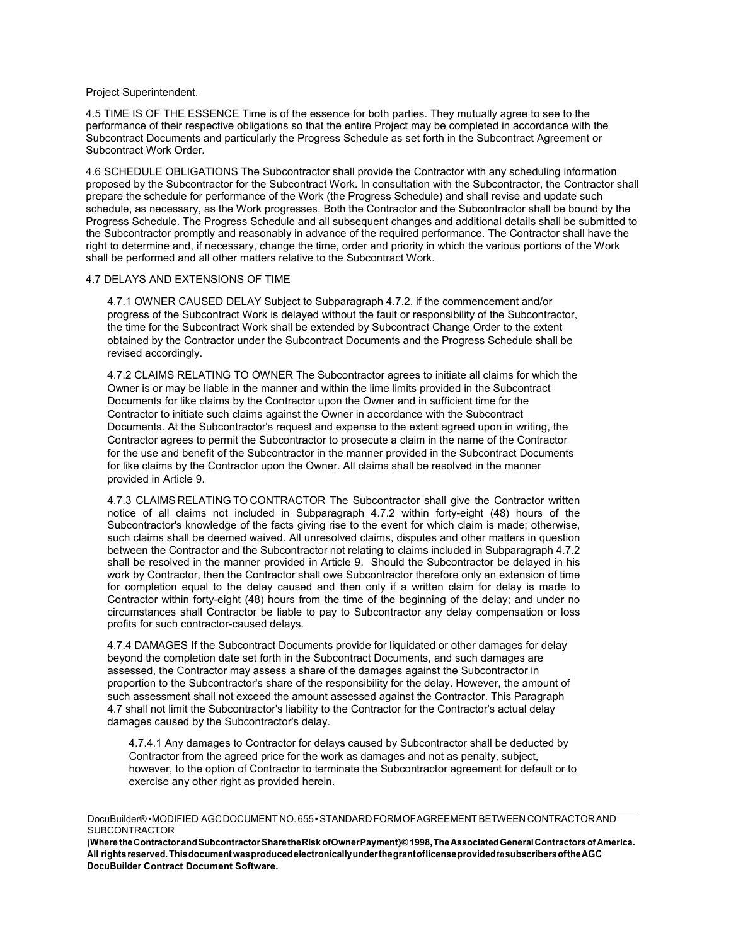#### Project Superintendent.

4.5 TIME IS OF THE ESSENCE Time is of the essence for both parties. They mutually agree to see to the performance of their respective obligations so that the entire Project may be completed in accordance with the Subcontract Documents and particularly the Progress Schedule as set forth in the Subcontract Agreement or Subcontract Work Order.

4.6 SCHEDULE OBLIGATIONS The Subcontractor shall provide the Contractor with any scheduling information proposed by the Subcontractor for the Subcontract Work. In consultation with the Subcontractor, the Contractor shall prepare the schedule for performance of the Work (the Progress Schedule) and shall revise and update such schedule, as necessary, as the Work progresses. Both the Contractor and the Subcontractor shall be bound by the Progress Schedule. The Progress Schedule and all subsequent changes and additional details shall be submitted to the Subcontractor promptly and reasonably in advance of the required performance. The Contractor shall have the right to determine and, if necessary, change the time, order and priority in which the various portions of the Work shall be performed and all other matters relative to the Subcontract Work.

#### 4.7 DELAYS AND EXTENSIONS OF TIME

4.7.1 OWNER CAUSED DELAY Subject to Subparagraph 4.7.2, if the commencement and/or progress of the Subcontract Work is delayed without the fault or responsibility of the Subcontractor, the time for the Subcontract Work shall be extended by Subcontract Change Order to the extent obtained by the Contractor under the Subcontract Documents and the Progress Schedule shall be revised accordingly.

4.7.2 CLAIMS RELATING TO OWNER The Subcontractor agrees to initiate all claims for which the Owner is or may be liable in the manner and within the lime limits provided in the Subcontract Documents for like claims by the Contractor upon the Owner and in sufficient time for the Contractor to initiate such claims against the Owner in accordance with the Subcontract Documents. At the Subcontractor's request and expense to the extent agreed upon in writing, the Contractor agrees to permit the Subcontractor to prosecute a claim in the name of the Contractor for the use and benefit of the Subcontractor in the manner provided in the Subcontract Documents for like claims by the Contractor upon the Owner. All claims shall be resolved in the manner provided in Article 9.

4.7.3 CLAIMS RELATING TO CONTRACTOR The Subcontractor shall give the Contractor written notice of all claims not included in Subparagraph 4.7.2 within forty-eight (48) hours of the Subcontractor's knowledge of the facts giving rise to the event for which claim is made; otherwise, such claims shall be deemed waived. All unresolved claims, disputes and other matters in question between the Contractor and the Subcontractor not relating to claims included in Subparagraph 4.7.2 shall be resolved in the manner provided in Article 9. Should the Subcontractor be delayed in his work by Contractor, then the Contractor shall owe Subcontractor therefore only an extension of time for completion equal to the delay caused and then only if a written claim for delay is made to Contractor within forty-eight (48) hours from the time of the beginning of the delay; and under no circumstances shall Contractor be liable to pay to Subcontractor any delay compensation or loss profits for such contractor-caused delays.

4.7.4 DAMAGES If the Subcontract Documents provide for liquidated or other damages for delay beyond the completion date set forth in the Subcontract Documents, and such damages are assessed, the Contractor may assess a share of the damages against the Subcontractor in proportion to the Subcontractor's share of the responsibility for the delay. However, the amount of such assessment shall not exceed the amount assessed against the Contractor. This Paragraph 4.7 shall not limit the Subcontractor's liability to the Contractor for the Contractor's actual delay damages caused by the Subcontractor's delay.

4.7.4.1 Any damages to Contractor for delays caused by Subcontractor shall be deducted by Contractor from the agreed price for the work as damages and not as penalty, subject, however, to the option of Contractor to terminate the Subcontractor agreement for default or to exercise any other right as provided herein.

#### $\_$  , and the state of the state of the state of the state of the state of the state of the state of the state of the state of the state of the state of the state of the state of the state of the state of the state of the DocuBuilder® •MODIFIED AGC DOCUMENT NO. 655 • STANDARD FORM OF AGREEMENT BETWEEN CONTRACTOR AND **SUBCONTRACTOR**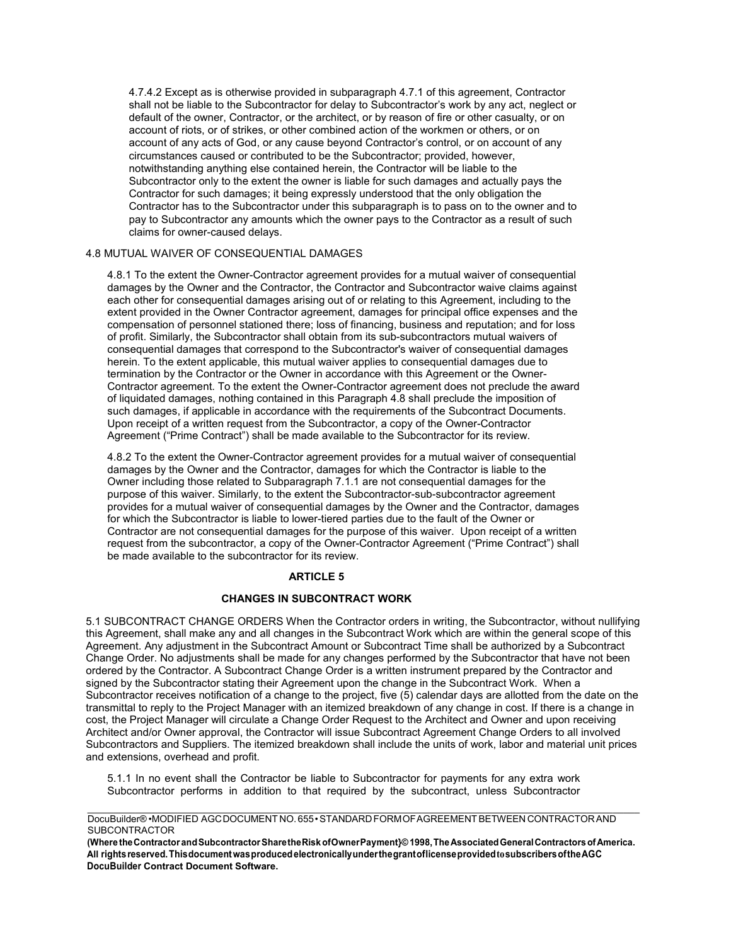4.7.4.2 Except as is otherwise provided in subparagraph 4.7.1 of this agreement, Contractor shall not be liable to the Subcontractor for delay to Subcontractor's work by any act, neglect or default of the owner, Contractor, or the architect, or by reason of fire or other casualty, or on account of riots, or of strikes, or other combined action of the workmen or others, or on account of any acts of God, or any cause beyond Contractor's control, or on account of any circumstances caused or contributed to be the Subcontractor; provided, however, notwithstanding anything else contained herein, the Contractor will be liable to the Subcontractor only to the extent the owner is liable for such damages and actually pays the Contractor for such damages; it being expressly understood that the only obligation the Contractor has to the Subcontractor under this subparagraph is to pass on to the owner and to pay to Subcontractor any amounts which the owner pays to the Contractor as a result of such claims for owner-caused delays.

### 4.8 MUTUAL WAIVER OF CONSEQUENTIAL DAMAGES

4.8.1 To the extent the Owner-Contractor agreement provides for a mutual waiver of consequential damages by the Owner and the Contractor, the Contractor and Subcontractor waive claims against each other for consequential damages arising out of or relating to this Agreement, including to the extent provided in the Owner Contractor agreement, damages for principal office expenses and the compensation of personnel stationed there; loss of financing, business and reputation; and for loss of profit. Similarly, the Subcontractor shall obtain from its sub-subcontractors mutual waivers of consequential damages that correspond to the Subcontractor's waiver of consequential damages herein. To the extent applicable, this mutual waiver applies to consequential damages due to termination by the Contractor or the Owner in accordance with this Agreement or the Owner-Contractor agreement. To the extent the Owner-Contractor agreement does not preclude the award of liquidated damages, nothing contained in this Paragraph 4.8 shall preclude the imposition of such damages, if applicable in accordance with the requirements of the Subcontract Documents. Upon receipt of a written request from the Subcontractor, a copy of the Owner-Contractor Agreement ("Prime Contract") shall be made available to the Subcontractor for its review.

4.8.2 To the extent the Owner-Contractor agreement provides for a mutual waiver of consequential damages by the Owner and the Contractor, damages for which the Contractor is liable to the Owner including those related to Subparagraph 7.1.1 are not consequential damages for the purpose of this waiver. Similarly, to the extent the Subcontractor-sub-subcontractor agreement provides for a mutual waiver of consequential damages by the Owner and the Contractor, damages for which the Subcontractor is liable to lower-tiered parties due to the fault of the Owner or Contractor are not consequential damages for the purpose of this waiver. Upon receipt of a written request from the subcontractor, a copy of the Owner-Contractor Agreement ("Prime Contract") shall be made available to the subcontractor for its review.

#### **ARTICLE 5**

#### **CHANGES IN SUBCONTRACT WORK**

5.1 SUBCONTRACT CHANGE ORDERS When the Contractor orders in writing, the Subcontractor, without nullifying this Agreement, shall make any and all changes in the Subcontract Work which are within the general scope of this Agreement. Any adjustment in the Subcontract Amount or Subcontract Time shall be authorized by a Subcontract Change Order. No adjustments shall be made for any changes performed by the Subcontractor that have not been ordered by the Contractor. A Subcontract Change Order is a written instrument prepared by the Contractor and signed by the Subcontractor stating their Agreement upon the change in the Subcontract Work. When a Subcontractor receives notification of a change to the project, five (5) calendar days are allotted from the date on the transmittal to reply to the Project Manager with an itemized breakdown of any change in cost. If there is a change in cost, the Project Manager will circulate a Change Order Request to the Architect and Owner and upon receiving Architect and/or Owner approval, the Contractor will issue Subcontract Agreement Change Orders to all involved Subcontractors and Suppliers. The itemized breakdown shall include the units of work, labor and material unit prices and extensions, overhead and profit.

5.1.1 In no event shall the Contractor be liable to Subcontractor for payments for any extra work Subcontractor performs in addition to that required by the subcontract, unless Subcontractor

 $\_$  , and the state of the state of the state of the state of the state of the state of the state of the state of the state of the state of the state of the state of the state of the state of the state of the state of the DocuBuilder® •MODIFIED AGC DOCUMENT NO. 655 • STANDARD FORM OF AGREEMENT BETWEEN CONTRACTOR AND **SUBCONTRACTOR**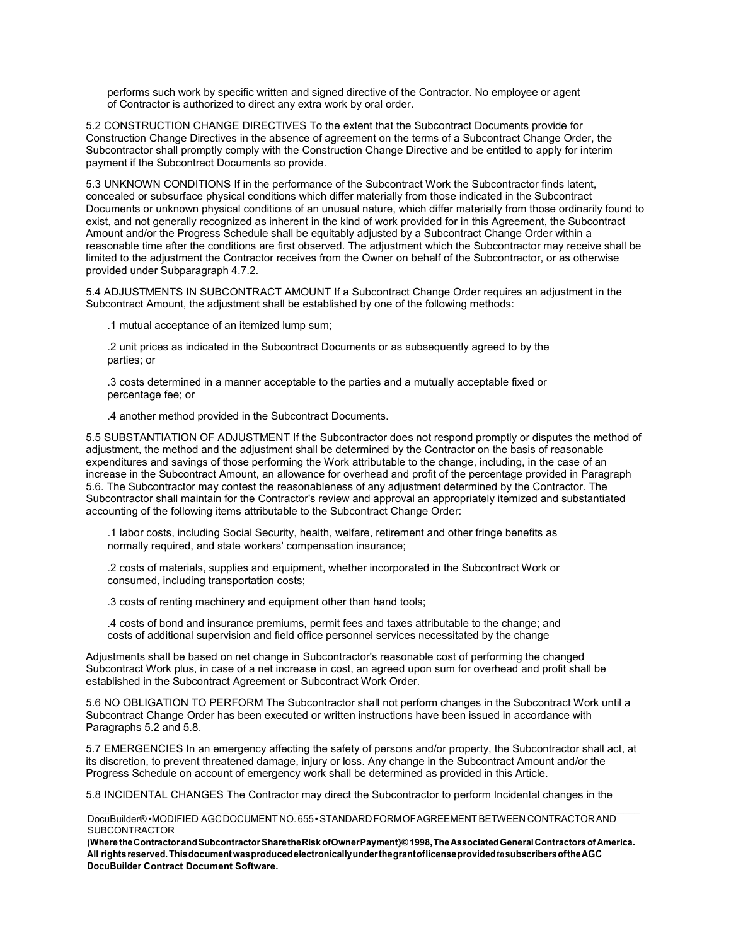performs such work by specific written and signed directive of the Contractor. No employee or agent of Contractor is authorized to direct any extra work by oral order.

5.2 CONSTRUCTION CHANGE DIRECTIVES To the extent that the Subcontract Documents provide for Construction Change Directives in the absence of agreement on the terms of a Subcontract Change Order, the Subcontractor shall promptly comply with the Construction Change Directive and be entitled to apply for interim payment if the Subcontract Documents so provide.

5.3 UNKNOWN CONDITIONS If in the performance of the Subcontract Work the Subcontractor finds latent, concealed or subsurface physical conditions which differ materially from those indicated in the Subcontract Documents or unknown physical conditions of an unusual nature, which differ materially from those ordinarily found to exist, and not generally recognized as inherent in the kind of work provided for in this Agreement, the Subcontract Amount and/or the Progress Schedule shall be equitably adjusted by a Subcontract Change Order within a reasonable time after the conditions are first observed. The adjustment which the Subcontractor may receive shall be limited to the adjustment the Contractor receives from the Owner on behalf of the Subcontractor, or as otherwise provided under Subparagraph 4.7.2.

5.4 ADJUSTMENTS IN SUBCONTRACT AMOUNT If a Subcontract Change Order requires an adjustment in the Subcontract Amount, the adjustment shall be established by one of the following methods:

.1 mutual acceptance of an itemized lump sum;

.2 unit prices as indicated in the Subcontract Documents or as subsequently agreed to by the parties; or

.3 costs determined in a manner acceptable to the parties and a mutually acceptable fixed or percentage fee; or

.4 another method provided in the Subcontract Documents.

5.5 SUBSTANTIATION OF ADJUSTMENT If the Subcontractor does not respond promptly or disputes the method of adjustment, the method and the adjustment shall be determined by the Contractor on the basis of reasonable expenditures and savings of those performing the Work attributable to the change, including, in the case of an increase in the Subcontract Amount, an allowance for overhead and profit of the percentage provided in Paragraph 5.6. The Subcontractor may contest the reasonableness of any adjustment determined by the Contractor. The Subcontractor shall maintain for the Contractor's review and approval an appropriately itemized and substantiated accounting of the following items attributable to the Subcontract Change Order:

.1 labor costs, including Social Security, health, welfare, retirement and other fringe benefits as normally required, and state workers' compensation insurance;

.2 costs of materials, supplies and equipment, whether incorporated in the Subcontract Work or consumed, including transportation costs;

.3 costs of renting machinery and equipment other than hand tools;

.4 costs of bond and insurance premiums, permit fees and taxes attributable to the change; and costs of additional supervision and field office personnel services necessitated by the change

Adjustments shall be based on net change in Subcontractor's reasonable cost of performing the changed Subcontract Work plus, in case of a net increase in cost, an agreed upon sum for overhead and profit shall be established in the Subcontract Agreement or Subcontract Work Order.

5.6 NO OBLIGATION TO PERFORM The Subcontractor shall not perform changes in the Subcontract Work until a Subcontract Change Order has been executed or written instructions have been issued in accordance with Paragraphs 5.2 and 5.8.

5.7 EMERGENCIES In an emergency affecting the safety of persons and/or property, the Subcontractor shall act, at its discretion, to prevent threatened damage, injury or loss. Any change in the Subcontract Amount and/or the Progress Schedule on account of emergency work shall be determined as provided in this Article.

5.8 INCIDENTAL CHANGES The Contractor may direct the Subcontractor to perform Incidental changes in the

 $\_$  , and the state of the state of the state of the state of the state of the state of the state of the state of the state of the state of the state of the state of the state of the state of the state of the state of the DocuBuilder® •MODIFIED AGC DOCUMENT NO. 655 • STANDARD FORM OF AGREEMENT BETWEEN CONTRACTOR AND **SUBCONTRACTOR**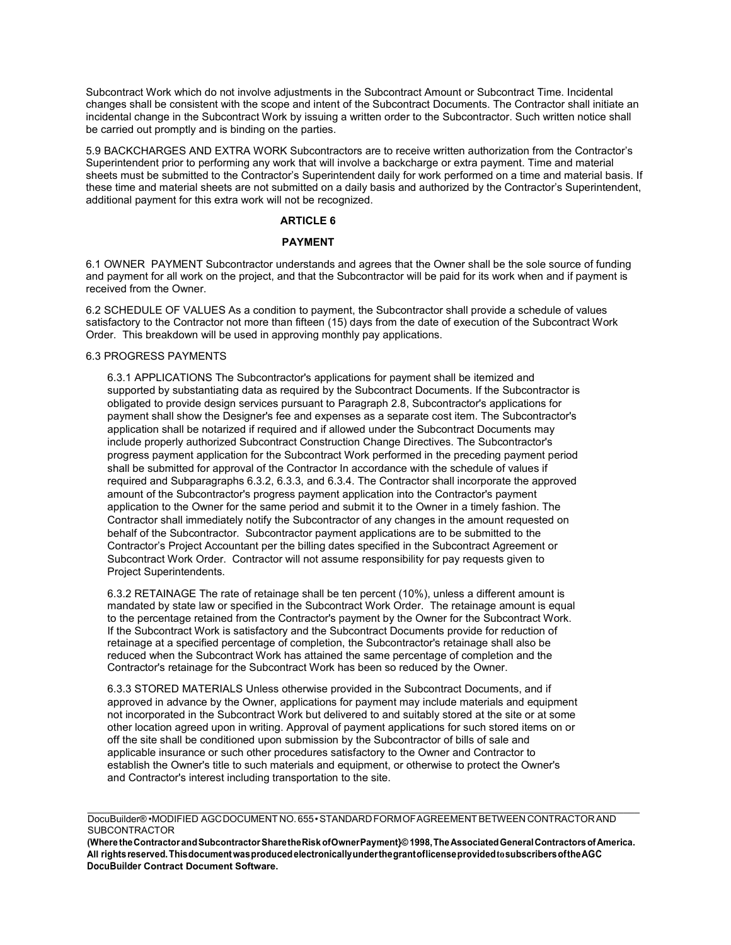Subcontract Work which do not involve adjustments in the Subcontract Amount or Subcontract Time. Incidental changes shall be consistent with the scope and intent of the Subcontract Documents. The Contractor shall initiate an incidental change in the Subcontract Work by issuing a written order to the Subcontractor. Such written notice shall be carried out promptly and is binding on the parties.

5.9 BACKCHARGES AND EXTRA WORK Subcontractors are to receive written authorization from the Contractor's Superintendent prior to performing any work that will involve a backcharge or extra payment. Time and material sheets must be submitted to the Contractor's Superintendent daily for work performed on a time and material basis. If these time and material sheets are not submitted on a daily basis and authorized by the Contractor's Superintendent, additional payment for this extra work will not be recognized.

#### **ARTICLE 6**

#### **PAYMENT**

6.1 OWNER PAYMENT Subcontractor understands and agrees that the Owner shall be the sole source of funding and payment for all work on the project, and that the Subcontractor will be paid for its work when and if payment is received from the Owner.

6.2 SCHEDULE OF VALUES As a condition to payment, the Subcontractor shall provide a schedule of values satisfactory to the Contractor not more than fifteen (15) days from the date of execution of the Subcontract Work Order. This breakdown will be used in approving monthly pay applications.

#### 6.3 PROGRESS PAYMENTS

6.3.1 APPLICATIONS The Subcontractor's applications for payment shall be itemized and supported by substantiating data as required by the Subcontract Documents. If the Subcontractor is obligated to provide design services pursuant to Paragraph 2.8, Subcontractor's applications for payment shall show the Designer's fee and expenses as a separate cost item. The Subcontractor's application shall be notarized if required and if allowed under the Subcontract Documents may include properly authorized Subcontract Construction Change Directives. The Subcontractor's progress payment application for the Subcontract Work performed in the preceding payment period shall be submitted for approval of the Contractor In accordance with the schedule of values if required and Subparagraphs 6.3.2, 6.3.3, and 6.3.4. The Contractor shall incorporate the approved amount of the Subcontractor's progress payment application into the Contractor's payment application to the Owner for the same period and submit it to the Owner in a timely fashion. The Contractor shall immediately notify the Subcontractor of any changes in the amount requested on behalf of the Subcontractor. Subcontractor payment applications are to be submitted to the Contractor's Project Accountant per the billing dates specified in the Subcontract Agreement or Subcontract Work Order. Contractor will not assume responsibility for pay requests given to Project Superintendents.

6.3.2 RETAINAGE The rate of retainage shall be ten percent (10%), unless a different amount is mandated by state law or specified in the Subcontract Work Order. The retainage amount is equal to the percentage retained from the Contractor's payment by the Owner for the Subcontract Work. If the Subcontract Work is satisfactory and the Subcontract Documents provide for reduction of retainage at a specified percentage of completion, the Subcontractor's retainage shall also be reduced when the Subcontract Work has attained the same percentage of completion and the Contractor's retainage for the Subcontract Work has been so reduced by the Owner.

6.3.3 STORED MATERIALS Unless otherwise provided in the Subcontract Documents, and if approved in advance by the Owner, applications for payment may include materials and equipment not incorporated in the Subcontract Work but delivered to and suitably stored at the site or at some other location agreed upon in writing. Approval of payment applications for such stored items on or off the site shall be conditioned upon submission by the Subcontractor of bills of sale and applicable insurance or such other procedures satisfactory to the Owner and Contractor to establish the Owner's title to such materials and equipment, or otherwise to protect the Owner's and Contractor's interest including transportation to the site.

DocuBuilder® •MODIFIED AGC DOCUMENT NO. 655 • STANDARD FORM OF AGREEMENT BETWEEN CONTRACTOR AND **SUBCONTRACTOR** 

**(Where the Contractor and Subcontractor Share the Risk of Owner Payment}© 1998, The Associated General Contractors of America. All rights reserved. This document was produced electronically under the grant of license provided to subscribers of the AGC DocuBuilder Contract Document Software.** 

 $\_$  , and the state of the state of the state of the state of the state of the state of the state of the state of the state of the state of the state of the state of the state of the state of the state of the state of the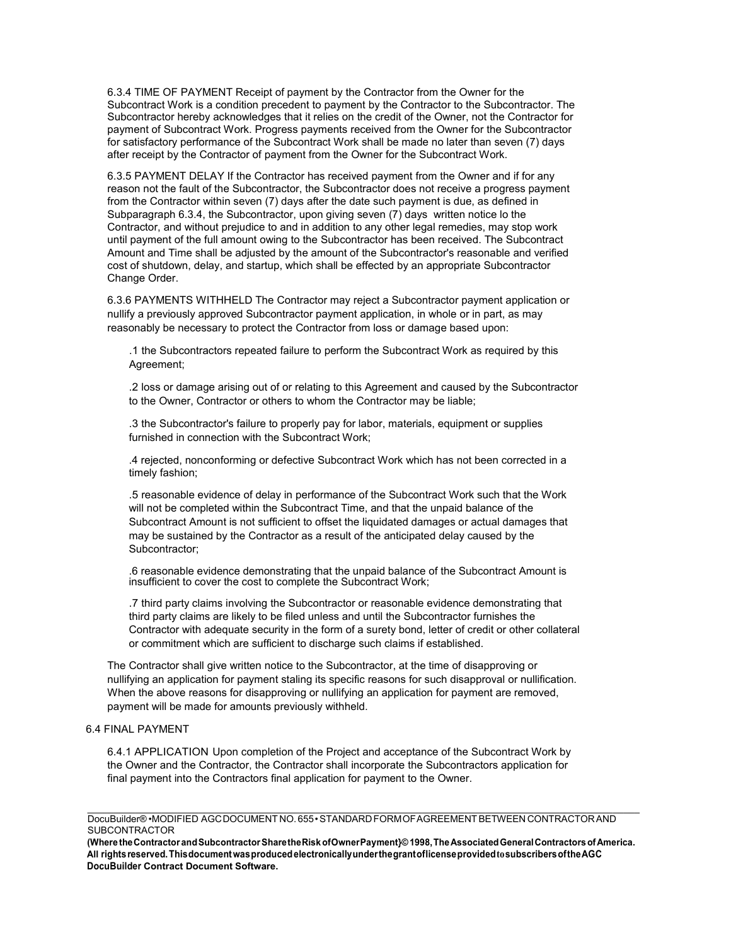6.3.4 TIME OF PAYMENT Receipt of payment by the Contractor from the Owner for the Subcontract Work is a condition precedent to payment by the Contractor to the Subcontractor. The Subcontractor hereby acknowledges that it relies on the credit of the Owner, not the Contractor for payment of Subcontract Work. Progress payments received from the Owner for the Subcontractor for satisfactory performance of the Subcontract Work shall be made no later than seven (7) days after receipt by the Contractor of payment from the Owner for the Subcontract Work.

6.3.5 PAYMENT DELAY If the Contractor has received payment from the Owner and if for any reason not the fault of the Subcontractor, the Subcontractor does not receive a progress payment from the Contractor within seven (7) days after the date such payment is due, as defined in Subparagraph 6.3.4, the Subcontractor, upon giving seven (7) days written notice lo the Contractor, and without prejudice to and in addition to any other legal remedies, may stop work until payment of the full amount owing to the Subcontractor has been received. The Subcontract Amount and Time shall be adjusted by the amount of the Subcontractor's reasonable and verified cost of shutdown, delay, and startup, which shall be effected by an appropriate Subcontractor Change Order.

6.3.6 PAYMENTS WITHHELD The Contractor may reject a Subcontractor payment application or nullify a previously approved Subcontractor payment application, in whole or in part, as may reasonably be necessary to protect the Contractor from loss or damage based upon:

.1 the Subcontractors repeated failure to perform the Subcontract Work as required by this Agreement;

.2 loss or damage arising out of or relating to this Agreement and caused by the Subcontractor to the Owner, Contractor or others to whom the Contractor may be liable;

.3 the Subcontractor's failure to properly pay for labor, materials, equipment or supplies furnished in connection with the Subcontract Work;

.4 rejected, nonconforming or defective Subcontract Work which has not been corrected in a timely fashion;

.5 reasonable evidence of delay in performance of the Subcontract Work such that the Work will not be completed within the Subcontract Time, and that the unpaid balance of the Subcontract Amount is not sufficient to offset the liquidated damages or actual damages that may be sustained by the Contractor as a result of the anticipated delay caused by the Subcontractor;

.6 reasonable evidence demonstrating that the unpaid balance of the Subcontract Amount is insufficient to cover the cost to complete the Subcontract Work;

.7 third party claims involving the Subcontractor or reasonable evidence demonstrating that third party claims are likely to be filed unless and until the Subcontractor furnishes the Contractor with adequate security in the form of a surety bond, letter of credit or other collateral or commitment which are sufficient to discharge such claims if established.

The Contractor shall give written notice to the Subcontractor, at the time of disapproving or nullifying an application for payment staling its specific reasons for such disapproval or nullification. When the above reasons for disapproving or nullifying an application for payment are removed, payment will be made for amounts previously withheld.

#### 6.4 FINAL PAYMENT

6.4.1 APPLICATION Upon completion of the Project and acceptance of the Subcontract Work by the Owner and the Contractor, the Contractor shall incorporate the Subcontractors application for final payment into the Contractors final application for payment to the Owner.

#### DocuBuilder® •MODIFIED AGC DOCUMENT NO. 655 • STANDARD FORM OF AGREEMENT BETWEEN CONTRACTOR AND **SUBCONTRACTOR**

**(Where the Contractor and Subcontractor Share the Risk of Owner Payment}© 1998, The Associated General Contractors of America. All rights reserved. This document was produced electronically under the grant of license provided to subscribers of the AGC DocuBuilder Contract Document Software.** 

 $\_$  , and the state of the state of the state of the state of the state of the state of the state of the state of the state of the state of the state of the state of the state of the state of the state of the state of the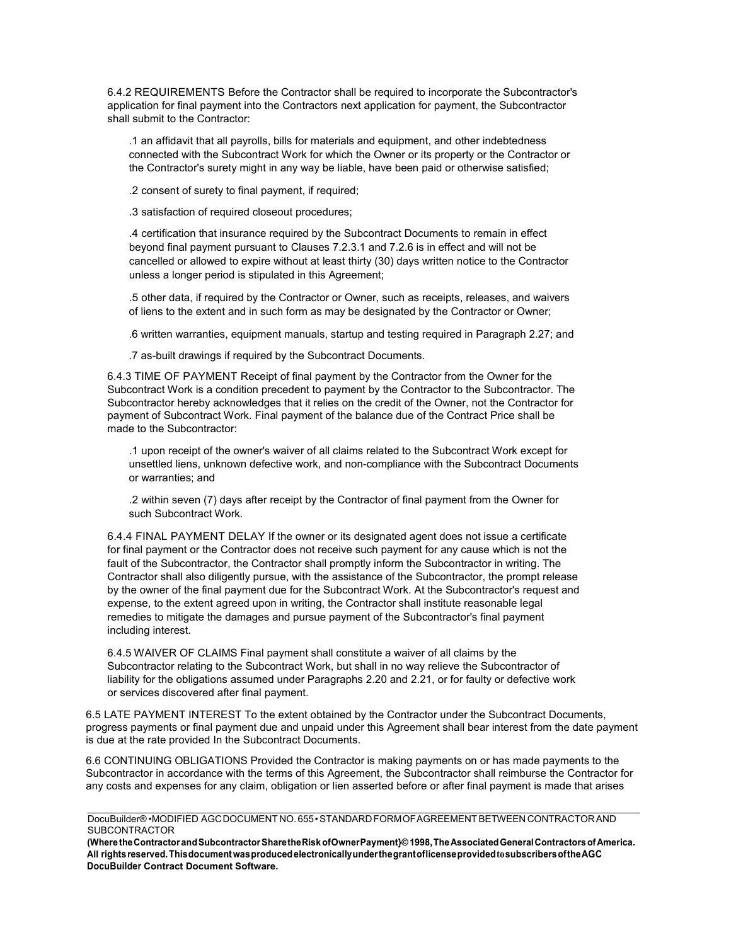6.4.2 REQUIREMENTS Before the Contractor shall be required to incorporate the Subcontractor's application for final payment into the Contractors next application for payment, the Subcontractor shall submit to the Contractor:

.1 an affidavit that all payrolls, bills for materials and equipment, and other indebtedness connected with the Subcontract Work for which the Owner or its property or the Contractor or the Contractor's surety might in any way be liable, have been paid or otherwise satisfied;

.2 consent of surety to final payment, if required;

.3 satisfaction of required closeout procedures;

.4 certification that insurance required by the Subcontract Documents to remain in effect beyond final payment pursuant to Clauses 7.2.3.1 and 7.2.6 is in effect and will not be cancelled or allowed to expire without at least thirty (30) days written notice to the Contractor unless a longer period is stipulated in this Agreement;

.5 other data, if required by the Contractor or Owner, such as receipts, releases, and waivers of liens to the extent and in such form as may be designated by the Contractor or Owner;

.6 written warranties, equipment manuals, startup and testing required in Paragraph 2.27; and

.7 as-built drawings if required by the Subcontract Documents.

6.4.3 TIME OF PAYMENT Receipt of final payment by the Contractor from the Owner for the Subcontract Work is a condition precedent to payment by the Contractor to the Subcontractor. The Subcontractor hereby acknowledges that it relies on the credit of the Owner, not the Contractor for payment of Subcontract Work. Final payment of the balance due of the Contract Price shall be made to the Subcontractor:

.1 upon receipt of the owner's waiver of all claims related to the Subcontract Work except for unsettled liens, unknown defective work, and non-compliance with the Subcontract Documents or warranties; and

.2 within seven (7) days after receipt by the Contractor of final payment from the Owner for such Subcontract Work.

6.4.4 FINAL PAYMENT DELAY If the owner or its designated agent does not issue a certificate for final payment or the Contractor does not receive such payment for any cause which is not the fault of the Subcontractor, the Contractor shall promptly inform the Subcontractor in writing. The Contractor shall also diligently pursue, with the assistance of the Subcontractor, the prompt release by the owner of the final payment due for the Subcontract Work. At the Subcontractor's request and expense, to the extent agreed upon in writing, the Contractor shall institute reasonable legal remedies to mitigate the damages and pursue payment of the Subcontractor's final payment including interest.

6.4.5 WAIVER OF CLAIMS Final payment shall constitute a waiver of all claims by the Subcontractor relating to the Subcontract Work, but shall in no way relieve the Subcontractor of liability for the obligations assumed under Paragraphs 2.20 and 2.21, or for faulty or defective work or services discovered after final payment.

6.5 LATE PAYMENT INTEREST To the extent obtained by the Contractor under the Subcontract Documents, progress payments or final payment due and unpaid under this Agreement shall bear interest from the date payment is due at the rate provided In the Subcontract Documents.

6.6 CONTINUING OBLIGATIONS Provided the Contractor is making payments on or has made payments to the Subcontractor in accordance with the terms of this Agreement, the Subcontractor shall reimburse the Contractor for any costs and expenses for any claim, obligation or lien asserted before or after final payment is made that arises

#### $\_$  , and the state of the state of the state of the state of the state of the state of the state of the state of the state of the state of the state of the state of the state of the state of the state of the state of the DocuBuilder® •MODIFIED AGC DOCUMENT NO. 655 • STANDARD FORM OF AGREEMENT BETWEEN CONTRACTOR AND **SUBCONTRACTOR**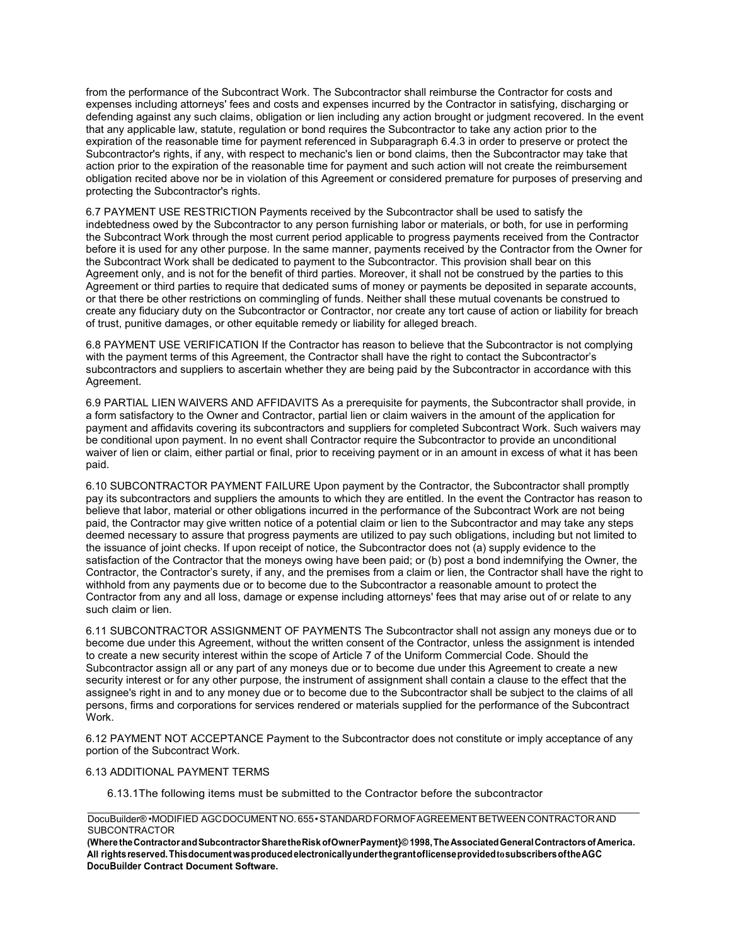from the performance of the Subcontract Work. The Subcontractor shall reimburse the Contractor for costs and expenses including attorneys' fees and costs and expenses incurred by the Contractor in satisfying, discharging or defending against any such claims, obligation or lien including any action brought or judgment recovered. In the event that any applicable law, statute, regulation or bond requires the Subcontractor to take any action prior to the expiration of the reasonable time for payment referenced in Subparagraph 6.4.3 in order to preserve or protect the Subcontractor's rights, if any, with respect to mechanic's lien or bond claims, then the Subcontractor may take that action prior to the expiration of the reasonable time for payment and such action will not create the reimbursement obligation recited above nor be in violation of this Agreement or considered premature for purposes of preserving and protecting the Subcontractor's rights.

6.7 PAYMENT USE RESTRICTION Payments received by the Subcontractor shall be used to satisfy the indebtedness owed by the Subcontractor to any person furnishing labor or materials, or both, for use in performing the Subcontract Work through the most current period applicable to progress payments received from the Contractor before it is used for any other purpose. In the same manner, payments received by the Contractor from the Owner for the Subcontract Work shall be dedicated to payment to the Subcontractor. This provision shall bear on this Agreement only, and is not for the benefit of third parties. Moreover, it shall not be construed by the parties to this Agreement or third parties to require that dedicated sums of money or payments be deposited in separate accounts, or that there be other restrictions on commingling of funds. Neither shall these mutual covenants be construed to create any fiduciary duty on the Subcontractor or Contractor, nor create any tort cause of action or liability for breach of trust, punitive damages, or other equitable remedy or liability for alleged breach.

6.8 PAYMENT USE VERIFICATION If the Contractor has reason to believe that the Subcontractor is not complying with the payment terms of this Agreement, the Contractor shall have the right to contact the Subcontractor's subcontractors and suppliers to ascertain whether they are being paid by the Subcontractor in accordance with this Agreement.

6.9 PARTIAL LIEN WAIVERS AND AFFIDAVITS As a prerequisite for payments, the Subcontractor shall provide, in a form satisfactory to the Owner and Contractor, partial lien or claim waivers in the amount of the application for payment and affidavits covering its subcontractors and suppliers for completed Subcontract Work. Such waivers may be conditional upon payment. In no event shall Contractor require the Subcontractor to provide an unconditional waiver of lien or claim, either partial or final, prior to receiving payment or in an amount in excess of what it has been paid.

6.10 SUBCONTRACTOR PAYMENT FAILURE Upon payment by the Contractor, the Subcontractor shall promptly pay its subcontractors and suppliers the amounts to which they are entitled. In the event the Contractor has reason to believe that labor, material or other obligations incurred in the performance of the Subcontract Work are not being paid, the Contractor may give written notice of a potential claim or lien to the Subcontractor and may take any steps deemed necessary to assure that progress payments are utilized to pay such obligations, including but not limited to the issuance of joint checks. If upon receipt of notice, the Subcontractor does not (a) supply evidence to the satisfaction of the Contractor that the moneys owing have been paid; or (b) post a bond indemnifying the Owner, the Contractor, the Contractor's surety, if any, and the premises from a claim or lien, the Contractor shall have the right to withhold from any payments due or to become due to the Subcontractor a reasonable amount to protect the Contractor from any and all loss, damage or expense including attorneys' fees that may arise out of or relate to any such claim or lien.

6.11 SUBCONTRACTOR ASSIGNMENT OF PAYMENTS The Subcontractor shall not assign any moneys due or to become due under this Agreement, without the written consent of the Contractor, unless the assignment is intended to create a new security interest within the scope of Article 7 of the Uniform Commercial Code. Should the Subcontractor assign all or any part of any moneys due or to become due under this Agreement to create a new security interest or for any other purpose, the instrument of assignment shall contain a clause to the effect that the assignee's right in and to any money due or to become due to the Subcontractor shall be subject to the claims of all persons, firms and corporations for services rendered or materials supplied for the performance of the Subcontract Work.

6.12 PAYMENT NOT ACCEPTANCE Payment to the Subcontractor does not constitute or imply acceptance of any portion of the Subcontract Work.

#### 6.13 ADDITIONAL PAYMENT TERMS

6.13.1The following items must be submitted to the Contractor before the subcontractor

 $\_$  , and the state of the state of the state of the state of the state of the state of the state of the state of the state of the state of the state of the state of the state of the state of the state of the state of the DocuBuilder® •MODIFIED AGC DOCUMENT NO. 655 • STANDARD FORM OF AGREEMENT BETWEEN CONTRACTOR AND **SUBCONTRACTOR**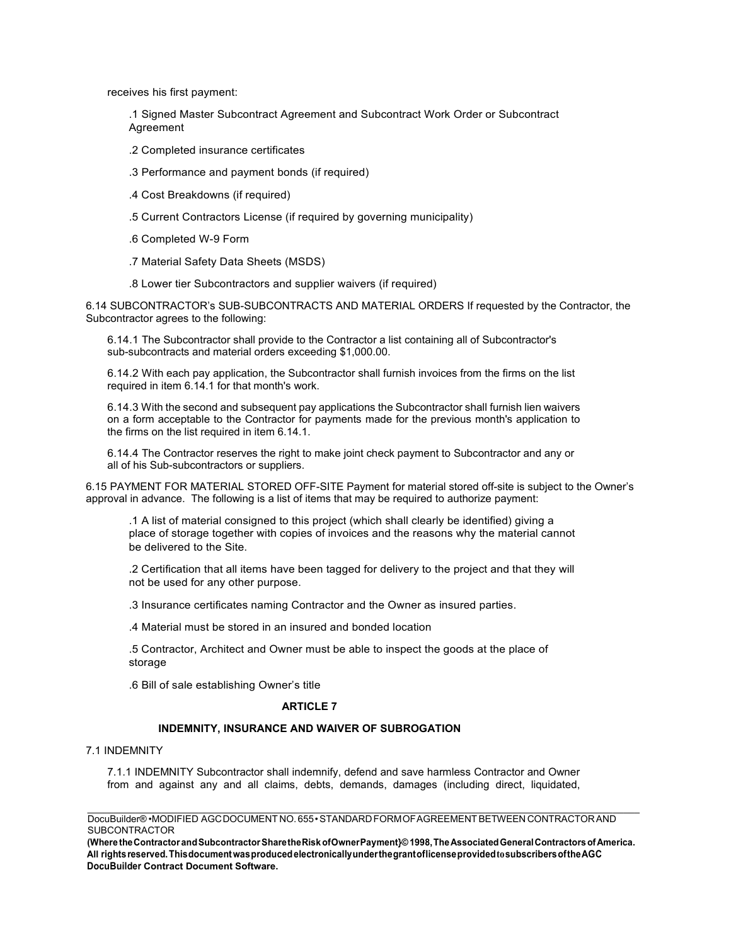receives his first payment:

.1 Signed Master Subcontract Agreement and Subcontract Work Order or Subcontract Agreement

- .2 Completed insurance certificates
- .3 Performance and payment bonds (if required)
- .4 Cost Breakdowns (if required)
- .5 Current Contractors License (if required by governing municipality)
- .6 Completed W-9 Form
- .7 Material Safety Data Sheets (MSDS)
- .8 Lower tier Subcontractors and supplier waivers (if required)

6.14 SUBCONTRACTOR's SUB-SUBCONTRACTS AND MATERIAL ORDERS If requested by the Contractor, the Subcontractor agrees to the following:

6.14.1 The Subcontractor shall provide to the Contractor a list containing all of Subcontractor's sub-subcontracts and material orders exceeding \$1,000.00.

6.14.2 With each pay application, the Subcontractor shall furnish invoices from the firms on the list required in item 6.14.1 for that month's work.

6.14.3 With the second and subsequent pay applications the Subcontractor shall furnish lien waivers on a form acceptable to the Contractor for payments made for the previous month's application to the firms on the list required in item 6.14.1.

6.14.4 The Contractor reserves the right to make joint check payment to Subcontractor and any or all of his Sub-subcontractors or suppliers.

6.15 PAYMENT FOR MATERIAL STORED OFF-SITE Payment for material stored off-site is subject to the Owner's approval in advance. The following is a list of items that may be required to authorize payment:

.1 A list of material consigned to this project (which shall clearly be identified) giving a place of storage together with copies of invoices and the reasons why the material cannot be delivered to the Site.

.2 Certification that all items have been tagged for delivery to the project and that they will not be used for any other purpose.

.3 Insurance certificates naming Contractor and the Owner as insured parties.

.4 Material must be stored in an insured and bonded location

.5 Contractor, Architect and Owner must be able to inspect the goods at the place of storage

.6 Bill of sale establishing Owner's title

#### **ARTICLE 7**

#### **INDEMNITY, INSURANCE AND WAIVER OF SUBROGATION**

7.1 INDEMNITY

7.1.1 INDEMNITY Subcontractor shall indemnify, defend and save harmless Contractor and Owner from and against any and all claims, debts, demands, damages (including direct, liquidated,

DocuBuilder® •MODIFIED AGC DOCUMENT NO. 655 • STANDARD FORM OF AGREEMENT BETWEEN CONTRACTOR AND SUBCONTRACTOR

**(Where the Contractor and Subcontractor Share the Risk of Owner Payment}© 1998, The Associated General Contractors of America. All rights reserved. This document was produced electronically under the grant of license provided to subscribers of the AGC DocuBuilder Contract Document Software.** 

 $\_$  , and the state of the state of the state of the state of the state of the state of the state of the state of the state of the state of the state of the state of the state of the state of the state of the state of the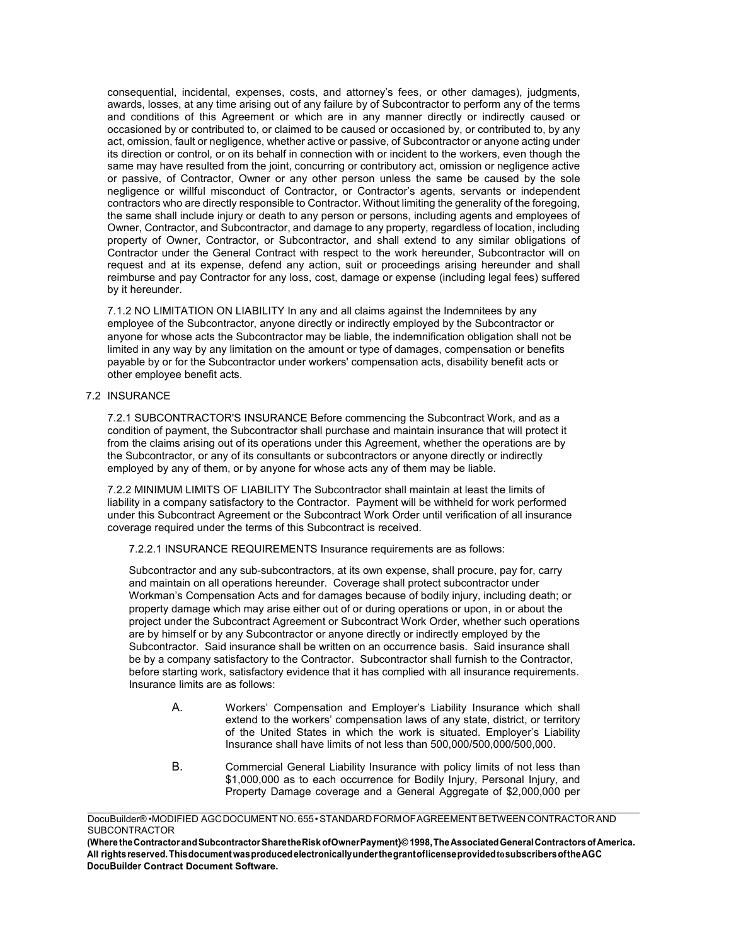consequential, incidental, expenses, costs, and attorney's fees, or other damages), judgments, awards, losses, at any time arising out of any failure by of Subcontractor to perform any of the terms and conditions of this Agreement or which are in any manner directly or indirectly caused or occasioned by or contributed to, or claimed to be caused or occasioned by, or contributed to, by any act, omission, fault or negligence, whether active or passive, of Subcontractor or anyone acting under its direction or control, or on its behalf in connection with or incident to the workers, even though the same may have resulted from the joint, concurring or contributory act, omission or negligence active or passive, of Contractor, Owner or any other person unless the same be caused by the sole negligence or willful misconduct of Contractor, or Contractor's agents, servants or independent contractors who are directly responsible to Contractor. Without limiting the generality of the foregoing, the same shall include injury or death to any person or persons, including agents and employees of Owner, Contractor, and Subcontractor, and damage to any property, regardless of location, including property of Owner, Contractor, or Subcontractor, and shall extend to any similar obligations of Contractor under the General Contract with respect to the work hereunder, Subcontractor will on request and at its expense, defend any action, suit or proceedings arising hereunder and shall reimburse and pay Contractor for any loss, cost, damage or expense (including legal fees) suffered by it hereunder.

7.1.2 NO LIMITATION ON LIABILITY In any and all claims against the Indemnitees by any employee of the Subcontractor, anyone directly or indirectly employed by the Subcontractor or anyone for whose acts the Subcontractor may be liable, the indemnification obligation shall not be limited in any way by any limitation on the amount or type of damages, compensation or benefits payable by or for the Subcontractor under workers' compensation acts, disability benefit acts or other employee benefit acts.

### 7.2 INSURANCE

7.2.1 SUBCONTRACTOR'S INSURANCE Before commencing the Subcontract Work, and as a condition of payment, the Subcontractor shall purchase and maintain insurance that will protect it from the claims arising out of its operations under this Agreement, whether the operations are by the Subcontractor, or any of its consultants or subcontractors or anyone directly or indirectly employed by any of them, or by anyone for whose acts any of them may be liable.

7.2.2 MINIMUM LIMITS OF LIABILITY The Subcontractor shall maintain at least the limits of liability in a company satisfactory to the Contractor. Payment will be withheld for work performed under this Subcontract Agreement or the Subcontract Work Order until verification of all insurance coverage required under the terms of this Subcontract is received.

7.2.2.1 INSURANCE REQUIREMENTS Insurance requirements are as follows:

Subcontractor and any sub-subcontractors, at its own expense, shall procure, pay for, carry and maintain on all operations hereunder. Coverage shall protect subcontractor under Workman's Compensation Acts and for damages because of bodily injury, including death; or property damage which may arise either out of or during operations or upon, in or about the project under the Subcontract Agreement or Subcontract Work Order, whether such operations are by himself or by any Subcontractor or anyone directly or indirectly employed by the Subcontractor. Said insurance shall be written on an occurrence basis. Said insurance shall be by a company satisfactory to the Contractor. Subcontractor shall furnish to the Contractor, before starting work, satisfactory evidence that it has complied with all insurance requirements. Insurance limits are as follows:

- A. Workers' Compensation and Employer's Liability Insurance which shall extend to the workers' compensation laws of any state, district, or territory of the United States in which the work is situated. Employer's Liability Insurance shall have limits of not less than 500,000/500,000/500,000.
- B. Commercial General Liability Insurance with policy limits of not less than \$1,000,000 as to each occurrence for Bodily Injury, Personal Injury, and Property Damage coverage and a General Aggregate of \$2,000,000 per

 $\_$  , and the state of the state of the state of the state of the state of the state of the state of the state of the state of the state of the state of the state of the state of the state of the state of the state of the DocuBuilder® •MODIFIED AGC DOCUMENT NO. 655 • STANDARD FORM OF AGREEMENT BETWEEN CONTRACTOR AND **SUBCONTRACTOR** 

**<sup>(</sup>Where the Contractor and Subcontractor Share the Risk of Owner Payment}© 1998, The Associated General Contractors of America. All rights reserved. This document was produced electronically under the grant of license provided to subscribers of the AGC DocuBuilder Contract Document Software.**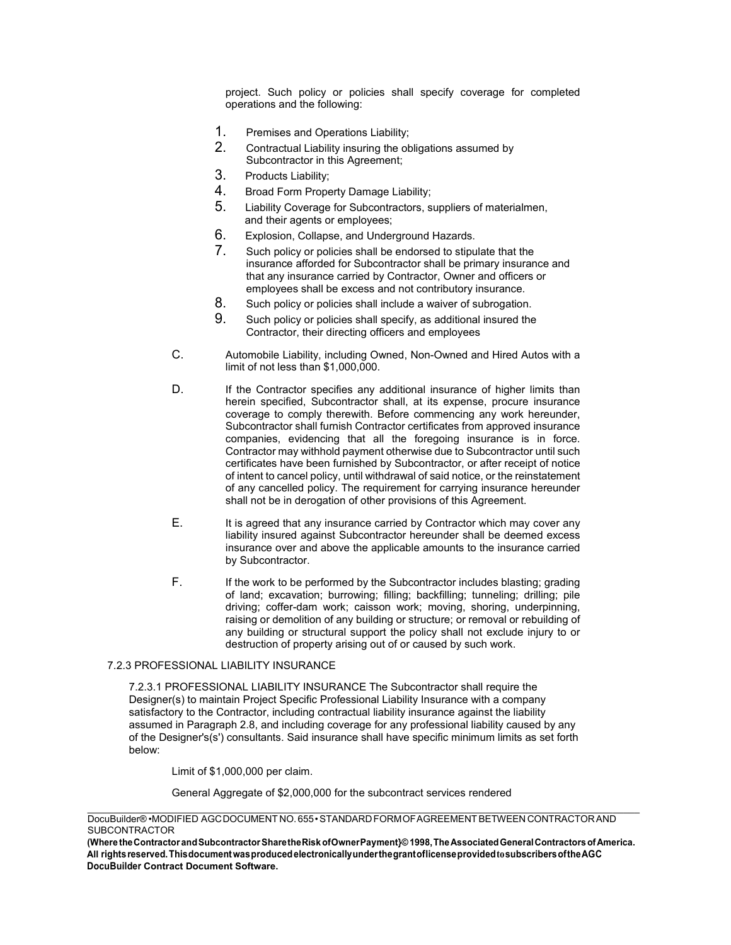project. Such policy or policies shall specify coverage for completed operations and the following:

- 1. Premises and Operations Liability;
- 2. Contractual Liability insuring the obligations assumed by Subcontractor in this Agreement;
- 3. Products Liability;
- 4. Broad Form Property Damage Liability;
- 5. Liability Coverage for Subcontractors, suppliers of materialmen, and their agents or employees;
- 6. Explosion, Collapse, and Underground Hazards.
- 7. Such policy or policies shall be endorsed to stipulate that the insurance afforded for Subcontractor shall be primary insurance and that any insurance carried by Contractor, Owner and officers or employees shall be excess and not contributory insurance.
- 8. Such policy or policies shall include a waiver of subrogation.
- 9. Such policy or policies shall specify, as additional insured the Contractor, their directing officers and employees
- C. Automobile Liability, including Owned, Non-Owned and Hired Autos with a limit of not less than \$1,000,000.
- D. If the Contractor specifies any additional insurance of higher limits than herein specified, Subcontractor shall, at its expense, procure insurance coverage to comply therewith. Before commencing any work hereunder, Subcontractor shall furnish Contractor certificates from approved insurance companies, evidencing that all the foregoing insurance is in force. Contractor may withhold payment otherwise due to Subcontractor until such certificates have been furnished by Subcontractor, or after receipt of notice of intent to cancel policy, until withdrawal of said notice, or the reinstatement of any cancelled policy. The requirement for carrying insurance hereunder shall not be in derogation of other provisions of this Agreement.
- E. It is agreed that any insurance carried by Contractor which may cover any liability insured against Subcontractor hereunder shall be deemed excess insurance over and above the applicable amounts to the insurance carried by Subcontractor.
- F. If the work to be performed by the Subcontractor includes blasting; grading of land; excavation; burrowing; filling; backfilling; tunneling; drilling; pile driving; coffer-dam work; caisson work; moving, shoring, underpinning, raising or demolition of any building or structure; or removal or rebuilding of any building or structural support the policy shall not exclude injury to or destruction of property arising out of or caused by such work.

### 7.2.3 PROFESSIONAL LIABILITY INSURANCE

7.2.3.1 PROFESSIONAL LIABILITY INSURANCE The Subcontractor shall require the Designer(s) to maintain Project Specific Professional Liability Insurance with a company satisfactory to the Contractor, including contractual liability insurance against the liability assumed in Paragraph 2.8, and including coverage for any professional liability caused by any of the Designer's(s') consultants. Said insurance shall have specific minimum limits as set forth below:

Limit of \$1,000,000 per claim.

General Aggregate of \$2,000,000 for the subcontract services rendered

 $\_$  , and the state of the state of the state of the state of the state of the state of the state of the state of the state of the state of the state of the state of the state of the state of the state of the state of the DocuBuilder® •MODIFIED AGC DOCUMENT NO. 655 • STANDARD FORM OF AGREEMENT BETWEEN CONTRACTOR AND **SUBCONTRACTOR**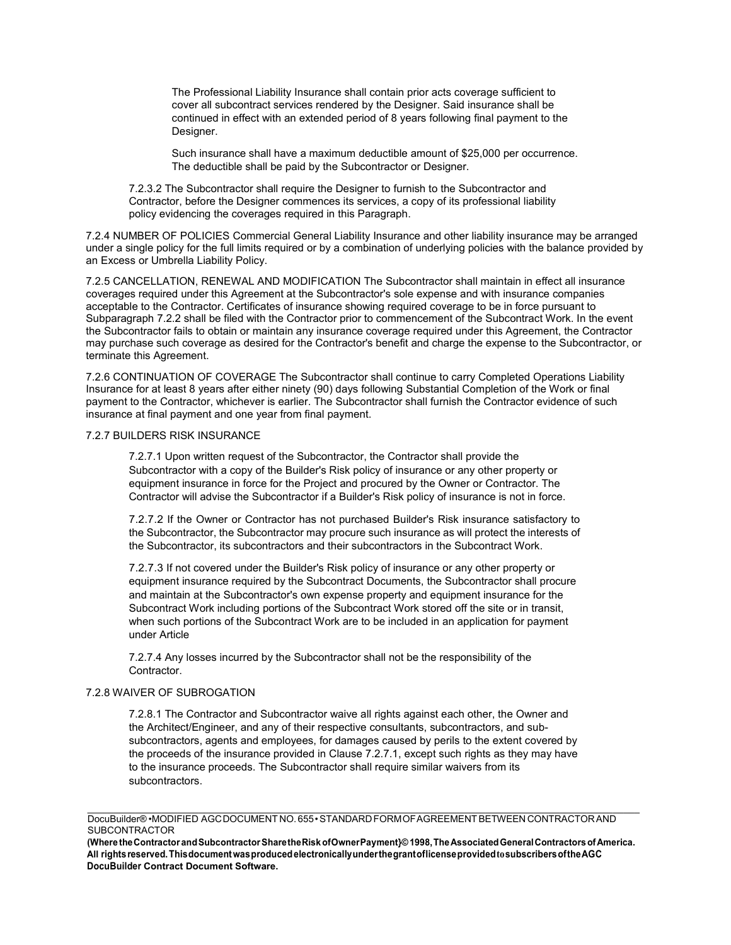The Professional Liability Insurance shall contain prior acts coverage sufficient to cover all subcontract services rendered by the Designer. Said insurance shall be continued in effect with an extended period of 8 years following final payment to the Designer.

Such insurance shall have a maximum deductible amount of \$25,000 per occurrence. The deductible shall be paid by the Subcontractor or Designer.

7.2.3.2 The Subcontractor shall require the Designer to furnish to the Subcontractor and Contractor, before the Designer commences its services, a copy of its professional liability policy evidencing the coverages required in this Paragraph.

7.2.4 NUMBER OF POLICIES Commercial General Liability Insurance and other liability insurance may be arranged under a single policy for the full limits required or by a combination of underlying policies with the balance provided by an Excess or Umbrella Liability Policy.

7.2.5 CANCELLATION, RENEWAL AND MODIFICATION The Subcontractor shall maintain in effect all insurance coverages required under this Agreement at the Subcontractor's sole expense and with insurance companies acceptable to the Contractor. Certificates of insurance showing required coverage to be in force pursuant to Subparagraph 7.2.2 shall be filed with the Contractor prior to commencement of the Subcontract Work. In the event the Subcontractor fails to obtain or maintain any insurance coverage required under this Agreement, the Contractor may purchase such coverage as desired for the Contractor's benefit and charge the expense to the Subcontractor, or terminate this Agreement.

7.2.6 CONTINUATION OF COVERAGE The Subcontractor shall continue to carry Completed Operations Liability Insurance for at least 8 years after either ninety (90) days following Substantial Completion of the Work or final payment to the Contractor, whichever is earlier. The Subcontractor shall furnish the Contractor evidence of such insurance at final payment and one year from final payment.

#### 7.2.7 BUILDERS RISK INSURANCE

7.2.7.1 Upon written request of the Subcontractor, the Contractor shall provide the Subcontractor with a copy of the Builder's Risk policy of insurance or any other property or equipment insurance in force for the Project and procured by the Owner or Contractor. The Contractor will advise the Subcontractor if a Builder's Risk policy of insurance is not in force.

7.2.7.2 If the Owner or Contractor has not purchased Builder's Risk insurance satisfactory to the Subcontractor, the Subcontractor may procure such insurance as will protect the interests of the Subcontractor, its subcontractors and their subcontractors in the Subcontract Work.

7.2.7.3 If not covered under the Builder's Risk policy of insurance or any other property or equipment insurance required by the Subcontract Documents, the Subcontractor shall procure and maintain at the Subcontractor's own expense property and equipment insurance for the Subcontract Work including portions of the Subcontract Work stored off the site or in transit, when such portions of the Subcontract Work are to be included in an application for payment under Article

7.2.7.4 Any losses incurred by the Subcontractor shall not be the responsibility of the **Contractor** 

## 7.2.8 WAIVER OF SUBROGATION

7.2.8.1 The Contractor and Subcontractor waive all rights against each other, the Owner and the Architect/Engineer, and any of their respective consultants, subcontractors, and subsubcontractors, agents and employees, for damages caused by perils to the extent covered by the proceeds of the insurance provided in Clause 7.2.7.1, except such rights as they may have to the insurance proceeds. The Subcontractor shall require similar waivers from its subcontractors.

 $\_$  , and the state of the state of the state of the state of the state of the state of the state of the state of the state of the state of the state of the state of the state of the state of the state of the state of the DocuBuilder® •MODIFIED AGC DOCUMENT NO. 655 • STANDARD FORM OF AGREEMENT BETWEEN CONTRACTOR AND **SUBCONTRACTOR**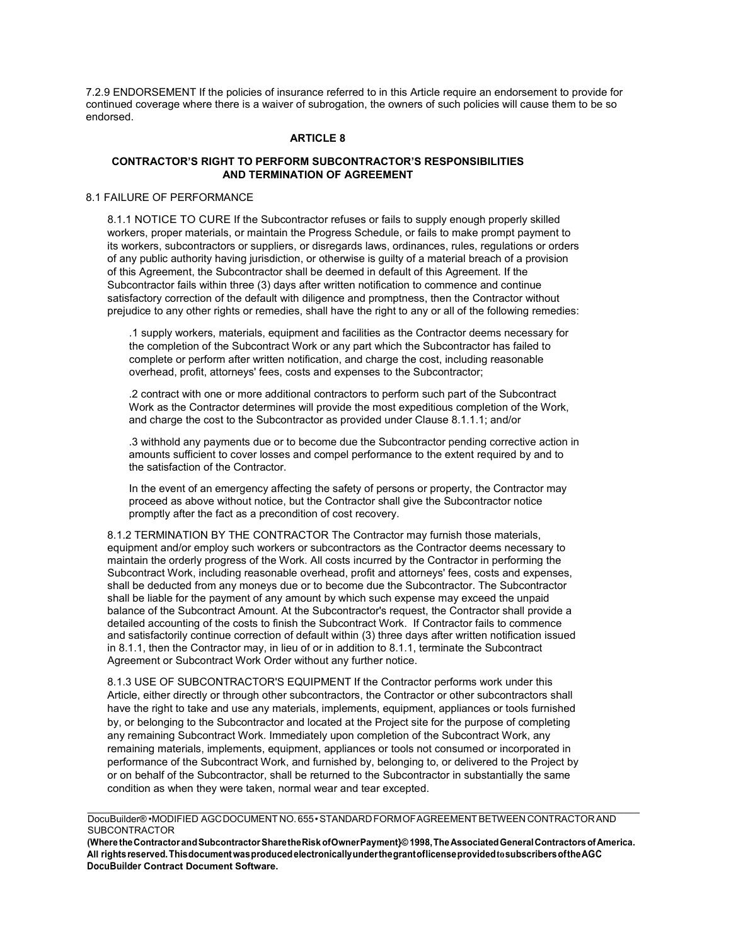7.2.9 ENDORSEMENT If the policies of insurance referred to in this Article require an endorsement to provide for continued coverage where there is a waiver of subrogation, the owners of such policies will cause them to be so endorsed.

#### **ARTICLE 8**

#### **CONTRACTOR'S RIGHT TO PERFORM SUBCONTRACTOR'S RESPONSIBILITIES AND TERMINATION OF AGREEMENT**

# 8.1 FAILURE OF PERFORMANCE

8.1.1 NOTICE TO CURE If the Subcontractor refuses or fails to supply enough properly skilled workers, proper materials, or maintain the Progress Schedule, or fails to make prompt payment to its workers, subcontractors or suppliers, or disregards laws, ordinances, rules, regulations or orders of any public authority having jurisdiction, or otherwise is guilty of a material breach of a provision of this Agreement, the Subcontractor shall be deemed in default of this Agreement. If the Subcontractor fails within three (3) days after written notification to commence and continue satisfactory correction of the default with diligence and promptness, then the Contractor without prejudice to any other rights or remedies, shall have the right to any or all of the following remedies:

.1 supply workers, materials, equipment and facilities as the Contractor deems necessary for the completion of the Subcontract Work or any part which the Subcontractor has failed to complete or perform after written notification, and charge the cost, including reasonable overhead, profit, attorneys' fees, costs and expenses to the Subcontractor;

.2 contract with one or more additional contractors to perform such part of the Subcontract Work as the Contractor determines will provide the most expeditious completion of the Work, and charge the cost to the Subcontractor as provided under Clause 8.1.1.1; and/or

.3 withhold any payments due or to become due the Subcontractor pending corrective action in amounts sufficient to cover losses and compel performance to the extent required by and to the satisfaction of the Contractor.

In the event of an emergency affecting the safety of persons or property, the Contractor may proceed as above without notice, but the Contractor shall give the Subcontractor notice promptly after the fact as a precondition of cost recovery.

8.1.2 TERMINATION BY THE CONTRACTOR The Contractor may furnish those materials, equipment and/or employ such workers or subcontractors as the Contractor deems necessary to maintain the orderly progress of the Work. All costs incurred by the Contractor in performing the Subcontract Work, including reasonable overhead, profit and attorneys' fees, costs and expenses, shall be deducted from any moneys due or to become due the Subcontractor. The Subcontractor shall be liable for the payment of any amount by which such expense may exceed the unpaid balance of the Subcontract Amount. At the Subcontractor's request, the Contractor shall provide a detailed accounting of the costs to finish the Subcontract Work. If Contractor fails to commence and satisfactorily continue correction of default within (3) three days after written notification issued in 8.1.1, then the Contractor may, in lieu of or in addition to 8.1.1, terminate the Subcontract Agreement or Subcontract Work Order without any further notice.

8.1.3 USE OF SUBCONTRACTOR'S EQUIPMENT If the Contractor performs work under this Article, either directly or through other subcontractors, the Contractor or other subcontractors shall have the right to take and use any materials, implements, equipment, appliances or tools furnished by, or belonging to the Subcontractor and located at the Project site for the purpose of completing any remaining Subcontract Work. Immediately upon completion of the Subcontract Work, any remaining materials, implements, equipment, appliances or tools not consumed or incorporated in performance of the Subcontract Work, and furnished by, belonging to, or delivered to the Project by or on behalf of the Subcontractor, shall be returned to the Subcontractor in substantially the same condition as when they were taken, normal wear and tear excepted.

#### DocuBuilder® •MODIFIED AGC DOCUMENT NO. 655 • STANDARD FORM OF AGREEMENT BETWEEN CONTRACTOR AND **SUBCONTRACTOR**

**(Where the Contractor and Subcontractor Share the Risk of Owner Payment}© 1998, The Associated General Contractors of America. All rights reserved. This document was produced electronically under the grant of license provided to subscribers of the AGC DocuBuilder Contract Document Software.** 

 $\_$  , and the state of the state of the state of the state of the state of the state of the state of the state of the state of the state of the state of the state of the state of the state of the state of the state of the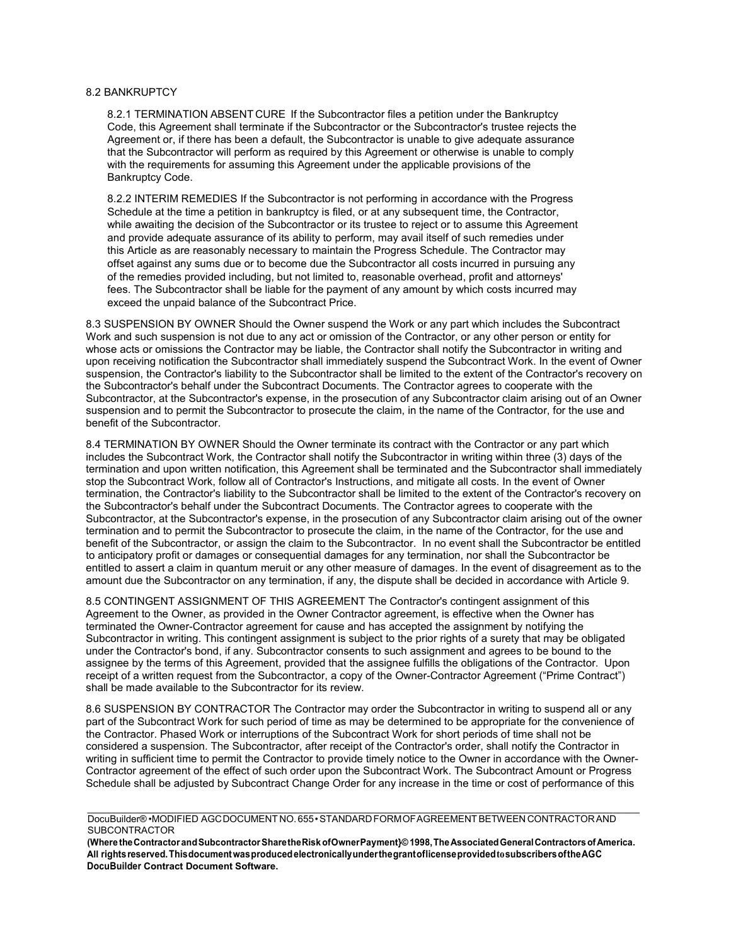#### 8.2 BANKRUPTCY

8.2.1 TERMINATION ABSENT CURE If the Subcontractor files a petition under the Bankruptcy Code, this Agreement shall terminate if the Subcontractor or the Subcontractor's trustee rejects the Agreement or, if there has been a default, the Subcontractor is unable to give adequate assurance that the Subcontractor will perform as required by this Agreement or otherwise is unable to comply with the requirements for assuming this Agreement under the applicable provisions of the Bankruptcy Code.

8.2.2 INTERIM REMEDIES If the Subcontractor is not performing in accordance with the Progress Schedule at the time a petition in bankruptcy is filed, or at any subsequent time, the Contractor, while awaiting the decision of the Subcontractor or its trustee to reject or to assume this Agreement and provide adequate assurance of its ability to perform, may avail itself of such remedies under this Article as are reasonably necessary to maintain the Progress Schedule. The Contractor may offset against any sums due or to become due the Subcontractor all costs incurred in pursuing any of the remedies provided including, but not limited to, reasonable overhead, profit and attorneys' fees. The Subcontractor shall be liable for the payment of any amount by which costs incurred may exceed the unpaid balance of the Subcontract Price.

8.3 SUSPENSION BY OWNER Should the Owner suspend the Work or any part which includes the Subcontract Work and such suspension is not due to any act or omission of the Contractor, or any other person or entity for whose acts or omissions the Contractor may be liable, the Contractor shall notify the Subcontractor in writing and upon receiving notification the Subcontractor shall immediately suspend the Subcontract Work. In the event of Owner suspension, the Contractor's liability to the Subcontractor shall be limited to the extent of the Contractor's recovery on the Subcontractor's behalf under the Subcontract Documents. The Contractor agrees to cooperate with the Subcontractor, at the Subcontractor's expense, in the prosecution of any Subcontractor claim arising out of an Owner suspension and to permit the Subcontractor to prosecute the claim, in the name of the Contractor, for the use and benefit of the Subcontractor.

8.4 TERMINATION BY OWNER Should the Owner terminate its contract with the Contractor or any part which includes the Subcontract Work, the Contractor shall notify the Subcontractor in writing within three (3) days of the termination and upon written notification, this Agreement shall be terminated and the Subcontractor shall immediately stop the Subcontract Work, follow all of Contractor's Instructions, and mitigate all costs. In the event of Owner termination, the Contractor's liability to the Subcontractor shall be limited to the extent of the Contractor's recovery on the Subcontractor's behalf under the Subcontract Documents. The Contractor agrees to cooperate with the Subcontractor, at the Subcontractor's expense, in the prosecution of any Subcontractor claim arising out of the owner termination and to permit the Subcontractor to prosecute the claim, in the name of the Contractor, for the use and benefit of the Subcontractor, or assign the claim to the Subcontractor. In no event shall the Subcontractor be entitled to anticipatory profit or damages or consequential damages for any termination, nor shall the Subcontractor be entitled to assert a claim in quantum meruit or any other measure of damages. In the event of disagreement as to the amount due the Subcontractor on any termination, if any, the dispute shall be decided in accordance with Article 9.

8.5 CONTINGENT ASSIGNMENT OF THIS AGREEMENT The Contractor's contingent assignment of this Agreement to the Owner, as provided in the Owner Contractor agreement, is effective when the Owner has terminated the Owner-Contractor agreement for cause and has accepted the assignment by notifying the Subcontractor in writing. This contingent assignment is subject to the prior rights of a surety that may be obligated under the Contractor's bond, if any. Subcontractor consents to such assignment and agrees to be bound to the assignee by the terms of this Agreement, provided that the assignee fulfills the obligations of the Contractor. Upon receipt of a written request from the Subcontractor, a copy of the Owner-Contractor Agreement ("Prime Contract") shall be made available to the Subcontractor for its review.

8.6 SUSPENSION BY CONTRACTOR The Contractor may order the Subcontractor in writing to suspend all or any part of the Subcontract Work for such period of time as may be determined to be appropriate for the convenience of the Contractor. Phased Work or interruptions of the Subcontract Work for short periods of time shall not be considered a suspension. The Subcontractor, after receipt of the Contractor's order, shall notify the Contractor in writing in sufficient time to permit the Contractor to provide timely notice to the Owner in accordance with the Owner-Contractor agreement of the effect of such order upon the Subcontract Work. The Subcontract Amount or Progress Schedule shall be adjusted by Subcontract Change Order for any increase in the time or cost of performance of this

#### $\_$  , and the state of the state of the state of the state of the state of the state of the state of the state of the state of the state of the state of the state of the state of the state of the state of the state of the DocuBuilder® •MODIFIED AGC DOCUMENT NO. 655 • STANDARD FORM OF AGREEMENT BETWEEN CONTRACTOR AND **SUBCONTRACTOR**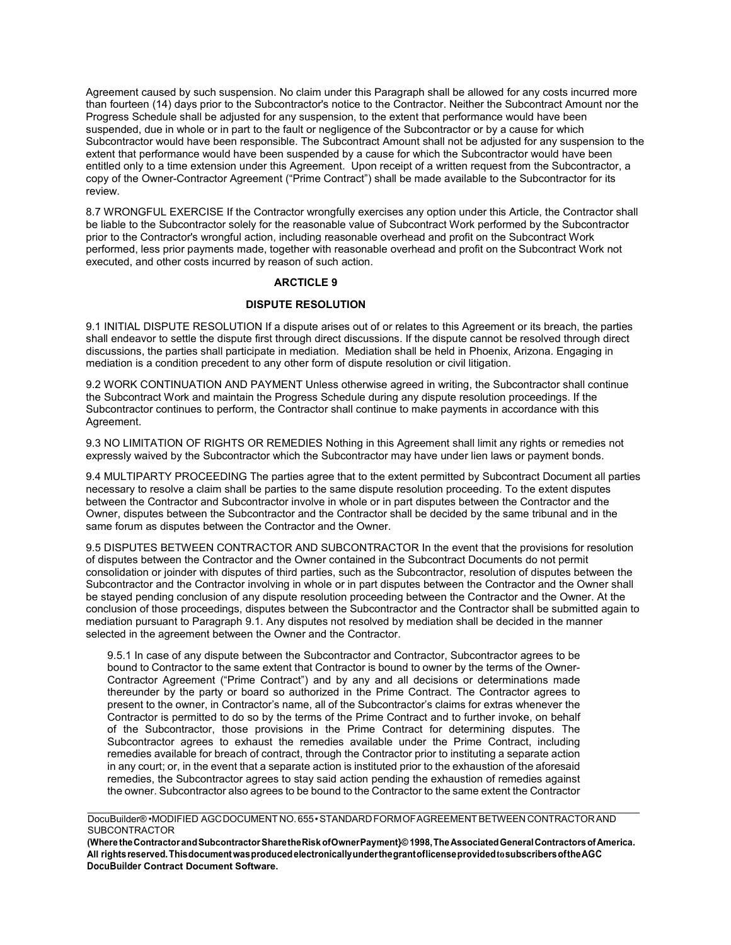Agreement caused by such suspension. No claim under this Paragraph shall be allowed for any costs incurred more than fourteen (14) days prior to the Subcontractor's notice to the Contractor. Neither the Subcontract Amount nor the Progress Schedule shall be adjusted for any suspension, to the extent that performance would have been suspended, due in whole or in part to the fault or negligence of the Subcontractor or by a cause for which Subcontractor would have been responsible. The Subcontract Amount shall not be adjusted for any suspension to the extent that performance would have been suspended by a cause for which the Subcontractor would have been entitled only to a time extension under this Agreement. Upon receipt of a written request from the Subcontractor, a copy of the Owner-Contractor Agreement ("Prime Contract") shall be made available to the Subcontractor for its review.

8.7 WRONGFUL EXERCISE If the Contractor wrongfully exercises any option under this Article, the Contractor shall be liable to the Subcontractor solely for the reasonable value of Subcontract Work performed by the Subcontractor prior to the Contractor's wrongful action, including reasonable overhead and profit on the Subcontract Work performed, less prior payments made, together with reasonable overhead and profit on the Subcontract Work not executed, and other costs incurred by reason of such action.

## **ARCTICLE 9**

### **DISPUTE RESOLUTION**

9.1 INITIAL DISPUTE RESOLUTION If a dispute arises out of or relates to this Agreement or its breach, the parties shall endeavor to settle the dispute first through direct discussions. If the dispute cannot be resolved through direct discussions, the parties shall participate in mediation. Mediation shall be held in Phoenix, Arizona. Engaging in mediation is a condition precedent to any other form of dispute resolution or civil litigation.

9.2 WORK CONTINUATION AND PAYMENT Unless otherwise agreed in writing, the Subcontractor shall continue the Subcontract Work and maintain the Progress Schedule during any dispute resolution proceedings. If the Subcontractor continues to perform, the Contractor shall continue to make payments in accordance with this Agreement.

9.3 NO LIMITATION OF RIGHTS OR REMEDIES Nothing in this Agreement shall limit any rights or remedies not expressly waived by the Subcontractor which the Subcontractor may have under lien laws or payment bonds.

9.4 MULTIPARTY PROCEEDING The parties agree that to the extent permitted by Subcontract Document all parties necessary to resolve a claim shall be parties to the same dispute resolution proceeding. To the extent disputes between the Contractor and Subcontractor involve in whole or in part disputes between the Contractor and the Owner, disputes between the Subcontractor and the Contractor shall be decided by the same tribunal and in the same forum as disputes between the Contractor and the Owner.

9.5 DISPUTES BETWEEN CONTRACTOR AND SUBCONTRACTOR In the event that the provisions for resolution of disputes between the Contractor and the Owner contained in the Subcontract Documents do not permit consolidation or joinder with disputes of third parties, such as the Subcontractor, resolution of disputes between the Subcontractor and the Contractor involving in whole or in part disputes between the Contractor and the Owner shall be stayed pending conclusion of any dispute resolution proceeding between the Contractor and the Owner. At the conclusion of those proceedings, disputes between the Subcontractor and the Contractor shall be submitted again to mediation pursuant to Paragraph 9.1. Any disputes not resolved by mediation shall be decided in the manner selected in the agreement between the Owner and the Contractor.

9.5.1 In case of any dispute between the Subcontractor and Contractor, Subcontractor agrees to be bound to Contractor to the same extent that Contractor is bound to owner by the terms of the Owner-Contractor Agreement ("Prime Contract") and by any and all decisions or determinations made thereunder by the party or board so authorized in the Prime Contract. The Contractor agrees to present to the owner, in Contractor's name, all of the Subcontractor's claims for extras whenever the Contractor is permitted to do so by the terms of the Prime Contract and to further invoke, on behalf of the Subcontractor, those provisions in the Prime Contract for determining disputes. The Subcontractor agrees to exhaust the remedies available under the Prime Contract, including remedies available for breach of contract, through the Contractor prior to instituting a separate action in any court; or, in the event that a separate action is instituted prior to the exhaustion of the aforesaid remedies, the Subcontractor agrees to stay said action pending the exhaustion of remedies against the owner. Subcontractor also agrees to be bound to the Contractor to the same extent the Contractor

#### $\_$  , and the state of the state of the state of the state of the state of the state of the state of the state of the state of the state of the state of the state of the state of the state of the state of the state of the DocuBuilder® •MODIFIED AGC DOCUMENT NO. 655 • STANDARD FORM OF AGREEMENT BETWEEN CONTRACTOR AND **SUBCONTRACTOR**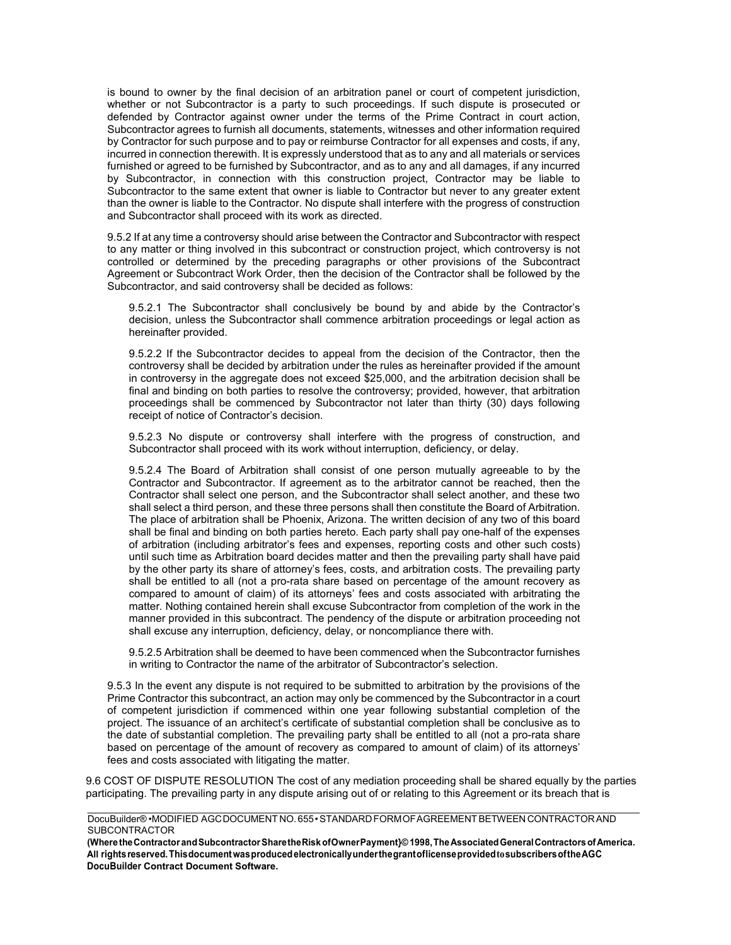is bound to owner by the final decision of an arbitration panel or court of competent jurisdiction, whether or not Subcontractor is a party to such proceedings. If such dispute is prosecuted or defended by Contractor against owner under the terms of the Prime Contract in court action, Subcontractor agrees to furnish all documents, statements, witnesses and other information required by Contractor for such purpose and to pay or reimburse Contractor for all expenses and costs, if any, incurred in connection therewith. It is expressly understood that as to any and all materials or services furnished or agreed to be furnished by Subcontractor, and as to any and all damages, if any incurred by Subcontractor, in connection with this construction project, Contractor may be liable to Subcontractor to the same extent that owner is liable to Contractor but never to any greater extent than the owner is liable to the Contractor. No dispute shall interfere with the progress of construction and Subcontractor shall proceed with its work as directed.

9.5.2 If at any time a controversy should arise between the Contractor and Subcontractor with respect to any matter or thing involved in this subcontract or construction project, which controversy is not controlled or determined by the preceding paragraphs or other provisions of the Subcontract Agreement or Subcontract Work Order, then the decision of the Contractor shall be followed by the Subcontractor, and said controversy shall be decided as follows:

9.5.2.1 The Subcontractor shall conclusively be bound by and abide by the Contractor's decision, unless the Subcontractor shall commence arbitration proceedings or legal action as hereinafter provided.

9.5.2.2 If the Subcontractor decides to appeal from the decision of the Contractor, then the controversy shall be decided by arbitration under the rules as hereinafter provided if the amount in controversy in the aggregate does not exceed \$25,000, and the arbitration decision shall be final and binding on both parties to resolve the controversy; provided, however, that arbitration proceedings shall be commenced by Subcontractor not later than thirty (30) days following receipt of notice of Contractor's decision.

9.5.2.3 No dispute or controversy shall interfere with the progress of construction, and Subcontractor shall proceed with its work without interruption, deficiency, or delay.

9.5.2.4 The Board of Arbitration shall consist of one person mutually agreeable to by the Contractor and Subcontractor. If agreement as to the arbitrator cannot be reached, then the Contractor shall select one person, and the Subcontractor shall select another, and these two shall select a third person, and these three persons shall then constitute the Board of Arbitration. The place of arbitration shall be Phoenix, Arizona. The written decision of any two of this board shall be final and binding on both parties hereto. Each party shall pay one-half of the expenses of arbitration (including arbitrator's fees and expenses, reporting costs and other such costs) until such time as Arbitration board decides matter and then the prevailing party shall have paid by the other party its share of attorney's fees, costs, and arbitration costs. The prevailing party shall be entitled to all (not a pro-rata share based on percentage of the amount recovery as compared to amount of claim) of its attorneys' fees and costs associated with arbitrating the matter. Nothing contained herein shall excuse Subcontractor from completion of the work in the manner provided in this subcontract. The pendency of the dispute or arbitration proceeding not shall excuse any interruption, deficiency, delay, or noncompliance there with.

9.5.2.5 Arbitration shall be deemed to have been commenced when the Subcontractor furnishes in writing to Contractor the name of the arbitrator of Subcontractor's selection.

9.5.3 In the event any dispute is not required to be submitted to arbitration by the provisions of the Prime Contractor this subcontract, an action may only be commenced by the Subcontractor in a court of competent jurisdiction if commenced within one year following substantial completion of the project. The issuance of an architect's certificate of substantial completion shall be conclusive as to the date of substantial completion. The prevailing party shall be entitled to all (not a pro-rata share based on percentage of the amount of recovery as compared to amount of claim) of its attorneys' fees and costs associated with litigating the matter.

9.6 COST OF DISPUTE RESOLUTION The cost of any mediation proceeding shall be shared equally by the parties participating. The prevailing party in any dispute arising out of or relating to this Agreement or its breach that is

 $\_$  , and the state of the state of the state of the state of the state of the state of the state of the state of the state of the state of the state of the state of the state of the state of the state of the state of the DocuBuilder® •MODIFIED AGC DOCUMENT NO. 655 • STANDARD FORM OF AGREEMENT BETWEEN CONTRACTOR AND **SUBCONTRACTOR**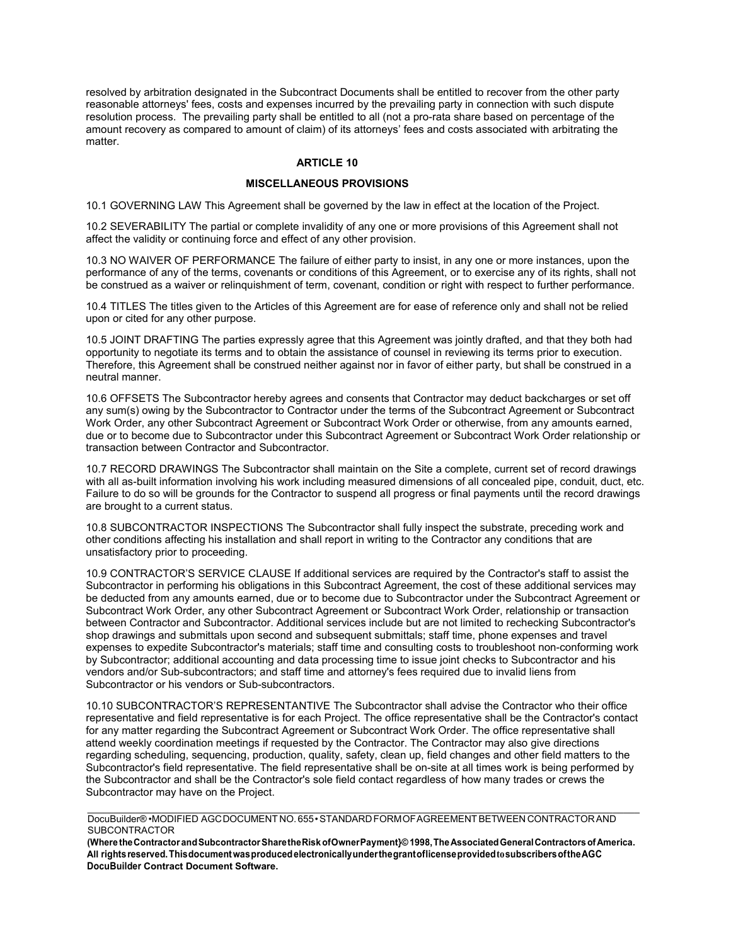resolved by arbitration designated in the Subcontract Documents shall be entitled to recover from the other party reasonable attorneys' fees, costs and expenses incurred by the prevailing party in connection with such dispute resolution process. The prevailing party shall be entitled to all (not a pro-rata share based on percentage of the amount recovery as compared to amount of claim) of its attorneys' fees and costs associated with arbitrating the matter.

#### **ARTICLE 10**

### **MISCELLANEOUS PROVISIONS**

10.1 GOVERNING LAW This Agreement shall be governed by the law in effect at the location of the Project.

10.2 SEVERABILITY The partial or complete invalidity of any one or more provisions of this Agreement shall not affect the validity or continuing force and effect of any other provision.

10.3 NO WAIVER OF PERFORMANCE The failure of either party to insist, in any one or more instances, upon the performance of any of the terms, covenants or conditions of this Agreement, or to exercise any of its rights, shall not be construed as a waiver or relinquishment of term, covenant, condition or right with respect to further performance.

10.4 TITLES The titles given to the Articles of this Agreement are for ease of reference only and shall not be relied upon or cited for any other purpose.

10.5 JOINT DRAFTING The parties expressly agree that this Agreement was jointly drafted, and that they both had opportunity to negotiate its terms and to obtain the assistance of counsel in reviewing its terms prior to execution. Therefore, this Agreement shall be construed neither against nor in favor of either party, but shall be construed in a neutral manner.

10.6 OFFSETS The Subcontractor hereby agrees and consents that Contractor may deduct backcharges or set off any sum(s) owing by the Subcontractor to Contractor under the terms of the Subcontract Agreement or Subcontract Work Order, any other Subcontract Agreement or Subcontract Work Order or otherwise, from any amounts earned, due or to become due to Subcontractor under this Subcontract Agreement or Subcontract Work Order relationship or transaction between Contractor and Subcontractor.

10.7 RECORD DRAWINGS The Subcontractor shall maintain on the Site a complete, current set of record drawings with all as-built information involving his work including measured dimensions of all concealed pipe, conduit, duct, etc. Failure to do so will be grounds for the Contractor to suspend all progress or final payments until the record drawings are brought to a current status.

10.8 SUBCONTRACTOR INSPECTIONS The Subcontractor shall fully inspect the substrate, preceding work and other conditions affecting his installation and shall report in writing to the Contractor any conditions that are unsatisfactory prior to proceeding.

10.9 CONTRACTOR'S SERVICE CLAUSE If additional services are required by the Contractor's staff to assist the Subcontractor in performing his obligations in this Subcontract Agreement, the cost of these additional services may be deducted from any amounts earned, due or to become due to Subcontractor under the Subcontract Agreement or Subcontract Work Order, any other Subcontract Agreement or Subcontract Work Order, relationship or transaction between Contractor and Subcontractor. Additional services include but are not limited to rechecking Subcontractor's shop drawings and submittals upon second and subsequent submittals; staff time, phone expenses and travel expenses to expedite Subcontractor's materials; staff time and consulting costs to troubleshoot non-conforming work by Subcontractor; additional accounting and data processing time to issue joint checks to Subcontractor and his vendors and/or Sub-subcontractors; and staff time and attorney's fees required due to invalid liens from Subcontractor or his vendors or Sub-subcontractors.

10.10 SUBCONTRACTOR'S REPRESENTANTIVE The Subcontractor shall advise the Contractor who their office representative and field representative is for each Project. The office representative shall be the Contractor's contact for any matter regarding the Subcontract Agreement or Subcontract Work Order. The office representative shall attend weekly coordination meetings if requested by the Contractor. The Contractor may also give directions regarding scheduling, sequencing, production, quality, safety, clean up, field changes and other field matters to the Subcontractor's field representative. The field representative shall be on-site at all times work is being performed by the Subcontractor and shall be the Contractor's sole field contact regardless of how many trades or crews the Subcontractor may have on the Project.

 $\_$  , and the state of the state of the state of the state of the state of the state of the state of the state of the state of the state of the state of the state of the state of the state of the state of the state of the DocuBuilder® •MODIFIED AGC DOCUMENT NO. 655 • STANDARD FORM OF AGREEMENT BETWEEN CONTRACTOR AND **SUBCONTRACTOR**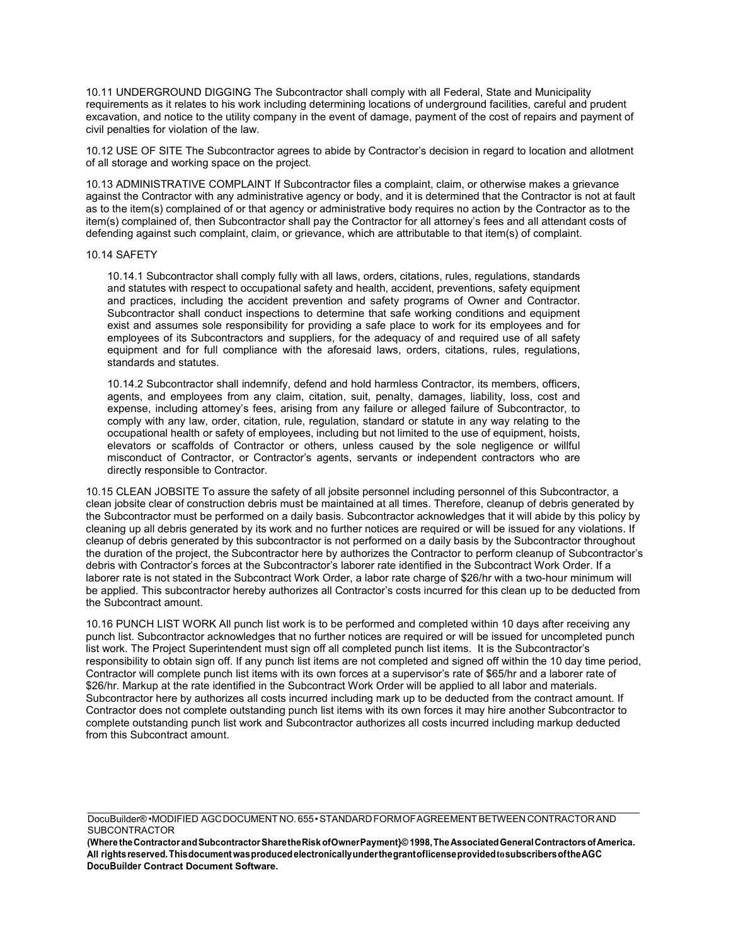10.11 UNDERGROUND DIGGING The Subcontractor shall comply with all Federal, State and Municipality requirements as it relates to his work including determining locations of underground facilities, careful and prudent excavation, and notice to the utility company in the event of damage, payment of the cost of repairs and payment of civil penalties for violation of the law.

10.12 USE OF SITE The Subcontractor agrees to abide by Contractor's decision in regard to location and allotment of all storage and working space on the project.

10.13 ADMINISTRATIVE COMPLAINT If Subcontractor files a complaint, claim, or otherwise makes a grievance against the Contractor with any administrative agency or body, and it is determined that the Contractor is not at fault as to the item(s) complained of or that agency or administrative body requires no action by the Contractor as to the item(s) complained of, then Subcontractor shall pay the Contractor for all attorney's fees and all attendant costs of defending against such complaint, claim, or grievance, which are attributable to that item(s) of complaint.

#### 10.14 SAFETY

10.14.1 Subcontractor shall comply fully with all laws, orders, citations, rules, regulations, standards and statutes with respect to occupational safety and health, accident, preventions, safety equipment and practices, including the accident prevention and safety programs of Owner and Contractor. Subcontractor shall conduct inspections to determine that safe working conditions and equipment exist and assumes sole responsibility for providing a safe place to work for its employees and for employees of its Subcontractors and suppliers, for the adequacy of and required use of all safety equipment and for full compliance with the aforesaid laws, orders, citations, rules, regulations, standards and statutes.

10.14.2 Subcontractor shall indemnify, defend and hold harmless Contractor, its members, officers, agents, and employees from any claim, citation, suit, penalty, damages, liability, loss, cost and expense, including attorney's fees, arising from any failure or alleged failure of Subcontractor, to comply with any law, order, citation, rule, regulation, standard or statute in any way relating to the occupational health or safety of employees, including but not limited to the use of equipment, hoists, elevators or scaffolds of Contractor or others, unless caused by the sole negligence or willful misconduct of Contractor, or Contractor's agents, servants or independent contractors who are directly responsible to Contractor.

10.15 CLEAN JOBSITE To assure the safety of all jobsite personnel including personnel of this Subcontractor, a clean jobsite clear of construction debris must be maintained at all times. Therefore, cleanup of debris generated by the Subcontractor must be performed on a daily basis. Subcontractor acknowledges that it will abide by this policy by cleaning up all debris generated by its work and no further notices are required or will be issued for any violations. If cleanup of debris generated by this subcontractor is not performed on a daily basis by the Subcontractor throughout the duration of the project, the Subcontractor here by authorizes the Contractor to perform cleanup of Subcontractor's debris with Contractor's forces at the Subcontractor's laborer rate identified in the Subcontract Work Order. If a laborer rate is not stated in the Subcontract Work Order, a labor rate charge of \$26/hr with a two-hour minimum will be applied. This subcontractor hereby authorizes all Contractor's costs incurred for this clean up to be deducted from the Subcontract amount.

10.16 PUNCH LIST WORK All punch list work is to be performed and completed within 10 days after receiving any punch list. Subcontractor acknowledges that no further notices are required or will be issued for uncompleted punch list work. The Project Superintendent must sign off all completed punch list items. It is the Subcontractor's responsibility to obtain sign off. If any punch list items are not completed and signed off within the 10 day time period, Contractor will complete punch list items with its own forces at a supervisor's rate of \$65/hr and a laborer rate of \$26/hr. Markup at the rate identified in the Subcontract Work Order will be applied to all labor and materials. Subcontractor here by authorizes all costs incurred including mark up to be deducted from the contract amount. If Contractor does not complete outstanding punch list items with its own forces it may hire another Subcontractor to complete outstanding punch list work and Subcontractor authorizes all costs incurred including markup deducted from this Subcontract amount.

DocuBuilder® •MODIFIED AGC DOCUMENT NO. 655 • STANDARD FORM OF AGREEMENT BETWEEN CONTRACTOR AND **SUBCONTRACTOR** 

**(Where the Contractor and Subcontractor Share the Risk of Owner Payment}© 1998, The Associated General Contractors of America. All rights reserved. This document was produced electronically under the grant of license provided to subscribers of the AGC DocuBuilder Contract Document Software.** 

 $\_$  , and the state of the state of the state of the state of the state of the state of the state of the state of the state of the state of the state of the state of the state of the state of the state of the state of the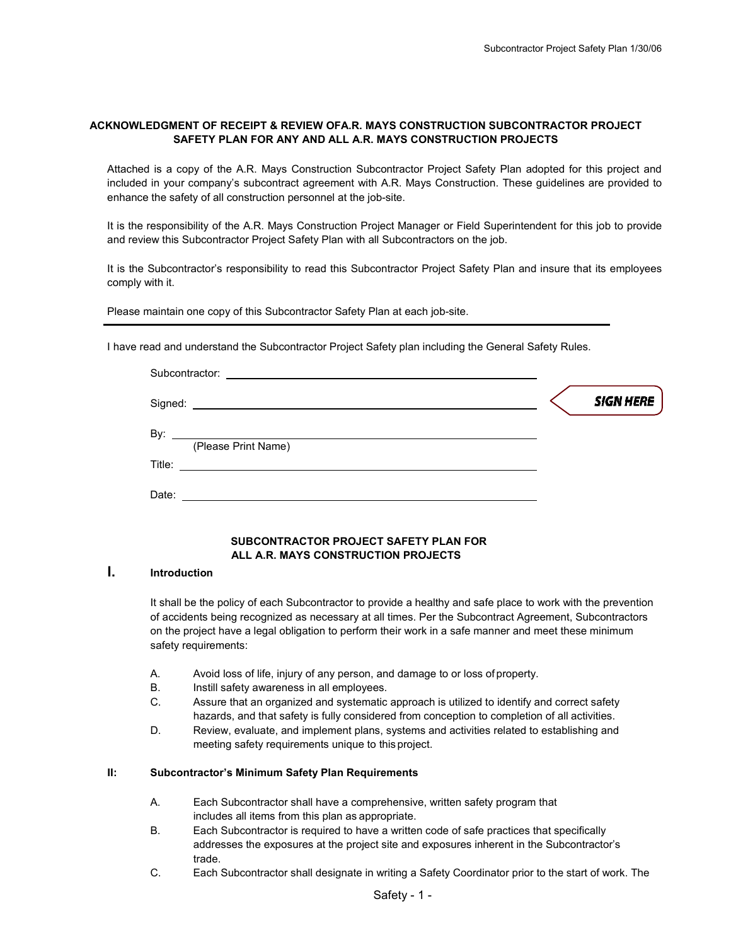## **ACKNOWLEDGMENT OF RECEIPT & REVIEW OFA.R. MAYS CONSTRUCTION SUBCONTRACTOR PROJECT SAFETY PLAN FOR ANY AND ALL A.R. MAYS CONSTRUCTION PROJECTS**

Attached is a copy of the A.R. Mays Construction Subcontractor Project Safety Plan adopted for this project and included in your company's subcontract agreement with A.R. Mays Construction. These guidelines are provided to enhance the safety of all construction personnel at the job-site.

It is the responsibility of the A.R. Mays Construction Project Manager or Field Superintendent for this job to provide and review this Subcontractor Project Safety Plan with all Subcontractors on the job.

It is the Subcontractor's responsibility to read this Subcontractor Project Safety Plan and insure that its employees comply with it.

Please maintain one copy of this Subcontractor Safety Plan at each job-site.

I have read and understand the Subcontractor Project Safety plan including the General Safety Rules.

|                     | <b>SIGN HERE</b> |
|---------------------|------------------|
| (Please Print Name) |                  |
|                     |                  |
| Date:               |                  |

## **SUBCONTRACTOR PROJECT SAFETY PLAN FOR ALL A.R. MAYS CONSTRUCTION PROJECTS**

## **I. Introduction**

It shall be the policy of each Subcontractor to provide a healthy and safe place to work with the prevention of accidents being recognized as necessary at all times. Per the Subcontract Agreement, Subcontractors on the project have a legal obligation to perform their work in a safe manner and meet these minimum safety requirements:

- A. Avoid loss of life, injury of any person, and damage to or loss of property.
- B. Instill safety awareness in all employees.
- C. Assure that an organized and systematic approach is utilized to identify and correct safety hazards, and that safety is fully considered from conception to completion of all activities.
- D. Review, evaluate, and implement plans, systems and activities related to establishing and meeting safety requirements unique to this project.

#### **II: Subcontractor's Minimum Safety Plan Requirements**

- A. Each Subcontractor shall have a comprehensive, written safety program that includes all items from this plan as appropriate.
- B. Each Subcontractor is required to have a written code of safe practices that specifically addresses the exposures at the project site and exposures inherent in the Subcontractor's trade.
- C. Each Subcontractor shall designate in writing a Safety Coordinator prior to the start of work. The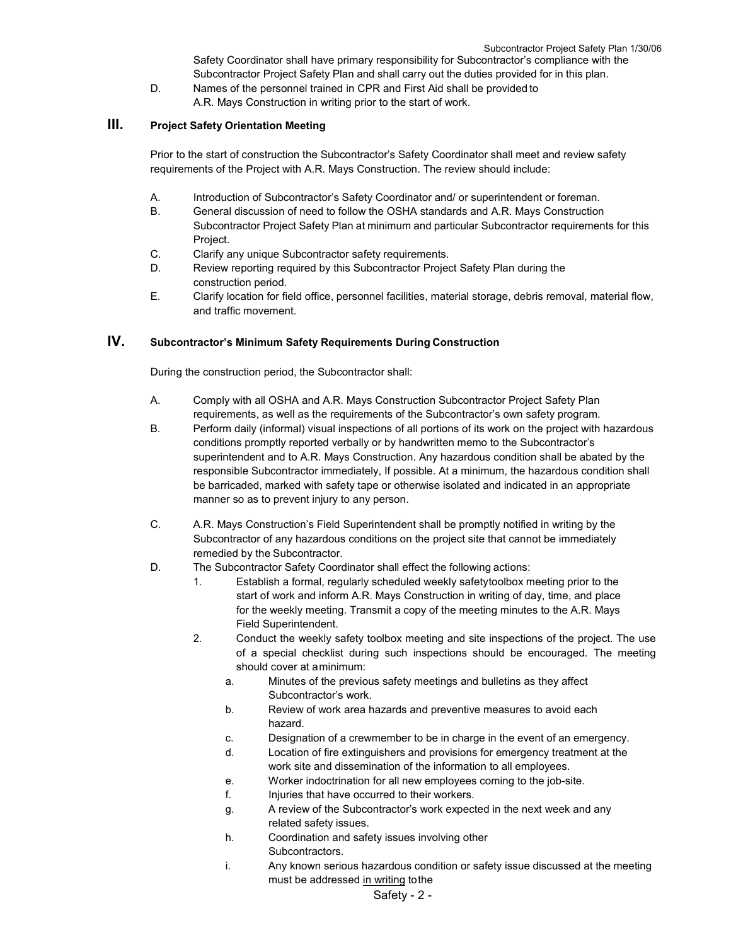Safety Coordinator shall have primary responsibility for Subcontractor's compliance with the Subcontractor Project Safety Plan and shall carry out the duties provided for in this plan.

D. Names of the personnel trained in CPR and First Aid shall be provided to A.R. Mays Construction in writing prior to the start of work.

# **III. Project Safety Orientation Meeting**

Prior to the start of construction the Subcontractor's Safety Coordinator shall meet and review safety requirements of the Project with A.R. Mays Construction. The review should include:

- A. Introduction of Subcontractor's Safety Coordinator and/ or superintendent or foreman.
- B. General discussion of need to follow the OSHA standards and A.R. Mays Construction Subcontractor Project Safety Plan at minimum and particular Subcontractor requirements for this Project.
- C. Clarify any unique Subcontractor safety requirements.
- D. Review reporting required by this Subcontractor Project Safety Plan during the construction period.
- E. Clarify location for field office, personnel facilities, material storage, debris removal, material flow, and traffic movement.

# **IV. Subcontractor's Minimum Safety Requirements During Construction**

During the construction period, the Subcontractor shall:

- A. Comply with all OSHA and A.R. Mays Construction Subcontractor Project Safety Plan requirements, as well as the requirements of the Subcontractor's own safety program.
- B. Perform daily (informal) visual inspections of all portions of its work on the project with hazardous conditions promptly reported verbally or by handwritten memo to the Subcontractor's superintendent and to A.R. Mays Construction. Any hazardous condition shall be abated by the responsible Subcontractor immediately, If possible. At a minimum, the hazardous condition shall be barricaded, marked with safety tape or otherwise isolated and indicated in an appropriate manner so as to prevent injury to any person.
- C. A.R. Mays Construction's Field Superintendent shall be promptly notified in writing by the Subcontractor of any hazardous conditions on the project site that cannot be immediately remedied by the Subcontractor.
- D. The Subcontractor Safety Coordinator shall effect the following actions:
	- 1. Establish a formal, regularly scheduled weekly safety toolbox meeting prior to the start of work and inform A.R. Mays Construction in writing of day, time, and place for the weekly meeting. Transmit a copy of the meeting minutes to the A.R. Mays Field Superintendent.
	- 2. Conduct the weekly safety toolbox meeting and site inspections of the project. The use of a special checklist during such inspections should be encouraged. The meeting should cover at a minimum:
		- a. Minutes of the previous safety meetings and bulletins as they affect Subcontractor's work.
		- b. Review of work area hazards and preventive measures to avoid each hazard.
		- c. Designation of a crewmember to be in charge in the event of an emergency.
		- d. Location of fire extinguishers and provisions for emergency treatment at the work site and dissemination of the information to all employees.
		- e. Worker indoctrination for all new employees coming to the job-site.
		- f. Injuries that have occurred to their workers.
		- g. A review of the Subcontractor's work expected in the next week and any related safety issues.
		- h. Coordination and safety issues involving other Subcontractors.
		- i. Any known serious hazardous condition or safety issue discussed at the meeting must be addressed in writing to the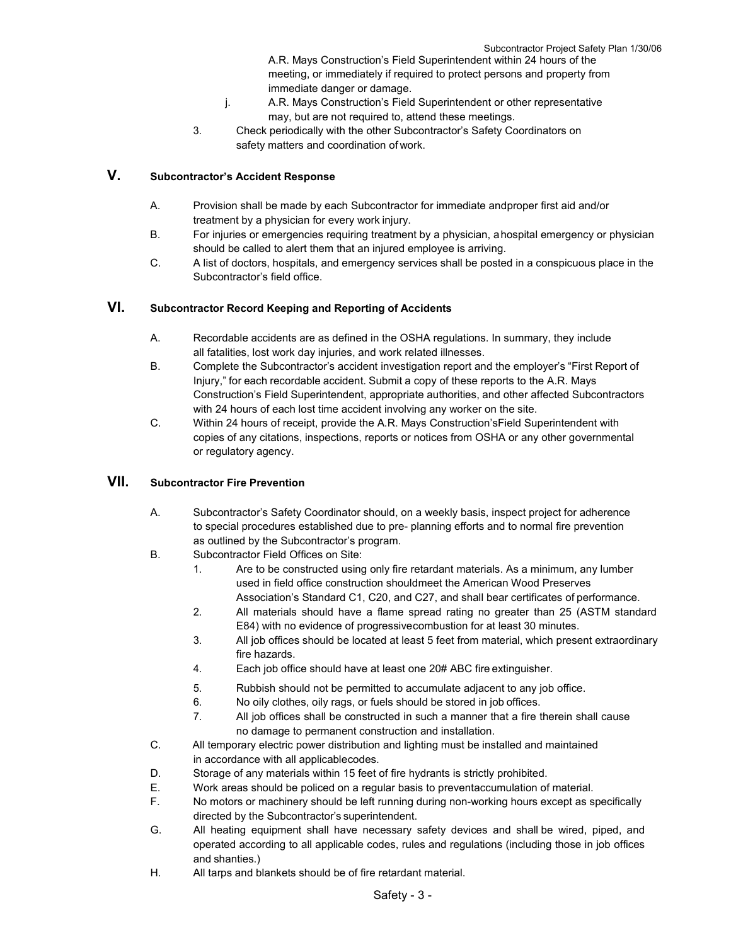A.R. Mays Construction's Field Superintendent within 24 hours of the meeting, or immediately if required to protect persons and property from immediate danger or damage.

- j. A.R. Mays Construction's Field Superintendent or other representative may, but are not required to, attend these meetings.
- 3. Check periodically with the other Subcontractor's Safety Coordinators on safety matters and coordination of work.

# **V. Subcontractor's Accident Response**

- A. Provision shall be made by each Subcontractor for immediate and proper first aid and/or treatment by a physician for every work injury.
- B. For injuries or emergencies requiring treatment by a physician, a hospital emergency or physician should be called to alert them that an injured employee is arriving.
- C. A list of doctors, hospitals, and emergency services shall be posted in a conspicuous place in the Subcontractor's field office.

## **VI. Subcontractor Record Keeping and Reporting of Accidents**

- A. Recordable accidents are as defined in the OSHA regulations. In summary, they include all fatalities, lost work day injuries, and work related illnesses.
- B. Complete the Subcontractor's accident investigation report and the employer's "First Report of Injury," for each recordable accident. Submit a copy of these reports to the A.R. Mays Construction's Field Superintendent, appropriate authorities, and other affected Subcontractors with 24 hours of each lost time accident involving any worker on the site.
- C. Within 24 hours of receipt, provide the A.R. Mays Construction's Field Superintendent with copies of any citations, inspections, reports or notices from OSHA or any other governmental or regulatory agency.

# **VII. Subcontractor Fire Prevention**

- A. Subcontractor's Safety Coordinator should, on a weekly basis, inspect project for adherence to special procedures established due to pre- planning efforts and to normal fire prevention as outlined by the Subcontractor's program.
- B. Subcontractor Field Offices on Site:
	- 1. Are to be constructed using only fire retardant materials. As a minimum, any lumber used in field office construction shouldmeet the American Wood Preserves Association's Standard C1, C20, and C27, and shall bear certificates of performance.
	- 2. All materials should have a flame spread rating no greater than 25 (ASTM standard E84) with no evidence of progressive combustion for at least 30 minutes.
	- 3. All job offices should be located at least 5 feet from material, which present extraordinary fire hazards.
	- 4. Each job office should have at least one 20# ABC fire extinguisher.
	- 5. Rubbish should not be permitted to accumulate adjacent to any job office.
	- 6. No oily clothes, oily rags, or fuels should be stored in job offices.
	- 7. All job offices shall be constructed in such a manner that a fire therein shall cause no damage to permanent construction and installation.
- C. All temporary electric power distribution and lighting must be installed and maintained in accordance with all applicable codes.
- D. Storage of any materials within 15 feet of fire hydrants is strictly prohibited.
- E. Work areas should be policed on a regular basis to preventaccumulation of material.
- F. No motors or machinery should be left running during non-working hours except as specifically directed by the Subcontractor's superintendent.
- G. All heating equipment shall have necessary safety devices and shall be wired, piped, and operated according to all applicable codes, rules and regulations (including those in job offices and shanties.)
- H. All tarps and blankets should be of fire retardant material.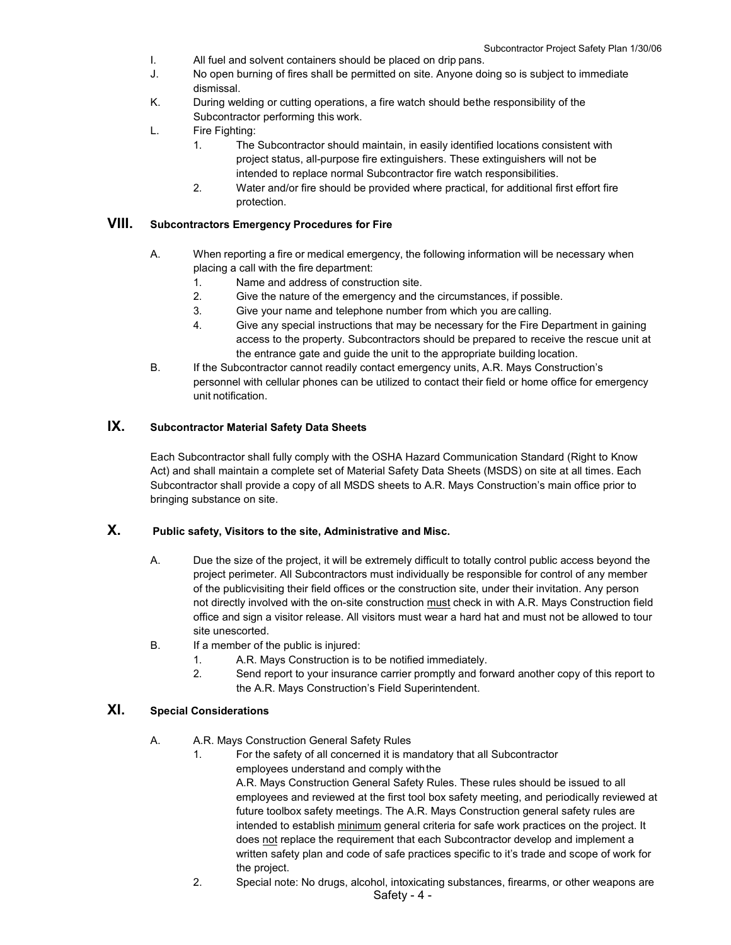- I. All fuel and solvent containers should be placed on drip pans.
- J. No open burning of fires shall be permitted on site. Anyone doing so is subject to immediate dismissal.
- K. During welding or cutting operations, a fire watch should be the responsibility of the Subcontractor performing this work.
- L. Fire Fighting:
	- 1. The Subcontractor should maintain, in easily identified locations consistent with project status, all-purpose fire extinguishers. These extinguishers will not be intended to replace normal Subcontractor fire watch responsibilities.
	- 2. Water and/or fire should be provided where practical, for additional first effort fire protection.

## **VIII. Subcontractors Emergency Procedures for Fire**

- A. When reporting a fire or medical emergency, the following information will be necessary when placing a call with the fire department:
	- 1. Name and address of construction site.
	- 2. Give the nature of the emergency and the circumstances, if possible.
	- 3. Give your name and telephone number from which you are calling.
	- 4. Give any special instructions that may be necessary for the Fire Department in gaining access to the property. Subcontractors should be prepared to receive the rescue unit at the entrance gate and guide the unit to the appropriate building location.
- B. If the Subcontractor cannot readily contact emergency units, A.R. Mays Construction's personnel with cellular phones can be utilized to contact their field or home office for emergency unit notification.

# **IX. Subcontractor Material Safety Data Sheets**

Each Subcontractor shall fully comply with the OSHA Hazard Communication Standard (Right to Know Act) and shall maintain a complete set of Material Safety Data Sheets (MSDS) on site at all times. Each Subcontractor shall provide a copy of all MSDS sheets to A.R. Mays Construction's main office prior to bringing substance on site.

# **X. Public safety, Visitors to the site, Administrative and Misc.**

- A. Due the size of the project, it will be extremely difficult to totally control public access beyond the project perimeter. All Subcontractors must individually be responsible for control of any member of the public visiting their field offices or the construction site, under their invitation. Any person not directly involved with the on-site construction must check in with A.R. Mays Construction field office and sign a visitor release. All visitors must wear a hard hat and must not be allowed to tour site unescorted.
- B. If a member of the public is injured:
	- 1. A.R. Mays Construction is to be notified immediately.
	- 2. Send report to your insurance carrier promptly and forward another copy of this report to the A.R. Mays Construction's Field Superintendent.

## **XI. Special Considerations**

- A. A.R. Mays Construction General Safety Rules
	- 1. For the safety of all concerned it is mandatory that all Subcontractor employees understand and comply with the

A.R. Mays Construction General Safety Rules. These rules should be issued to all employees and reviewed at the first tool box safety meeting, and periodically reviewed at future toolbox safety meetings. The A.R. Mays Construction general safety rules are intended to establish minimum general criteria for safe work practices on the project. It does not replace the requirement that each Subcontractor develop and implement a written safety plan and code of safe practices specific to it's trade and scope of work for the project.

2. Special note: No drugs, alcohol, intoxicating substances, firearms, or other weapons are